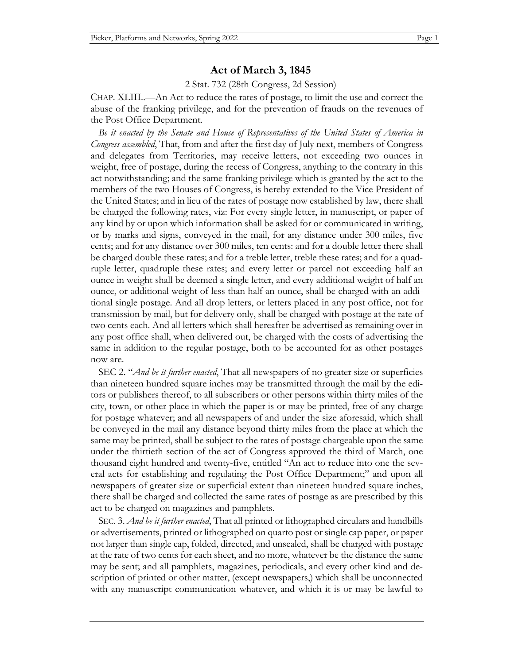## **Act of March 3, 1845**

#### 2 Stat. 732 (28th Congress, 2d Session)

CHAP. XLIII..—An Act to reduce the rates of postage, to limit the use and correct the abuse of the franking privilege, and for the prevention of frauds on the revenues of the Post Office Department.

*Be it enacted by the Senate and House of Representatives of the United States of America in Congress assembled*, That, from and after the first day of July next, members of Congress and delegates from Territories, may receive letters, not exceeding two ounces in weight, free of postage, during the recess of Congress, anything to the contrary in this act notwithstanding; and the same franking privilege which is granted by the act to the members of the two Houses of Congress, is hereby extended to the Vice President of the United States; and in lieu of the rates of postage now established by law, there shall be charged the following rates, viz: For every single letter, in manuscript, or paper of any kind by or upon which information shall be asked for or communicated in writing, or by marks and signs, conveyed in the mail, for any distance under 300 miles, five cents; and for any distance over 300 miles, ten cents: and for a double letter there shall be charged double these rates; and for a treble letter, treble these rates; and for a quadruple letter, quadruple these rates; and every letter or parcel not exceeding half an ounce in weight shall be deemed a single letter, and every additional weight of half an ounce, or additional weight of less than half an ounce, shall be charged with an additional single postage. And all drop letters, or letters placed in any post office, not for transmission by mail, but for delivery only, shall be charged with postage at the rate of two cents each. And all letters which shall hereafter be advertised as remaining over in any post office shall, when delivered out, be charged with the costs of advertising the same in addition to the regular postage, both to be accounted for as other postages now are.

SEC 2. "*And be it further enacted*, That all newspapers of no greater size or superficies than nineteen hundred square inches may be transmitted through the mail by the editors or publishers thereof, to all subscribers or other persons within thirty miles of the city, town, or other place in which the paper is or may be printed, free of any charge for postage whatever; and all newspapers of and under the size aforesaid, which shall be conveyed in the mail any distance beyond thirty miles from the place at which the same may be printed, shall be subject to the rates of postage chargeable upon the same under the thirtieth section of the act of Congress approved the third of March, one thousand eight hundred and twenty-five, entitled "An act to reduce into one the several acts for establishing and regulating the Post Office Department;" and upon all newspapers of greater size or superficial extent than nineteen hundred square inches, there shall be charged and collected the same rates of postage as are prescribed by this act to be charged on magazines and pamphlets.

SEC. 3. *And be it further enacted*, That all printed or lithographed circulars and handbills or advertisements, printed or lithographed on quarto post or single cap paper, or paper not larger than single cap, folded, directed, and unsealed, shall be charged with postage at the rate of two cents for each sheet, and no more, whatever be the distance the same may be sent; and all pamphlets, magazines, periodicals, and every other kind and description of printed or other matter, (except newspapers,) which shall be unconnected with any manuscript communication whatever, and which it is or may be lawful to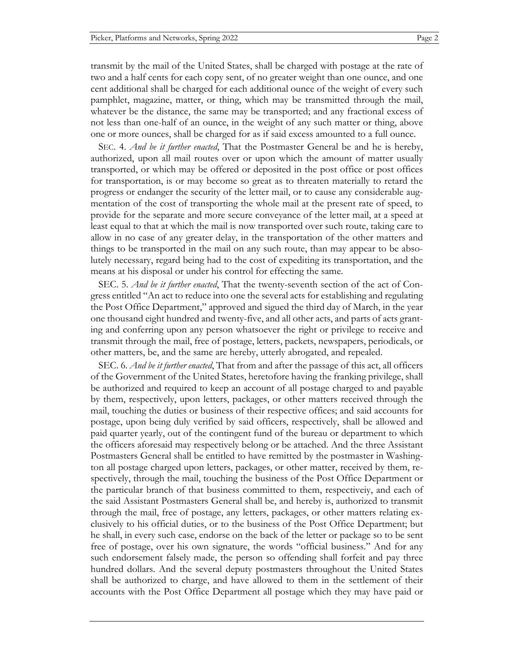transmit by the mail of the United States, shall be charged with postage at the rate of two and a half cents for each copy sent, of no greater weight than one ounce, and one cent additional shall be charged for each additional ounce of the weight of every such pamphlet, magazine, matter, or thing, which may be transmitted through the mail, whatever be the distance, the same may be transported; and any fractional excess of not less than one-half of an ounce, in the weight of any such matter or thing, above one or more ounces, shall be charged for as if said excess amounted to a full ounce.

SEC. 4. *And be it further enacted*, That the Postmaster General be and he is hereby, authorized, upon all mail routes over or upon which the amount of matter usually transported, or which may be offered or deposited in the post office or post offices for transportation, is or may become so great as to threaten materially to retard the progress or endanger the security of the letter mail, or to cause any considerable augmentation of the cost of transporting the whole mail at the present rate of speed, to provide for the separate and more secure conveyance of the letter mail, at a speed at least equal to that at which the mail is now transported over such route, taking care to allow in no case of any greater delay, in the transportation of the other matters and things to be transported in the mail on any such route, than may appear to be absolutely necessary, regard being had to the cost of expediting its transportation, and the means at his disposal or under his control for effecting the same.

SEC. 5. *And be it further enacted*, That the twenty-seventh section of the act of Congress entitled "An act to reduce into one the several acts for establishing and regulating the Post Office Department," approved and sigued the third day of March, in the year one thousand eight hundred and twenty-five, and all other acts, and parts of acts granting and conferring upon any person whatsoever the right or privilege to receive and transmit through the mail, free of postage, letters, packets, newspapers, periodicals, or other matters, be, and the same are hereby, utterly abrogated, and repealed.

SEC. 6. *And be it further enacted*, That from and after the passage of this act, all officers of the Government of the United States, heretofore having the franking privilege, shall be authorized and required to keep an account of all postage charged to and payable by them, respectively, upon letters, packages, or other matters received through the mail, touching the duties or business of their respective offices; and said accounts for postage, upon being duly verified by said officers, respectively, shall be allowed and paid quarter yearly, out of the contingent fund of the bureau or department to which the officers aforesaid may respectively belong or be attached. And the three Assistant Postmasters General shall be entitled to have remitted by the postmaster in Washington all postage charged upon letters, packages, or other matter, received by them, respectively, through the mail, touching the business of the Post Office Department or the particular branch of that business committed to them, respectiveiy, and each of the said Assistant Postmasters General shall be, and hereby is, authorized to transmit through the mail, free of postage, any letters, packages, or other matters relating exclusively to his official duties, or to the business of the Post Office Department; but he shall, in every such case, endorse on the back of the letter or package so to be sent free of postage, over his own signature, the words "official business." And for any such endorsement falsely made, the person so offending shall forfeit and pay three hundred dollars. And the several deputy postmasters throughout the United States shall be authorized to charge, and have allowed to them in the settlement of their accounts with the Post Office Department all postage which they may have paid or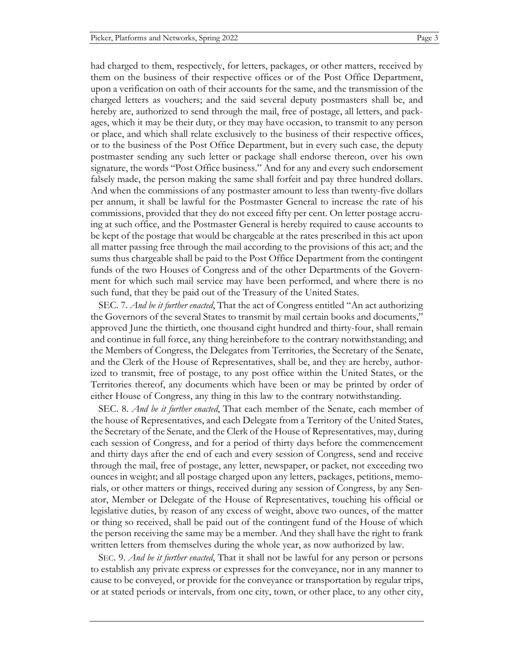had charged to them, respectively, for letters, packages, or other matters, received by them on the business of their respective offices or of the Post Office Department, upon a verification on oath of their accounts for the same, and the transmission of the charged letters as vouchers; and the said several deputy postmasters shall be, and hereby are, authorized to send through the mail, free of postage, all letters, and packages, which it may be their duty, or they may have occasion, to transmit to any person or place, and which shall relate exclusively to the business of their respective offices, or to the business of the Post Office Department, but in every such case, the deputy postmaster sending any such letter or package shall endorse thereon, over his own signature, the words "Post Office business." And for any and every such endorsement falsely made, the person making the same shall forfeit and pay three hundred dollars. And when the commissions of any postmaster amount to less than twenty-five dollars per annum, it shall be lawful for the Postmaster General to increase the rate of his commissions, provided that they do not exceed fifty per cent. On letter postage accruing at such office, and the Postmaster General is hereby required to cause accounts to be kept of the postage that would be chargeable at the rates prescribed in this act upon all matter passing free through the mail according to the provisions of this act; and the sums thus chargeable shall be paid to the Post Office Department from the contingent funds of the two Houses of Congress and of the other Departments of the Government for which such mail service may have been performed, and where there is no such fund, that they be paid out of the Treasury of the United States.

SEC. 7. *And be it further enacted*, That the act of Congress entitled "An act authorizing the Governors of the several States to transmit by mail certain books and documents," approved June the thirtieth, one thousand eight hundred and thirty-four, shall remain and continue in full force, any thing hereinbefore to the contrary notwithstanding; and the Members of Congress, the Delegates from Territories, the Secretary of the Senate, and the Clerk of the House of Representatives, shall be, and they are hereby, authorized to transmit, free of postage, to any post office within the United States, or the Territories thereof, any documents which have been or may be printed by order of either House of Congress, any thing in this law to the contrary notwithstanding.

SEC. 8. *And be it further enacted*, That each member of the Senate, each member of the house of Representatives, and each Delegate from a Territory of the United States, the Secretary of the Senate, and the Clerk of the House of Representatives, may, during each session of Congress, and for a period of thirty days before the commencement and thirty days after the end of each and every session of Congress, send and receive through the mail, free of postage, any letter, newspaper, or packet, not exceeding two ounces in weight; and all postage charged upon any letters, packages, petitions, memorials, or other matters or things, received during any session of Congress, by any Senator, Member or Delegate of the House of Representatives, touching his official or legislative duties, by reason of any excess of weight, above two ounces, of the matter or thing so received, shall be paid out of the contingent fund of the House of which the person receiving the same may be a member. And they shall have the right to frank written letters from themselves during the whole year, as now authorized by law.

SEC. 9. *And be it further enacted*, That it shall not be lawful for any person or persons to establish any private express or expresses for the conveyance, nor in any manner to cause to be conveyed, or provide for the conveyance or transportation by regular trips, or at stated periods or intervals, from one city, town, or other place, to any other city,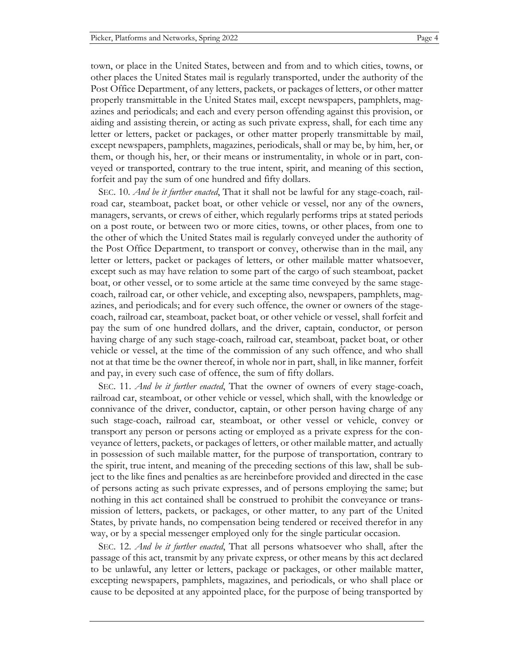town, or place in the United States, between and from and to which cities, towns, or other places the United States mail is regularly transported, under the authority of the Post Office Department, of any letters, packets, or packages of letters, or other matter properly transmittable in the United States mail, except newspapers, pamphlets, magazines and periodicals; and each and every person offending against this provision, or aiding and assisting therein, or acting as such private express, shall, for each time any letter or letters, packet or packages, or other matter properly transmittable by mail, except newspapers, pamphlets, magazines, periodicals, shall or may be, by him, her, or them, or though his, her, or their means or instrumentality, in whole or in part, conveyed or transported, contrary to the true intent, spirit, and meaning of this section, forfeit and pay the sum of one hundred and fifty dollars.

SEC. 10. *And be it further enacted*, That it shall not be lawful for any stage-coach, railroad car, steamboat, packet boat, or other vehicle or vessel, nor any of the owners, managers, servants, or crews of either, which regularly performs trips at stated periods on a post route, or between two or more cities, towns, or other places, from one to the other of which the United States mail is regularly conveyed under the authority of the Post Office Department, to transport or convey, otherwise than in the mail, any letter or letters, packet or packages of letters, or other mailable matter whatsoever, except such as may have relation to some part of the cargo of such steamboat, packet boat, or other vessel, or to some article at the same time conveyed by the same stagecoach, railroad car, or other vehicle, and excepting also, newspapers, pamphlets, magazines, and periodicals; and for every such offence, the owner or owners of the stagecoach, railroad car, steamboat, packet boat, or other vehicle or vessel, shall forfeit and pay the sum of one hundred dollars, and the driver, captain, conductor, or person having charge of any such stage-coach, railroad car, steamboat, packet boat, or other vehicle or vessel, at the time of the commission of any such offence, and who shall not at that time be the owner thereof, in whole nor in part, shall, in like manner, forfeit and pay, in every such case of offence, the sum of fifty dollars.

SEC. 11. *And be it further enacted*, That the owner of owners of every stage-coach, railroad car, steamboat, or other vehicle or vessel, which shall, with the knowledge or connivance of the driver, conductor, captain, or other person having charge of any such stage-coach, railroad car, steamboat, or other vessel or vehicle, convey or transport any person or persons acting or employed as a private express for the conveyance of letters, packets, or packages of letters, or other mailable matter, and actually in possession of such mailable matter, for the purpose of transportation, contrary to the spirit, true intent, and meaning of the preceding sections of this law, shall be subject to the like fines and penalties as are hereinbefore provided and directed in the case of persons acting as such private expresses, and of persons employing the same; but nothing in this act contained shall be construed to prohibit the conveyance or transmission of letters, packets, or packages, or other matter, to any part of the United States, by private hands, no compensation being tendered or received therefor in any way, or by a special messenger employed only for the single particular occasion.

SEC. 12. *And be it further enacted*, That all persons whatsoever who shall, after the passage of this act, transmit by any private express, or other means by this act declared to be unlawful, any letter or letters, package or packages, or other mailable matter, excepting newspapers, pamphlets, magazines, and periodicals, or who shall place or cause to be deposited at any appointed place, for the purpose of being transported by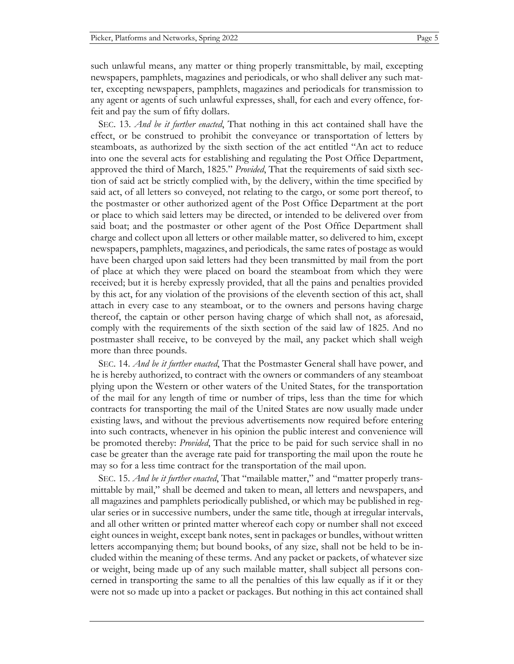such unlawful means, any matter or thing properly transmittable, by mail, excepting newspapers, pamphlets, magazines and periodicals, or who shall deliver any such matter, excepting newspapers, pamphlets, magazines and periodicals for transmission to any agent or agents of such unlawful expresses, shall, for each and every offence, forfeit and pay the sum of fifty dollars.

SEC. 13. *And be it further enacted*, That nothing in this act contained shall have the effect, or be construed to prohibit the conveyance or transportation of letters by steamboats, as authorized by the sixth section of the act entitled "An act to reduce into one the several acts for establishing and regulating the Post Office Department, approved the third of March, 1825." *Provided*, That the requirements of said sixth section of said act be strictly complied with, by the delivery, within the time specified by said act, of all letters so conveyed, not relating to the cargo, or some port thereof, to the postmaster or other authorized agent of the Post Office Department at the port or place to which said letters may be directed, or intended to be delivered over from said boat; and the postmaster or other agent of the Post Office Department shall charge and collect upon all letters or other mailable matter, so delivered to him, except newspapers, pamphlets, magazines, and periodicals, the same rates of postage as would have been charged upon said letters had they been transmitted by mail from the port of place at which they were placed on board the steamboat from which they were received; but it is hereby expressly provided, that all the pains and penalties provided by this act, for any violation of the provisions of the eleventh section of this act, shall attach in every case to any steamboat, or to the owners and persons having charge thereof, the captain or other person having charge of which shall not, as aforesaid, comply with the requirements of the sixth section of the said law of 1825. And no postmaster shall receive, to be conveyed by the mail, any packet which shall weigh more than three pounds.

SEC. 14. *And be it further enacted*, That the Postmaster General shall have power, and he is hereby authorized, to contract with the owners or commanders of any steamboat plying upon the Western or other waters of the United States, for the transportation of the mail for any length of time or number of trips, less than the time for which contracts for transporting the mail of the United States are now usually made under existing laws, and without the previous advertisements now required before entering into such contracts, whenever in his opinion the public interest and convenience will be promoted thereby: *Provided*, That the price to be paid for such service shall in no case be greater than the average rate paid for transporting the mail upon the route he may so for a less time contract for the transportation of the mail upon.

SEC. 15. *And be it further enacted*, That "mailable matter," and "matter properly transmittable by mail," shall be deemed and taken to mean, all letters and newspapers, and all magazines and pamphlets periodically published, or which may be published in regular series or in successive numbers, under the same title, though at irregular intervals, and all other written or printed matter whereof each copy or number shall not exceed eight ounces in weight, except bank notes, sent in packages or bundles, without written letters accompanying them; but bound books, of any size, shall not be held to be included within the meaning of these terms. And any packet or packets, of whatever size or weight, being made up of any such mailable matter, shall subject all persons concerned in transporting the same to all the penalties of this law equally as if it or they were not so made up into a packet or packages. But nothing in this act contained shall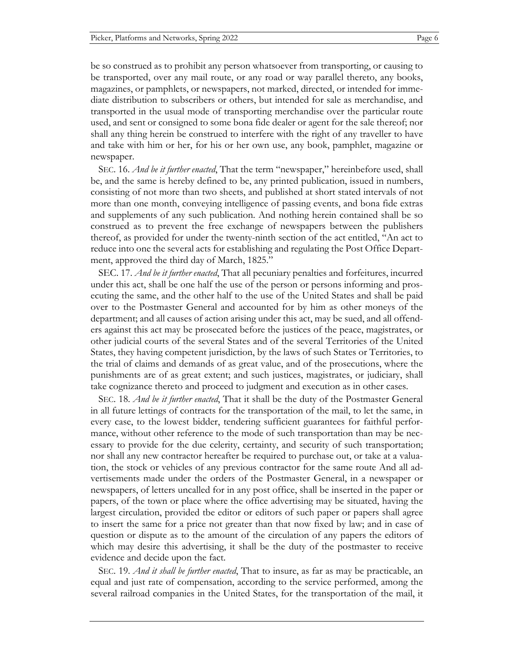be so construed as to prohibit any person whatsoever from transporting, or causing to be transported, over any mail route, or any road or way parallel thereto, any books, magazines, or pamphlets, or newspapers, not marked, directed, or intended for immediate distribution to subscribers or others, but intended for sale as merchandise, and transported in the usual mode of transporting merchandise over the particular route used, and sent or consigned to some bona fide dealer or agent for the sale thereof; nor shall any thing herein be construed to interfere with the right of any traveller to have and take with him or her, for his or her own use, any book, pamphlet, magazine or newspaper.

SEC. 16. *And be it further enacted*, That the term "newspaper," hereinbefore used, shall be, and the same is hereby defined to be, any printed publication, issued in numbers, consisting of not more than two sheets, and published at short stated intervals of not more than one month, conveying intelligence of passing events, and bona fide extras and supplements of any such publication. And nothing herein contained shall be so construed as to prevent the free exchange of newspapers between the publishers thereof, as provided for under the twenty-ninth section of the act entitled, "An act to reduce into one the several acts for establishing and regulating the Post Office Department, approved the third day of March, 1825."

SEC. 17. *And be it further enacted*, That all pecuniary penalties and forfeitures, incurred under this act, shall be one half the use of the person or persons informing and prosecuting the same, and the other half to the use of the United States and shall be paid over to the Postmaster General and accounted for by him as other moneys of the department; and all causes of action arising under this act, may be sued, and all offenders against this act may be prosecated before the justices of the peace, magistrates, or other judicial courts of the several States and of the several Territories of the United States, they having competent jurisdiction, by the laws of such States or Territories, to the trial of claims and demands of as great value, and of the prosecutions, where the punishments are of as great extent; and such justices, magistrates, or judiciary, shall take cognizance thereto and proceed to judgment and execution as in other cases.

SEC. 18. *And be it further enacted*, That it shall be the duty of the Postmaster General in all future lettings of contracts for the transportation of the mail, to let the same, in every case, to the lowest bidder, tendering sufficient guarantees for faithful performance, without other reference to the mode of such transportation than may be necessary to provide for the due celerity, certainty, and security of such transportation; nor shall any new contractor hereafter be required to purchase out, or take at a valuation, the stock or vehicles of any previous contractor for the same route And all advertisements made under the orders of the Postmaster General, in a newspaper or newspapers, of letters uncalled for in any post office, shall be inserted in the paper or papers, of the town or place where the office advertising may be situated, having the largest circulation, provided tbe editor or editors of such paper or papers shall agree to insert the same for a price not greater than that now fixed by law; and in case of question or dispute as to the amount of the circulation of any papers the editors of which may desire this advertising, it shall be the duty of the postmaster to receive evidence and decide upon the fact.

SEC. 19. *And it shall be further enacted*, That to insure, as far as may be practicable, an equal and just rate of compensation, according to the service performed, among the several railroad companies in the United States, for the transportation of the mail, it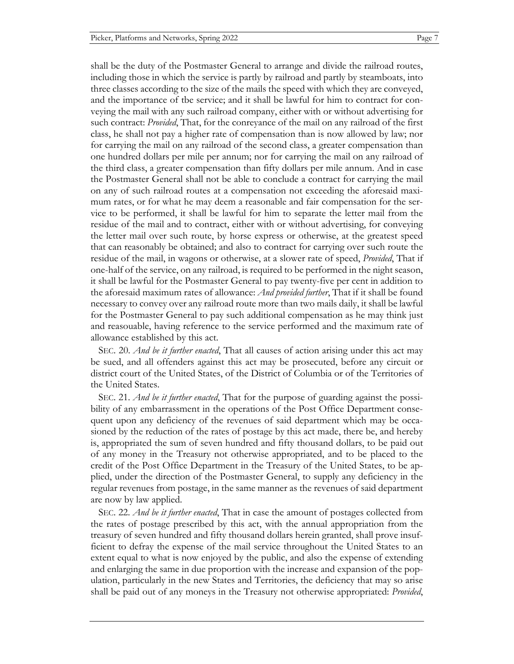shall be the duty of the Postmaster General to arrange and divide the railroad routes, including those in which the service is partly by railroad and partly by steamboats, into three classes according to the size of the mails the speed with which they are conveyed, and the importance of tbe service; and it shall be lawful for him to contract for conveying the mail with any such railroad company, either with or without advertising for such contract: *Provided*, That, for the conreyance of the mail on any railroad of the first class, he shall not pay a higher rate of compensation than is now allowed by law; nor for carrying the mail on any railroad of the second class, a greater compensation than one hundred dollars per mile per annum; nor for carrying the mail on any railroad of the third class, a greater compensation than fifty dollars per mile annum. And in case the Postmaster General shall not be able to conclude a contract for carrying the mail on any of such railroad routes at a compensation not exceeding the aforesaid maximum rates, or for what he may deem a reasonable and fair compensation for the service to be performed, it shall be lawful for him to separate the letter mail from the residue of the mail and to contract, either with or without advertising, for conveying the letter mail over such route, by horse express or otherwise, at the greatest speed that can reasonably be obtained; and also to contract for carrying over such route the residue of the mail, in wagons or otherwise, at a slower rate of speed, *Provided*, That if one-half of the service, on any railroad, is required to be performed in the night season, it shall be lawful for the Postmaster General to pay twenty-five per cent in addition to the aforesaid maximum rates of allowance: *And provided further*, That if it shall be found necessary to convey over any railroad route more than two mails daily, it shall be lawful for the Postmaster General to pay such additional compensation as he may think just and reasouable, having reference to the service performed and the maximum rate of allowance established by this act.

SEC. 20. *And be it further enacted*, That all causes of action arising under this act may be sued, and all offenders against this act may be prosecuted, before any circuit or district court of the United States, of the District of Columbia or of the Territories of the United States.

SEC. 21. *And be it further enacted*, That for the purpose of guarding against the possibility of any embarrassment in the operations of the Post Office Department consequent upon any deficiency of the revenues of said department which may be occasioned by the reduction of the rates of postage by this act made, there be, and hereby is, appropriated the sum of seven hundred and fifty thousand dollars, to be paid out of any money in the Treasury not otherwise appropriated, and to be placed to the credit of the Post Office Department in the Treasury of the United States, to be applied, under the direction of the Postmaster General, to supply any deficiency in the regular revenues from postage, in the same manner as the revenues of said department are now by law applied.

SEC. 22. *And be it further enacted*, That in case the amount of postages collected from the rates of postage prescribed by this act, with the annual appropriation from the treasury of seven hundred and fifty thousand dollars herein granted, shall prove insufficient to defray the expense of the mail service throughout the United States to an extent equal to what is now enjoyed by the public, and also the expense of extending and enlarging the same in due proportion with the increase and expansion of the population, particularly in the new States and Territories, the deficiency that may so arise shall be paid out of any moneys in the Treasury not otherwise appropriated: *Provided*,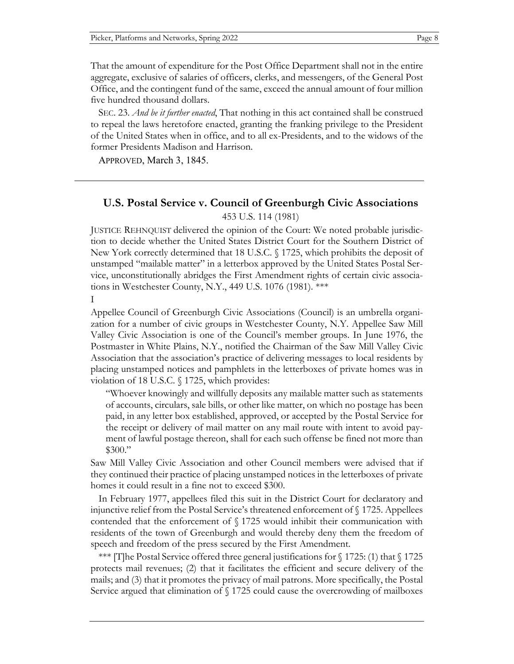That the amount of expenditure for the Post Office Department shall not in the entire aggregate, exclusive of salaries of officers, clerks, and messengers, of the General Post Office, and the contingent fund of the same, exceed the annual amount of four million five hundred thousand dollars.

SEC. 23. *And be it further enacted*, That nothing in this act contained shall be construed to repeal the laws heretofore enacted, granting the franking privilege to the President of the United States when in office, and to all ex-Presidents, and to the widows of the former Presidents Madison and Harrison.

APPROVED, March 3, 1845.

### **U.S. Postal Service v. Council of Greenburgh Civic Associations** 453 U.S. 114 (1981)

JUSTICE REHNQUIST delivered the opinion of the Court: We noted probable jurisdiction to decide whether the United States District Court for the Southern District of New York correctly determined that 18 U.S.C. § 1725, which prohibits the deposit of unstamped "mailable matter" in a letterbox approved by the United States Postal Service, unconstitutionally abridges the First Amendment rights of certain civic associations in Westchester County, N.Y., 449 U.S. 1076 (1981). \*\*\*

I

Appellee Council of Greenburgh Civic Associations (Council) is an umbrella organization for a number of civic groups in Westchester County, N.Y. Appellee Saw Mill Valley Civic Association is one of the Council's member groups. In June 1976, the Postmaster in White Plains, N.Y., notified the Chairman of the Saw Mill Valley Civic Association that the association's practice of delivering messages to local residents by placing unstamped notices and pamphlets in the letterboxes of private homes was in violation of 18 U.S.C. § 1725, which provides:

"Whoever knowingly and willfully deposits any mailable matter such as statements of accounts, circulars, sale bills, or other like matter, on which no postage has been paid, in any letter box established, approved, or accepted by the Postal Service for the receipt or delivery of mail matter on any mail route with intent to avoid payment of lawful postage thereon, shall for each such offense be fined not more than \$300."

Saw Mill Valley Civic Association and other Council members were advised that if they continued their practice of placing unstamped notices in the letterboxes of private homes it could result in a fine not to exceed \$300.

In February 1977, appellees filed this suit in the District Court for declaratory and injunctive relief from the Postal Service's threatened enforcement of § 1725. Appellees contended that the enforcement of § 1725 would inhibit their communication with residents of the town of Greenburgh and would thereby deny them the freedom of speech and freedom of the press secured by the First Amendment.

\*\*\* [T]he Postal Service offered three general justifications for § 1725: (1) that § 1725 protects mail revenues; (2) that it facilitates the efficient and secure delivery of the mails; and (3) that it promotes the privacy of mail patrons. More specifically, the Postal Service argued that elimination of  $\S$  1725 could cause the overcrowding of mailboxes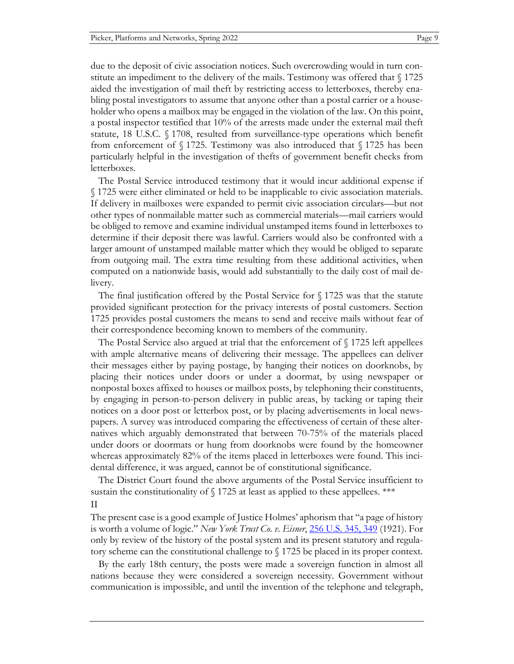due to the deposit of civic association notices. Such overcrowding would in turn constitute an impediment to the delivery of the mails. Testimony was offered that § 1725 aided the investigation of mail theft by restricting access to letterboxes, thereby enabling postal investigators to assume that anyone other than a postal carrier or a householder who opens a mailbox may be engaged in the violation of the law. On this point, a postal inspector testified that 10% of the arrests made under the external mail theft statute, 18 U.S.C. § 1708, resulted from surveillance-type operations which benefit from enforcement of § 1725. Testimony was also introduced that § 1725 has been particularly helpful in the investigation of thefts of government benefit checks from letterboxes.

The Postal Service introduced testimony that it would incur additional expense if § 1725 were either eliminated or held to be inapplicable to civic association materials. If delivery in mailboxes were expanded to permit civic association circulars—but not other types of nonmailable matter such as commercial materials—mail carriers would be obliged to remove and examine individual unstamped items found in letterboxes to determine if their deposit there was lawful. Carriers would also be confronted with a larger amount of unstamped mailable matter which they would be obliged to separate from outgoing mail. The extra time resulting from these additional activities, when computed on a nationwide basis, would add substantially to the daily cost of mail delivery.

The final justification offered by the Postal Service for § 1725 was that the statute provided significant protection for the privacy interests of postal customers. Section 1725 provides postal customers the means to send and receive mails without fear of their correspondence becoming known to members of the community.

The Postal Service also argued at trial that the enforcement of  $\S$  1725 left appellees with ample alternative means of delivering their message. The appellees can deliver their messages either by paying postage, by hanging their notices on doorknobs, by placing their notices under doors or under a doormat, by using newspaper or nonpostal boxes affixed to houses or mailbox posts, by telephoning their constituents, by engaging in person-to-person delivery in public areas, by tacking or taping their notices on a door post or letterbox post, or by placing advertisements in local newspapers. A survey was introduced comparing the effectiveness of certain of these alternatives which arguably demonstrated that between 70-75% of the materials placed under doors or doormats or hung from doorknobs were found by the homeowner whereas approximately 82% of the items placed in letterboxes were found. This incidental difference, it was argued, cannot be of constitutional significance.

The District Court found the above arguments of the Postal Service insufficient to sustain the constitutionality of  $\S$  1725 at least as applied to these appellees. \*\*\*

II

The present case is a good example of Justice Holmes' aphorism that "a page of history is worth a volume of logic." *New York Trust Co. v. Eisner*, 256 U.S. 345, 349 (1921). For only by review of the history of the postal system and its present statutory and regulatory scheme can the constitutional challenge to § 1725 be placed in its proper context.

By the early 18th century, the posts were made a sovereign function in almost all nations because they were considered a sovereign necessity. Government without communication is impossible, and until the invention of the telephone and telegraph,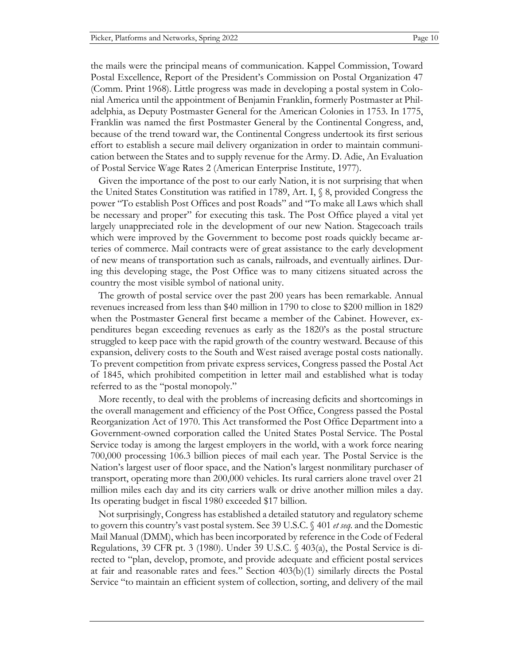the mails were the principal means of communication. Kappel Commission, Toward Postal Excellence, Report of the President's Commission on Postal Organization 47 (Comm. Print 1968). Little progress was made in developing a postal system in Colonial America until the appointment of Benjamin Franklin, formerly Postmaster at Philadelphia, as Deputy Postmaster General for the American Colonies in 1753. In 1775, Franklin was named the first Postmaster General by the Continental Congress, and, because of the trend toward war, the Continental Congress undertook its first serious effort to establish a secure mail delivery organization in order to maintain communication between the States and to supply revenue for the Army. D. Adie, An Evaluation of Postal Service Wage Rates 2 (American Enterprise Institute, 1977).

Given the importance of the post to our early Nation, it is not surprising that when the United States Constitution was ratified in 1789, Art. I, § 8, provided Congress the power "To establish Post Offices and post Roads" and "To make all Laws which shall be necessary and proper" for executing this task. The Post Office played a vital yet largely unappreciated role in the development of our new Nation. Stagecoach trails which were improved by the Government to become post roads quickly became arteries of commerce. Mail contracts were of great assistance to the early development of new means of transportation such as canals, railroads, and eventually airlines. During this developing stage, the Post Office was to many citizens situated across the country the most visible symbol of national unity.

The growth of postal service over the past 200 years has been remarkable. Annual revenues increased from less than \$40 million in 1790 to close to \$200 million in 1829 when the Postmaster General first became a member of the Cabinet. However, expenditures began exceeding revenues as early as the 1820's as the postal structure struggled to keep pace with the rapid growth of the country westward. Because of this expansion, delivery costs to the South and West raised average postal costs nationally. To prevent competition from private express services, Congress passed the Postal Act of 1845, which prohibited competition in letter mail and established what is today referred to as the "postal monopoly."

More recently, to deal with the problems of increasing deficits and shortcomings in the overall management and efficiency of the Post Office, Congress passed the Postal Reorganization Act of 1970. This Act transformed the Post Office Department into a Government-owned corporation called the United States Postal Service. The Postal Service today is among the largest employers in the world, with a work force nearing 700,000 processing 106.3 billion pieces of mail each year. The Postal Service is the Nation's largest user of floor space, and the Nation's largest nonmilitary purchaser of transport, operating more than 200,000 vehicles. Its rural carriers alone travel over 21 million miles each day and its city carriers walk or drive another million miles a day. Its operating budget in fiscal 1980 exceeded \$17 billion.

Not surprisingly, Congress has established a detailed statutory and regulatory scheme to govern this country's vast postal system. See 39 U.S.C. § 401 *et seq.* and the Domestic Mail Manual (DMM), which has been incorporated by reference in the Code of Federal Regulations, 39 CFR pt. 3 (1980). Under 39 U.S.C. § 403(a), the Postal Service is directed to "plan, develop, promote, and provide adequate and efficient postal services at fair and reasonable rates and fees." Section 403(b)(1) similarly directs the Postal Service "to maintain an efficient system of collection, sorting, and delivery of the mail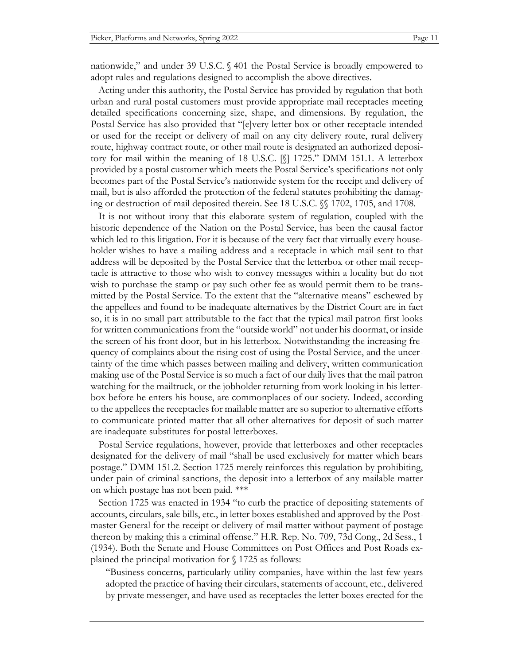nationwide," and under 39 U.S.C. § 401 the Postal Service is broadly empowered to adopt rules and regulations designed to accomplish the above directives.

Acting under this authority, the Postal Service has provided by regulation that both urban and rural postal customers must provide appropriate mail receptacles meeting detailed specifications concerning size, shape, and dimensions. By regulation, the Postal Service has also provided that "[e]very letter box or other receptacle intended or used for the receipt or delivery of mail on any city delivery route, rural delivery route, highway contract route, or other mail route is designated an authorized depository for mail within the meaning of 18 U.S.C. [§] 1725." DMM 151.1. A letterbox provided by a postal customer which meets the Postal Service's specifications not only becomes part of the Postal Service's nationwide system for the receipt and delivery of mail, but is also afforded the protection of the federal statutes prohibiting the damaging or destruction of mail deposited therein. See 18 U.S.C. §§ 1702, 1705, and 1708.

It is not without irony that this elaborate system of regulation, coupled with the historic dependence of the Nation on the Postal Service, has been the causal factor which led to this litigation. For it is because of the very fact that virtually every householder wishes to have a mailing address and a receptacle in which mail sent to that address will be deposited by the Postal Service that the letterbox or other mail receptacle is attractive to those who wish to convey messages within a locality but do not wish to purchase the stamp or pay such other fee as would permit them to be transmitted by the Postal Service. To the extent that the "alternative means" eschewed by the appellees and found to be inadequate alternatives by the District Court are in fact so, it is in no small part attributable to the fact that the typical mail patron first looks for written communications from the "outside world" not under his doormat, or inside the screen of his front door, but in his letterbox. Notwithstanding the increasing frequency of complaints about the rising cost of using the Postal Service, and the uncertainty of the time which passes between mailing and delivery, written communication making use of the Postal Service is so much a fact of our daily lives that the mail patron watching for the mailtruck, or the jobholder returning from work looking in his letterbox before he enters his house, are commonplaces of our society. Indeed, according to the appellees the receptacles for mailable matter are so superior to alternative efforts to communicate printed matter that all other alternatives for deposit of such matter are inadequate substitutes for postal letterboxes.

Postal Service regulations, however, provide that letterboxes and other receptacles designated for the delivery of mail "shall be used exclusively for matter which bears postage." DMM 151.2. Section 1725 merely reinforces this regulation by prohibiting, under pain of criminal sanctions, the deposit into a letterbox of any mailable matter on which postage has not been paid. \*\*\*

Section 1725 was enacted in 1934 "to curb the practice of depositing statements of accounts, circulars, sale bills, etc., in letter boxes established and approved by the Postmaster General for the receipt or delivery of mail matter without payment of postage thereon by making this a criminal offense." H.R. Rep. No. 709, 73d Cong., 2d Sess., 1 (1934). Both the Senate and House Committees on Post Offices and Post Roads explained the principal motivation for § 1725 as follows:

"Business concerns, particularly utility companies, have within the last few years adopted the practice of having their circulars, statements of account, etc., delivered by private messenger, and have used as receptacles the letter boxes erected for the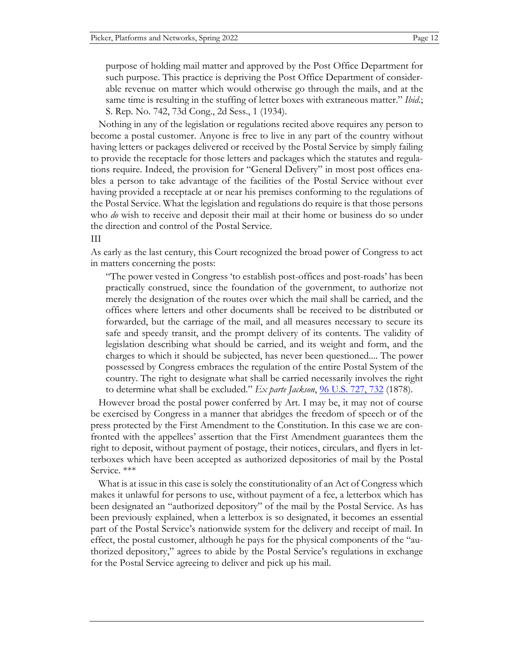Nothing in any of the legislation or regulations recited above requires any person to become a postal customer. Anyone is free to live in any part of the country without having letters or packages delivered or received by the Postal Service by simply failing to provide the receptacle for those letters and packages which the statutes and regulations require. Indeed, the provision for "General Delivery" in most post offices enables a person to take advantage of the facilities of the Postal Service without ever having provided a receptacle at or near his premises conforming to the regulations of the Postal Service. What the legislation and regulations do require is that those persons who *do* wish to receive and deposit their mail at their home or business do so under the direction and control of the Postal Service.

#### III

As early as the last century, this Court recognized the broad power of Congress to act in matters concerning the posts:

"The power vested in Congress 'to establish post-offices and post-roads' has been practically construed, since the foundation of the government, to authorize not merely the designation of the routes over which the mail shall be carried, and the offices where letters and other documents shall be received to be distributed or forwarded, but the carriage of the mail, and all measures necessary to secure its safe and speedy transit, and the prompt delivery of its contents. The validity of legislation describing what should be carried, and its weight and form, and the charges to which it should be subjected, has never been questioned.... The power possessed by Congress embraces the regulation of the entire Postal System of the country. The right to designate what shall be carried necessarily involves the right to determine what shall be excluded." *Ex parte Jackson*, 96 U.S. 727, 732 (1878).

However broad the postal power conferred by Art. I may be, it may not of course be exercised by Congress in a manner that abridges the freedom of speech or of the press protected by the First Amendment to the Constitution. In this case we are confronted with the appellees' assertion that the First Amendment guarantees them the right to deposit, without payment of postage, their notices, circulars, and flyers in letterboxes which have been accepted as authorized depositories of mail by the Postal Service. \*\*\*

What is at issue in this case is solely the constitutionality of an Act of Congress which makes it unlawful for persons to use, without payment of a fee, a letterbox which has been designated an "authorized depository" of the mail by the Postal Service. As has been previously explained, when a letterbox is so designated, it becomes an essential part of the Postal Service's nationwide system for the delivery and receipt of mail. In effect, the postal customer, although he pays for the physical components of the "authorized depository," agrees to abide by the Postal Service's regulations in exchange for the Postal Service agreeing to deliver and pick up his mail.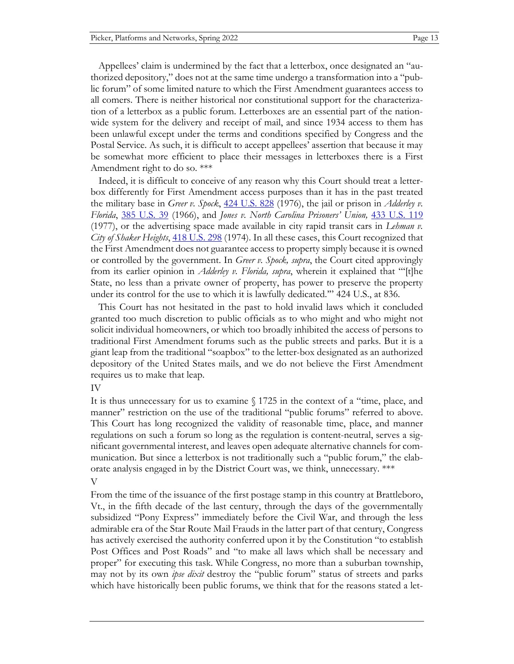Appellees' claim is undermined by the fact that a letterbox, once designated an "authorized depository," does not at the same time undergo a transformation into a "public forum" of some limited nature to which the First Amendment guarantees access to all comers. There is neither historical nor constitutional support for the characterization of a letterbox as a public forum. Letterboxes are an essential part of the nationwide system for the delivery and receipt of mail, and since 1934 access to them has been unlawful except under the terms and conditions specified by Congress and the Postal Service. As such, it is difficult to accept appellees' assertion that because it may be somewhat more efficient to place their messages in letterboxes there is a First Amendment right to do so. \*\*\*

Indeed, it is difficult to conceive of any reason why this Court should treat a letterbox differently for First Amendment access purposes than it has in the past treated the military base in *Greer v. Spock*, 424 U.S. 828 (1976), the jail or prison in *Adderley v. Florida*, 385 U.S. 39 (1966), and *Jones v. North Carolina Prisoners' Union,* 433 U.S. 119 (1977), or the advertising space made available in city rapid transit cars in *Lehman v. City of Shaker Heights*, 418 U.S. 298 (1974). In all these cases, this Court recognized that the First Amendment does not guarantee access to property simply because it is owned or controlled by the government. In *Greer v. Spock, supra*, the Court cited approvingly from its earlier opinion in *Adderley v. Florida, supra*, wherein it explained that "'[t]he State, no less than a private owner of property, has power to preserve the property under its control for the use to which it is lawfully dedicated.'" 424 U.S., at 836.

This Court has not hesitated in the past to hold invalid laws which it concluded granted too much discretion to public officials as to who might and who might not solicit individual homeowners, or which too broadly inhibited the access of persons to traditional First Amendment forums such as the public streets and parks. But it is a giant leap from the traditional "soapbox" to the letter-box designated as an authorized depository of the United States mails, and we do not believe the First Amendment requires us to make that leap.

IV

It is thus unnecessary for us to examine § 1725 in the context of a "time, place, and manner" restriction on the use of the traditional "public forums" referred to above. This Court has long recognized the validity of reasonable time, place, and manner regulations on such a forum so long as the regulation is content-neutral, serves a significant governmental interest, and leaves open adequate alternative channels for communication. But since a letterbox is not traditionally such a "public forum," the elaborate analysis engaged in by the District Court was, we think, unnecessary. \*\*\* V

From the time of the issuance of the first postage stamp in this country at Brattleboro, Vt., in the fifth decade of the last century, through the days of the governmentally subsidized "Pony Express" immediately before the Civil War, and through the less admirable era of the Star Route Mail Frauds in the latter part of that century, Congress has actively exercised the authority conferred upon it by the Constitution "to establish Post Offices and Post Roads" and "to make all laws which shall be necessary and proper" for executing this task. While Congress, no more than a suburban township, may not by its own *ipse dixit* destroy the "public forum" status of streets and parks which have historically been public forums, we think that for the reasons stated a let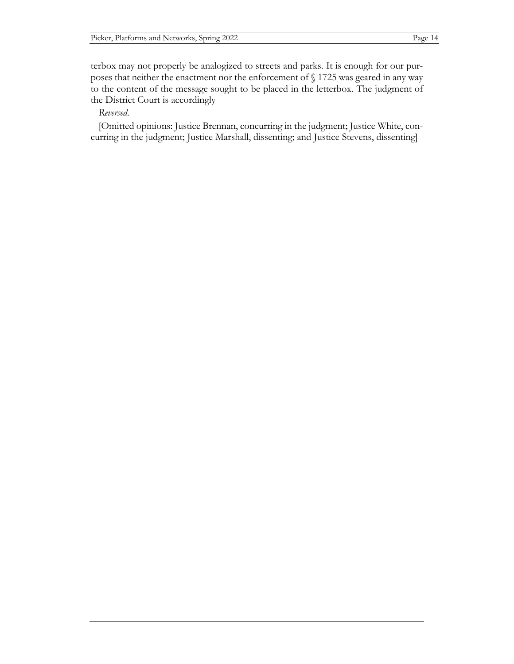terbox may not properly be analogized to streets and parks. It is enough for our purposes that neither the enactment nor the enforcement of § 1725 was geared in any way to the content of the message sought to be placed in the letterbox. The judgment of the District Court is accordingly

*Reversed*.

[Omitted opinions: Justice Brennan, concurring in the judgment; Justice White, concurring in the judgment; Justice Marshall, dissenting; and Justice Stevens, dissenting]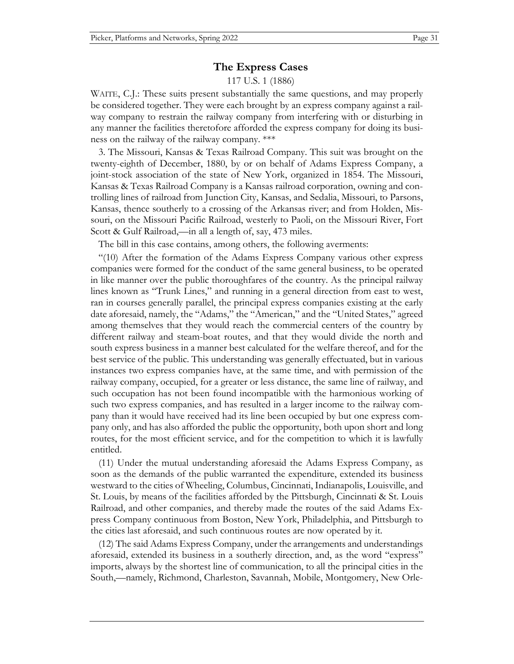# **The Express Cases**

#### 117 U.S. 1 (1886)

WAITE, C.J.: These suits present substantially the same questions, and may properly be considered together. They were each brought by an express company against a railway company to restrain the railway company from interfering with or disturbing in any manner the facilities theretofore afforded the express company for doing its business on the railway of the railway company. \*\*\*

3. The Missouri, Kansas & Texas Railroad Company. This suit was brought on the twenty-eighth of December, 1880, by or on behalf of Adams Express Company, a joint-stock association of the state of New York, organized in 1854. The Missouri, Kansas & Texas Railroad Company is a Kansas railroad corporation, owning and controlling lines of railroad from Junction City, Kansas, and Sedalia, Missouri, to Parsons, Kansas, thence southerly to a crossing of the Arkansas river; and from Holden, Missouri, on the Missouri Pacific Railroad, westerly to Paoli, on the Missouri River, Fort Scott & Gulf Railroad,—in all a length of, say, 473 miles.

The bill in this case contains, among others, the following averments:

"(10) After the formation of the Adams Express Company various other express companies were formed for the conduct of the same general business, to be operated in like manner over the public thoroughfares of the country. As the principal railway lines known as "Trunk Lines," and running in a general direction from east to west, ran in courses generally parallel, the principal express companies existing at the early date aforesaid, namely, the "Adams," the "American," and the "United States," agreed among themselves that they would reach the commercial centers of the country by different railway and steam-boat routes, and that they would divide the north and south express business in a manner best calculated for the welfare thereof, and for the best service of the public. This understanding was generally effectuated, but in various instances two express companies have, at the same time, and with permission of the railway company, occupied, for a greater or less distance, the same line of railway, and such occupation has not been found incompatible with the harmonious working of such two express companies, and has resulted in a larger income to the railway company than it would have received had its line been occupied by but one express company only, and has also afforded the public the opportunity, both upon short and long routes, for the most efficient service, and for the competition to which it is lawfully entitled.

(11) Under the mutual understanding aforesaid the Adams Express Company, as soon as the demands of the public warranted the expenditure, extended its business westward to the cities of Wheeling, Columbus, Cincinnati, Indianapolis, Louisville, and St. Louis, by means of the facilities afforded by the Pittsburgh, Cincinnati & St. Louis Railroad, and other companies, and thereby made the routes of the said Adams Express Company continuous from Boston, New York, Philadelphia, and Pittsburgh to the cities last aforesaid, and such continuous routes are now operated by it.

(12) The said Adams Express Company, under the arrangements and understandings aforesaid, extended its business in a southerly direction, and, as the word "express" imports, always by the shortest line of communication, to all the principal cities in the South,—namely, Richmond, Charleston, Savannah, Mobile, Montgomery, New Orle-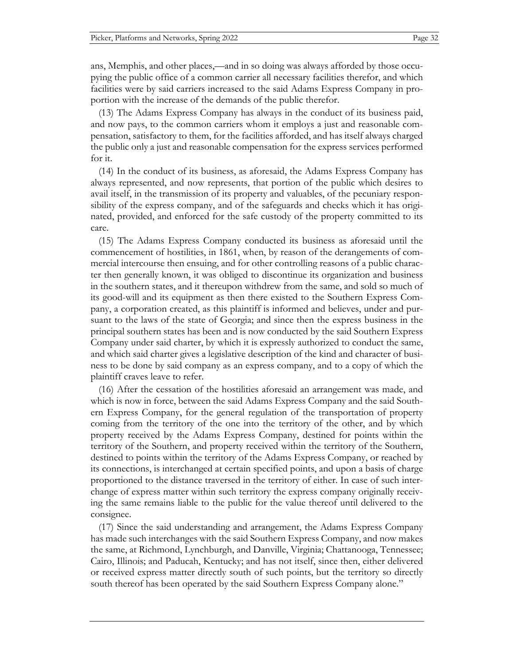ans, Memphis, and other places,—and in so doing was always afforded by those occupying the public office of a common carrier all necessary facilities therefor, and which facilities were by said carriers increased to the said Adams Express Company in proportion with the increase of the demands of the public therefor.

(13) The Adams Express Company has always in the conduct of its business paid, and now pays, to the common carriers whom it employs a just and reasonable compensation, satisfactory to them, for the facilities afforded, and has itself always charged the public only a just and reasonable compensation for the express services performed for it.

(14) In the conduct of its business, as aforesaid, the Adams Express Company has always represented, and now represents, that portion of the public which desires to avail itself, in the transmission of its property and valuables, of the pecuniary responsibility of the express company, and of the safeguards and checks which it has originated, provided, and enforced for the safe custody of the property committed to its care.

(15) The Adams Express Company conducted its business as aforesaid until the commencement of hostilities, in 1861, when, by reason of the derangements of commercial intercourse then ensuing, and for other controlling reasons of a public character then generally known, it was obliged to discontinue its organization and business in the southern states, and it thereupon withdrew from the same, and sold so much of its good-will and its equipment as then there existed to the Southern Express Company, a corporation created, as this plaintiff is informed and believes, under and pursuant to the laws of the state of Georgia; and since then the express business in the principal southern states has been and is now conducted by the said Southern Express Company under said charter, by which it is expressly authorized to conduct the same, and which said charter gives a legislative description of the kind and character of business to be done by said company as an express company, and to a copy of which the plaintiff craves leave to refer.

(16) After the cessation of the hostilities aforesaid an arrangement was made, and which is now in force, between the said Adams Express Company and the said Southern Express Company, for the general regulation of the transportation of property coming from the territory of the one into the territory of the other, and by which property received by the Adams Express Company, destined for points within the territory of the Southern, and property received within the territory of the Southern, destined to points within the territory of the Adams Express Company, or reached by its connections, is interchanged at certain specified points, and upon a basis of charge proportioned to the distance traversed in the territory of either. In case of such interchange of express matter within such territory the express company originally receiving the same remains liable to the public for the value thereof until delivered to the consignee.

(17) Since the said understanding and arrangement, the Adams Express Company has made such interchanges with the said Southern Express Company, and now makes the same, at Richmond, Lynchburgh, and Danville, Virginia; Chattanooga, Tennessee; Cairo, Illinois; and Paducah, Kentucky; and has not itself, since then, either delivered or received express matter directly south of such points, but the territory so directly south thereof has been operated by the said Southern Express Company alone."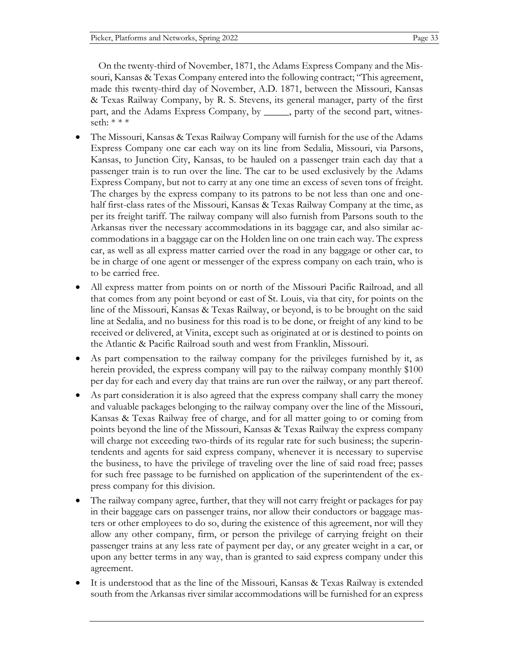On the twenty-third of November, 1871, the Adams Express Company and the Missouri, Kansas & Texas Company entered into the following contract; "This agreement, made this twenty-third day of November, A.D. 1871, between the Missouri, Kansas & Texas Railway Company, by R. S. Stevens, its general manager, party of the first part, and the Adams Express Company, by \_\_\_\_\_, party of the second part, witnesseth:  $***$ 

- The Missouri, Kansas & Texas Railway Company will furnish for the use of the Adams Express Company one car each way on its line from Sedalia, Missouri, via Parsons, Kansas, to Junction City, Kansas, to be hauled on a passenger train each day that a passenger train is to run over the line. The car to be used exclusively by the Adams Express Company, but not to carry at any one time an excess of seven tons of freight. The charges by the express company to its patrons to be not less than one and onehalf first-class rates of the Missouri, Kansas & Texas Railway Company at the time, as per its freight tariff. The railway company will also furnish from Parsons south to the Arkansas river the necessary accommodations in its baggage car, and also similar accommodations in a baggage car on the Holden line on one train each way. The express car, as well as all express matter carried over the road in any baggage or other car, to be in charge of one agent or messenger of the express company on each train, who is to be carried free.
- All express matter from points on or north of the Missouri Pacific Railroad, and all that comes from any point beyond or east of St. Louis, via that city, for points on the line of the Missouri, Kansas & Texas Railway, or beyond, is to be brought on the said line at Sedalia, and no business for this road is to be done, or freight of any kind to be received or delivered, at Vinita, except such as originated at or is destined to points on the Atlantic & Pacific Railroad south and west from Franklin, Missouri.
- As part compensation to the railway company for the privileges furnished by it, as herein provided, the express company will pay to the railway company monthly \$100 per day for each and every day that trains are run over the railway, or any part thereof.
- As part consideration it is also agreed that the express company shall carry the money and valuable packages belonging to the railway company over the line of the Missouri, Kansas & Texas Railway free of charge, and for all matter going to or coming from points beyond the line of the Missouri, Kansas & Texas Railway the express company will charge not exceeding two-thirds of its regular rate for such business; the superintendents and agents for said express company, whenever it is necessary to supervise the business, to have the privilege of traveling over the line of said road free; passes for such free passage to be furnished on application of the superintendent of the express company for this division.
- The railway company agree, further, that they will not carry freight or packages for pay in their baggage cars on passenger trains, nor allow their conductors or baggage masters or other employees to do so, during the existence of this agreement, nor will they allow any other company, firm, or person the privilege of carrying freight on their passenger trains at any less rate of payment per day, or any greater weight in a car, or upon any better terms in any way, than is granted to said express company under this agreement.
- It is understood that as the line of the Missouri, Kansas & Texas Railway is extended south from the Arkansas river similar accommodations will be furnished for an express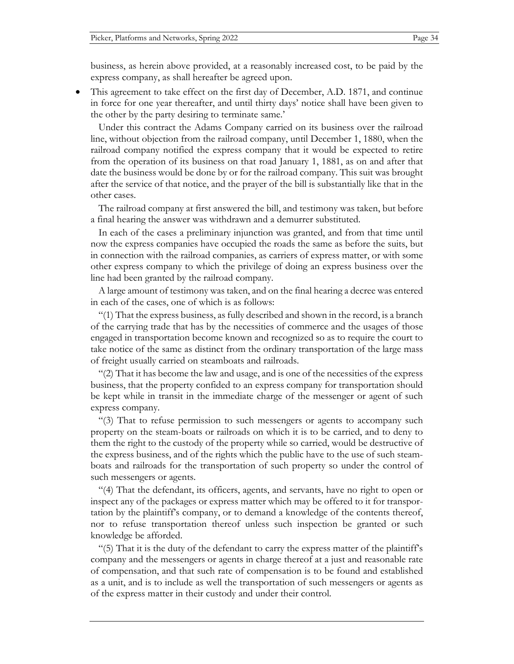business, as herein above provided, at a reasonably increased cost, to be paid by the express company, as shall hereafter be agreed upon.

 This agreement to take effect on the first day of December, A.D. 1871, and continue in force for one year thereafter, and until thirty days' notice shall have been given to the other by the party desiring to terminate same.'

Under this contract the Adams Company carried on its business over the railroad line, without objection from the railroad company, until December 1, 1880, when the railroad company notified the express company that it would be expected to retire from the operation of its business on that road January 1, 1881, as on and after that date the business would be done by or for the railroad company. This suit was brought after the service of that notice, and the prayer of the bill is substantially like that in the other cases.

The railroad company at first answered the bill, and testimony was taken, but before a final hearing the answer was withdrawn and a demurrer substituted.

In each of the cases a preliminary injunction was granted, and from that time until now the express companies have occupied the roads the same as before the suits, but in connection with the railroad companies, as carriers of express matter, or with some other express company to which the privilege of doing an express business over the line had been granted by the railroad company.

A large amount of testimony was taken, and on the final hearing a decree was entered in each of the cases, one of which is as follows:

"(1) That the express business, as fully described and shown in the record, is a branch of the carrying trade that has by the necessities of commerce and the usages of those engaged in transportation become known and recognized so as to require the court to take notice of the same as distinct from the ordinary transportation of the large mass of freight usually carried on steamboats and railroads.

"(2) That it has become the law and usage, and is one of the necessities of the express business, that the property confided to an express company for transportation should be kept while in transit in the immediate charge of the messenger or agent of such express company.

"(3) That to refuse permission to such messengers or agents to accompany such property on the steam-boats or railroads on which it is to be carried, and to deny to them the right to the custody of the property while so carried, would be destructive of the express business, and of the rights which the public have to the use of such steamboats and railroads for the transportation of such property so under the control of such messengers or agents.

"(4) That the defendant, its officers, agents, and servants, have no right to open or inspect any of the packages or express matter which may be offered to it for transportation by the plaintiff's company, or to demand a knowledge of the contents thereof, nor to refuse transportation thereof unless such inspection be granted or such knowledge be afforded.

"(5) That it is the duty of the defendant to carry the express matter of the plaintiff's company and the messengers or agents in charge thereof at a just and reasonable rate of compensation, and that such rate of compensation is to be found and established as a unit, and is to include as well the transportation of such messengers or agents as of the express matter in their custody and under their control.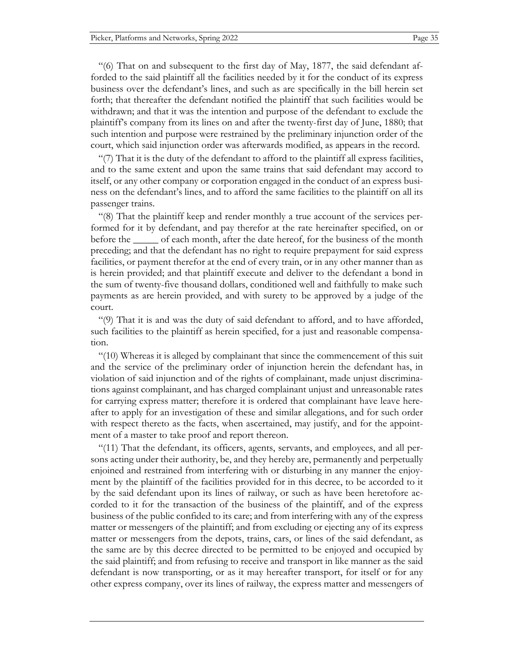"(6) That on and subsequent to the first day of May, 1877, the said defendant afforded to the said plaintiff all the facilities needed by it for the conduct of its express business over the defendant's lines, and such as are specifically in the bill herein set forth; that thereafter the defendant notified the plaintiff that such facilities would be withdrawn; and that it was the intention and purpose of the defendant to exclude the plaintiff's company from its lines on and after the twenty-first day of June, 1880; that such intention and purpose were restrained by the preliminary injunction order of the court, which said injunction order was afterwards modified, as appears in the record.

 $\degree$ (7) That it is the duty of the defendant to afford to the plaintiff all express facilities, and to the same extent and upon the same trains that said defendant may accord to itself, or any other company or corporation engaged in the conduct of an express business on the defendant's lines, and to afford the same facilities to the plaintiff on all its passenger trains.

"(8) That the plaintiff keep and render monthly a true account of the services performed for it by defendant, and pay therefor at the rate hereinafter specified, on or before the \_\_\_\_\_ of each month, after the date hereof, for the business of the month preceding; and that the defendant has no right to require prepayment for said express facilities, or payment therefor at the end of every train, or in any other manner than as is herein provided; and that plaintiff execute and deliver to the defendant a bond in the sum of twenty-five thousand dollars, conditioned well and faithfully to make such payments as are herein provided, and with surety to be approved by a judge of the court.

"(9) That it is and was the duty of said defendant to afford, and to have afforded, such facilities to the plaintiff as herein specified, for a just and reasonable compensation.

"(10) Whereas it is alleged by complainant that since the commencement of this suit and the service of the preliminary order of injunction herein the defendant has, in violation of said injunction and of the rights of complainant, made unjust discriminations against complainant, and has charged complainant unjust and unreasonable rates for carrying express matter; therefore it is ordered that complainant have leave hereafter to apply for an investigation of these and similar allegations, and for such order with respect thereto as the facts, when ascertained, may justify, and for the appointment of a master to take proof and report thereon.

"(11) That the defendant, its officers, agents, servants, and employees, and all persons acting under their authority, be, and they hereby are, permanently and perpetually enjoined and restrained from interfering with or disturbing in any manner the enjoyment by the plaintiff of the facilities provided for in this decree, to be accorded to it by the said defendant upon its lines of railway, or such as have been heretofore accorded to it for the transaction of the business of the plaintiff, and of the express business of the public confided to its care; and from interfering with any of the express matter or messengers of the plaintiff; and from excluding or ejecting any of its express matter or messengers from the depots, trains, cars, or lines of the said defendant, as the same are by this decree directed to be permitted to be enjoyed and occupied by the said plaintiff; and from refusing to receive and transport in like manner as the said defendant is now transporting, or as it may hereafter transport, for itself or for any other express company, over its lines of railway, the express matter and messengers of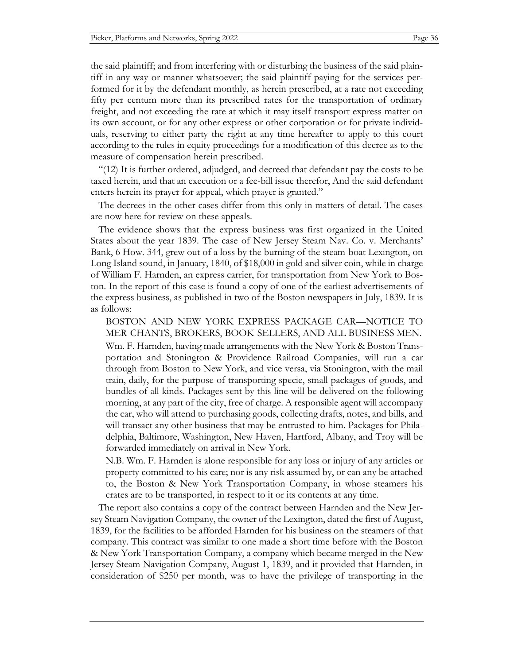the said plaintiff; and from interfering with or disturbing the business of the said plaintiff in any way or manner whatsoever; the said plaintiff paying for the services performed for it by the defendant monthly, as herein prescribed, at a rate not exceeding fifty per centum more than its prescribed rates for the transportation of ordinary freight, and not exceeding the rate at which it may itself transport express matter on its own account, or for any other express or other corporation or for private individuals, reserving to either party the right at any time hereafter to apply to this court according to the rules in equity proceedings for a modification of this decree as to the measure of compensation herein prescribed.

"(12) It is further ordered, adjudged, and decreed that defendant pay the costs to be taxed herein, and that an execution or a fee-bill issue therefor, And the said defendant enters herein its prayer for appeal, which prayer is granted."

The decrees in the other cases differ from this only in matters of detail. The cases are now here for review on these appeals.

The evidence shows that the express business was first organized in the United States about the year 1839. The case of New Jersey Steam Nav. Co. v. Merchants' Bank, 6 How. 344, grew out of a loss by the burning of the steam-boat Lexington, on Long Island sound, in January, 1840, of \$18,000 in gold and silver coin, while in charge of William F. Harnden, an express carrier, for transportation from New York to Boston. In the report of this case is found a copy of one of the earliest advertisements of the express business, as published in two of the Boston newspapers in July, 1839. It is as follows:

BOSTON AND NEW YORK EXPRESS PACKAGE CAR—NOTICE TO MER-CHANTS, BROKERS, BOOK-SELLERS, AND ALL BUSINESS MEN. Wm. F. Harnden, having made arrangements with the New York & Boston Transportation and Stonington & Providence Railroad Companies, will run a car through from Boston to New York, and vice versa, via Stonington, with the mail train, daily, for the purpose of transporting specie, small packages of goods, and bundles of all kinds. Packages sent by this line will be delivered on the following morning, at any part of the city, free of charge. A responsible agent will accompany the car, who will attend to purchasing goods, collecting drafts, notes, and bills, and will transact any other business that may be entrusted to him. Packages for Philadelphia, Baltimore, Washington, New Haven, Hartford, Albany, and Troy will be forwarded immediately on arrival in New York.

N.B. Wm. F. Harnden is alone responsible for any loss or injury of any articles or property committed to his care; nor is any risk assumed by, or can any be attached to, the Boston & New York Transportation Company, in whose steamers his crates are to be transported, in respect to it or its contents at any time.

The report also contains a copy of the contract between Harnden and the New Jersey Steam Navigation Company, the owner of the Lexington, dated the first of August, 1839, for the facilities to be afforded Harnden for his business on the steamers of that company. This contract was similar to one made a short time before with the Boston & New York Transportation Company, a company which became merged in the New Jersey Steam Navigation Company, August 1, 1839, and it provided that Harnden, in consideration of \$250 per month, was to have the privilege of transporting in the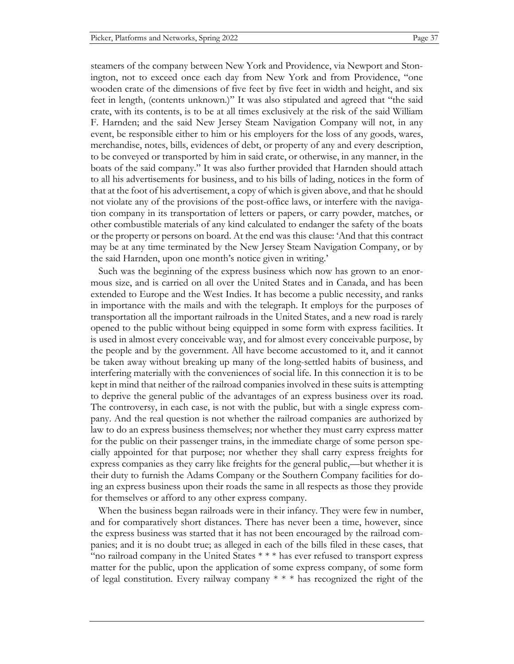steamers of the company between New York and Providence, via Newport and Stonington, not to exceed once each day from New York and from Providence, "one wooden crate of the dimensions of five feet by five feet in width and height, and six feet in length, (contents unknown.)" It was also stipulated and agreed that "the said crate, with its contents, is to be at all times exclusively at the risk of the said William F. Harnden; and the said New Jersey Steam Navigation Company will not, in any event, be responsible either to him or his employers for the loss of any goods, wares, merchandise, notes, bills, evidences of debt, or property of any and every description, to be conveyed or transported by him in said crate, or otherwise, in any manner, in the boats of the said company." It was also further provided that Harnden should attach to all his advertisements for business, and to his bills of lading, notices in the form of that at the foot of his advertisement, a copy of which is given above, and that he should not violate any of the provisions of the post-office laws, or interfere with the navigation company in its transportation of letters or papers, or carry powder, matches, or other combustible materials of any kind calculated to endanger the safety of the boats or the property or persons on board. At the end was this clause: 'And that this contract may be at any time terminated by the New Jersey Steam Navigation Company, or by the said Harnden, upon one month's notice given in writing.'

Such was the beginning of the express business which now has grown to an enormous size, and is carried on all over the United States and in Canada, and has been extended to Europe and the West Indies. It has become a public necessity, and ranks in importance with the mails and with the telegraph. It employs for the purposes of transportation all the important railroads in the United States, and a new road is rarely opened to the public without being equipped in some form with express facilities. It is used in almost every conceivable way, and for almost every conceivable purpose, by the people and by the government. All have become accustomed to it, and it cannot be taken away without breaking up many of the long-settled habits of business, and interfering materially with the conveniences of social life. In this connection it is to be kept in mind that neither of the railroad companies involved in these suits is attempting to deprive the general public of the advantages of an express business over its road. The controversy, in each case, is not with the public, but with a single express company. And the real question is not whether the railroad companies are authorized by law to do an express business themselves; nor whether they must carry express matter for the public on their passenger trains, in the immediate charge of some person specially appointed for that purpose; nor whether they shall carry express freights for express companies as they carry like freights for the general public,—but whether it is their duty to furnish the Adams Company or the Southern Company facilities for doing an express business upon their roads the same in all respects as those they provide for themselves or afford to any other express company.

When the business began railroads were in their infancy. They were few in number, and for comparatively short distances. There has never been a time, however, since the express business was started that it has not been encouraged by the railroad companies; and it is no doubt true; as alleged in each of the bills filed in these cases, that "no railroad company in the United States  $***$  has ever refused to transport express matter for the public, upon the application of some express company, of some form of legal constitution. Every railway company  $* * *$  has recognized the right of the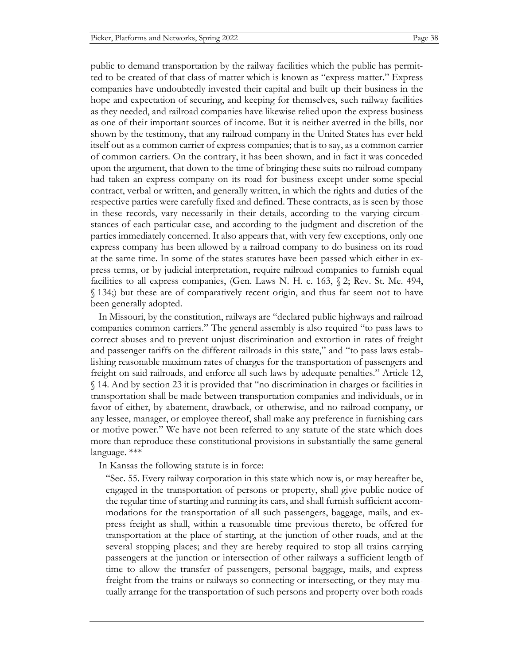public to demand transportation by the railway facilities which the public has permitted to be created of that class of matter which is known as "express matter." Express companies have undoubtedly invested their capital and built up their business in the hope and expectation of securing, and keeping for themselves, such railway facilities as they needed, and railroad companies have likewise relied upon the express business as one of their important sources of income. But it is neither averred in the bills, nor shown by the testimony, that any railroad company in the United States has ever held itself out as a common carrier of express companies; that is to say, as a common carrier of common carriers. On the contrary, it has been shown, and in fact it was conceded upon the argument, that down to the time of bringing these suits no railroad company had taken an express company on its road for business except under some special contract, verbal or written, and generally written, in which the rights and duties of the respective parties were carefully fixed and defined. These contracts, as is seen by those in these records, vary necessarily in their details, according to the varying circumstances of each particular case, and according to the judgment and discretion of the parties immediately concerned. It also appears that, with very few exceptions, only one express company has been allowed by a railroad company to do business on its road at the same time. In some of the states statutes have been passed which either in express terms, or by judicial interpretation, require railroad companies to furnish equal facilities to all express companies, (Gen. Laws N. H. c. 163,  $\S$  2; Rev. St. Me. 494, § 134;) but these are of comparatively recent origin, and thus far seem not to have been generally adopted.

In Missouri, by the constitution, railways are "declared public highways and railroad companies common carriers." The general assembly is also required "to pass laws to correct abuses and to prevent unjust discrimination and extortion in rates of freight and passenger tariffs on the different railroads in this state," and "to pass laws establishing reasonable maximum rates of charges for the transportation of passengers and freight on said railroads, and enforce all such laws by adequate penalties." Article 12, § 14. And by section 23 it is provided that "no discrimination in charges or facilities in transportation shall be made between transportation companies and individuals, or in favor of either, by abatement, drawback, or otherwise, and no railroad company, or any lessee, manager, or employee thereof, shall make any preference in furnishing cars or motive power." We have not been referred to any statute of the state which does more than reproduce these constitutional provisions in substantially the same general language. \*\*\*

In Kansas the following statute is in force:

"Sec. 55. Every railway corporation in this state which now is, or may hereafter be, engaged in the transportation of persons or property, shall give public notice of the regular time of starting and running its cars, and shall furnish sufficient accommodations for the transportation of all such passengers, baggage, mails, and express freight as shall, within a reasonable time previous thereto, be offered for transportation at the place of starting, at the junction of other roads, and at the several stopping places; and they are hereby required to stop all trains carrying passengers at the junction or intersection of other railways a sufficient length of time to allow the transfer of passengers, personal baggage, mails, and express freight from the trains or railways so connecting or intersecting, or they may mutually arrange for the transportation of such persons and property over both roads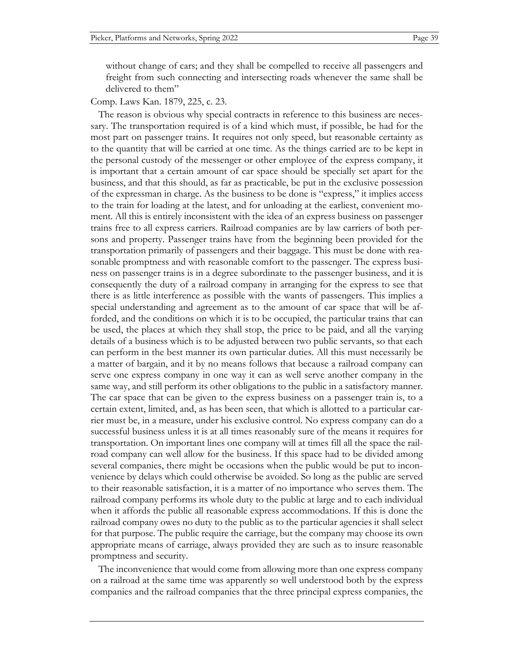without change of cars; and they shall be compelled to receive all passengers and freight from such connecting and intersecting roads whenever the same shall be delivered to them"

Comp. Laws Kan. 1879, 225, c. 23.

The reason is obvious why special contracts in reference to this business are necessary. The transportation required is of a kind which must, if possible, be had for the most part on passenger trains. It requires not only speed, but reasonable certainty as to the quantity that will be carried at one time. As the things carried are to be kept in the personal custody of the messenger or other employee of the express company, it is important that a certain amount of car space should be specially set apart for the business, and that this should, as far as practicable, be put in the exclusive possession of the expressman in charge. As the business to be done is "express," it implies access to the train for loading at the latest, and for unloading at the earliest, convenient moment. All this is entirely inconsistent with the idea of an express business on passenger trains free to all express carriers. Railroad companies are by law carriers of both persons and property. Passenger trains have from the beginning been provided for the transportation primarily of passengers and their baggage. This must be done with reasonable promptness and with reasonable comfort to the passenger. The express business on passenger trains is in a degree subordinate to the passenger business, and it is consequently the duty of a railroad company in arranging for the express to see that there is as little interference as possible with the wants of passengers. This implies a special understanding and agreement as to the amount of car space that will be afforded, and the conditions on which it is to be occupied, the particular trains that can be used, the places at which they shall stop, the price to be paid, and all the varying details of a business which is to be adjusted between two public servants, so that each can perform in the best manner its own particular duties. All this must necessarily be a matter of bargain, and it by no means follows that because a railroad company can serve one express company in one way it can as well serve another company in the same way, and still perform its other obligations to the public in a satisfactory manner. The car space that can be given to the express business on a passenger train is, to a certain extent, limited, and, as has been seen, that which is allotted to a particular carrier must be, in a measure, under his exclusive control. No express company can do a successful business unless it is at all times reasonably sure of the means it requires for transportation. On important lines one company will at times fill all the space the railroad company can well allow for the business. If this space had to be divided among several companies, there might be occasions when the public would be put to inconvenience by delays which could otherwise be avoided. So long as the public are served to their reasonable satisfaction, it is a matter of no importance who serves them. The railroad company performs its whole duty to the public at large and to each individual when it affords the public all reasonable express accommodations. If this is done the railroad company owes no duty to the public as to the particular agencies it shall select for that purpose. The public require the carriage, but the company may choose its own appropriate means of carriage, always provided they are such as to insure reasonable promptness and security.

The inconvenience that would come from allowing more than one express company on a railroad at the same time was apparently so well understood both by the express companies and the railroad companies that the three principal express companies, the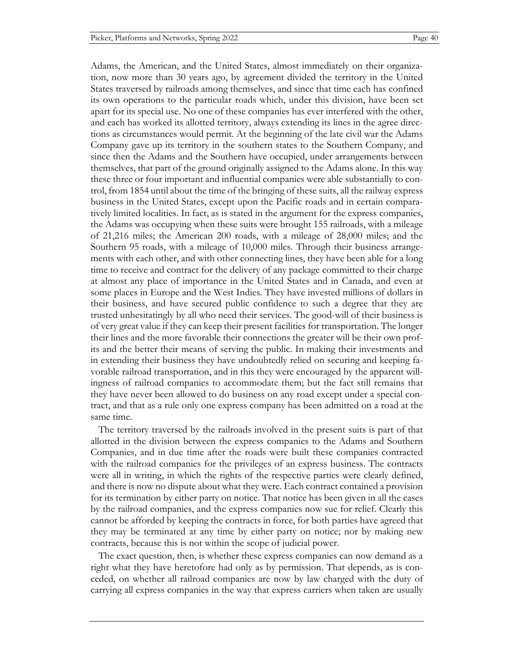Adams, the American, and the United States, almost immediately on their organization, now more than 30 years ago, by agreement divided the territory in the United States traversed by railroads among themselves, and since that time each has confined its own operations to the particular roads which, under this division, have been set apart for its special use. No one of these companies has ever interfered with the other, and each has worked its allotted territory, always extending its lines in the agree directions as circumstances would permit. At the beginning of the late civil war the Adams Company gave up its territory in the southern states to the Southern Company, and since then the Adams and the Southern have occupied, under arrangements between themselves, that part of the ground originally assigned to the Adams alone. In this way these three or four important and influential companies were able substantially to control, from 1854 until about the time of the bringing of these suits, all the railway express business in the United States, except upon the Pacific roads and in certain comparatively limited localities. In fact, as is stated in the argument for the express companies, the Adams was occupying when these suits were brought 155 railroads, with a mileage of 21,216 miles; the American 200 roads, with a mileage of 28,000 miles; and the Southern 95 roads, with a mileage of 10,000 miles. Through their business arrangements with each other, and with other connecting lines, they have been able for a long time to receive and contract for the delivery of any package committed to their charge at almost any place of importance in the United States and in Canada, and even at some places in Europe and the West Indies. They have invested millions of dollars in their business, and have secured public confidence to such a degree that they are trusted unhesitatingly by all who need their services. The good-will of their business is of very great value if they can keep their present facilities for transportation. The longer their lines and the more favorable their connections the greater will be their own profits and the better their means of serving the public. In making their investments and in extending their business they have undoubtedly relied on securing and keeping favorable railroad transportation, and in this they were encouraged by the apparent willingness of railroad companies to accommodate them; but the fact still remains that they have never been allowed to do business on any road except under a special contract, and that as a rule only one express company has been admitted on a road at the same time.

The territory traversed by the railroads involved in the present suits is part of that allotted in the division between the express companies to the Adams and Southern Companies, and in due time after the roads were built these companies contracted with the railroad companies for the privileges of an express business. The contracts were all in writing, in which the rights of the respective parties were clearly defined, and there is now no dispute about what they were. Each contract contained a provision for its termination by either party on notice. That notice has been given in all the cases by the railroad companies, and the express companies now sue for relief. Clearly this cannot be afforded by keeping the contracts in force, for both parties have agreed that they may be terminated at any time by either party on notice; nor by making new contracts, because this is not within the scope of judicial power.

The exact question, then, is whether these express companies can now demand as a right what they have heretofore had only as by permission. That depends, as is conceded, on whether all railroad companies are now by law charged with the duty of carrying all express companies in the way that express carriers when taken are usually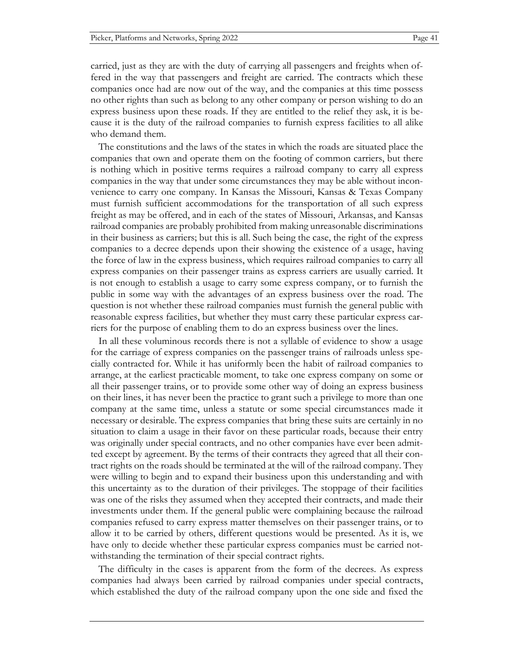carried, just as they are with the duty of carrying all passengers and freights when offered in the way that passengers and freight are carried. The contracts which these companies once had are now out of the way, and the companies at this time possess no other rights than such as belong to any other company or person wishing to do an express business upon these roads. If they are entitled to the relief they ask, it is because it is the duty of the railroad companies to furnish express facilities to all alike who demand them.

The constitutions and the laws of the states in which the roads are situated place the companies that own and operate them on the footing of common carriers, but there is nothing which in positive terms requires a railroad company to carry all express companies in the way that under some circumstances they may be able without inconvenience to carry one company. In Kansas the Missouri, Kansas & Texas Company must furnish sufficient accommodations for the transportation of all such express freight as may be offered, and in each of the states of Missouri, Arkansas, and Kansas railroad companies are probably prohibited from making unreasonable discriminations in their business as carriers; but this is all. Such being the case, the right of the express companies to a decree depends upon their showing the existence of a usage, having the force of law in the express business, which requires railroad companies to carry all express companies on their passenger trains as express carriers are usually carried. It is not enough to establish a usage to carry some express company, or to furnish the public in some way with the advantages of an express business over the road. The question is not whether these railroad companies must furnish the general public with reasonable express facilities, but whether they must carry these particular express carriers for the purpose of enabling them to do an express business over the lines.

In all these voluminous records there is not a syllable of evidence to show a usage for the carriage of express companies on the passenger trains of railroads unless specially contracted for. While it has uniformly been the habit of railroad companies to arrange, at the earliest practicable moment, to take one express company on some or all their passenger trains, or to provide some other way of doing an express business on their lines, it has never been the practice to grant such a privilege to more than one company at the same time, unless a statute or some special circumstances made it necessary or desirable. The express companies that bring these suits are certainly in no situation to claim a usage in their favor on these particular roads, because their entry was originally under special contracts, and no other companies have ever been admitted except by agreement. By the terms of their contracts they agreed that all their contract rights on the roads should be terminated at the will of the railroad company. They were willing to begin and to expand their business upon this understanding and with this uncertainty as to the duration of their privileges. The stoppage of their facilities was one of the risks they assumed when they accepted their contracts, and made their investments under them. If the general public were complaining because the railroad companies refused to carry express matter themselves on their passenger trains, or to allow it to be carried by others, different questions would be presented. As it is, we have only to decide whether these particular express companies must be carried notwithstanding the termination of their special contract rights.

The difficulty in the cases is apparent from the form of the decrees. As express companies had always been carried by railroad companies under special contracts, which established the duty of the railroad company upon the one side and fixed the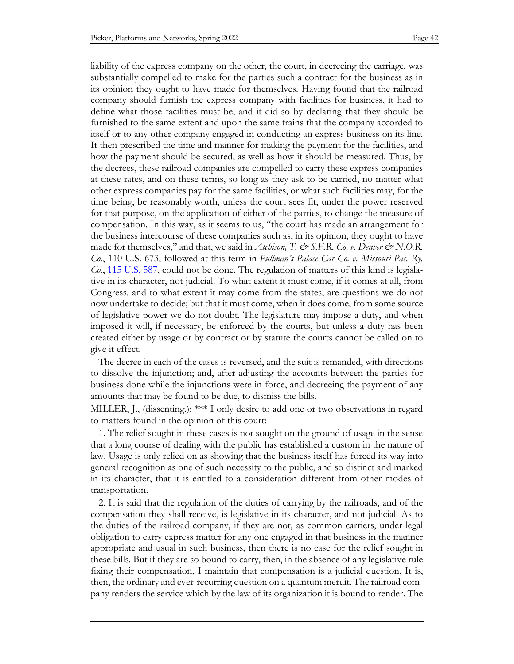liability of the express company on the other, the court, in decreeing the carriage, was substantially compelled to make for the parties such a contract for the business as in its opinion they ought to have made for themselves. Having found that the railroad company should furnish the express company with facilities for business, it had to define what those facilities must be, and it did so by declaring that they should be furnished to the same extent and upon the same trains that the company accorded to itself or to any other company engaged in conducting an express business on its line. It then prescribed the time and manner for making the payment for the facilities, and how the payment should be secured, as well as how it should be measured. Thus, by the decrees, these railroad companies are compelled to carry these express companies at these rates, and on these terms, so long as they ask to be carried, no matter what other express companies pay for the same facilities, or what such facilities may, for the time being, be reasonably worth, unless the court sees fit, under the power reserved for that purpose, on the application of either of the parties, to change the measure of compensation. In this way, as it seems to us, "the court has made an arrangement for the business intercourse of these companies such as, in its opinion, they ought to have made for themselves," and that, we said in *Atchison, T. & S.F.R. Co. v. Denver &* N.O.R. *Co.*, 110 U.S. 673, followed at this term in *Pullman's Palace Car Co. v. Missouri Pac. Ry. Co.*, 115 U.S. 587, could not be done. The regulation of matters of this kind is legislative in its character, not judicial. To what extent it must come, if it comes at all, from Congress, and to what extent it may come from the states, are questions we do not now undertake to decide; but that it must come, when it does come, from some source of legislative power we do not doubt. The legislature may impose a duty, and when imposed it will, if necessary, be enforced by the courts, but unless a duty has been created either by usage or by contract or by statute the courts cannot be called on to give it effect.

The decree in each of the cases is reversed, and the suit is remanded, with directions to dissolve the injunction; and, after adjusting the accounts between the parties for business done while the injunctions were in force, and decreeing the payment of any amounts that may be found to be due, to dismiss the bills.

MILLER, J., (dissenting.): \*\*\* I only desire to add one or two observations in regard to matters found in the opinion of this court:

1. The relief sought in these cases is not sought on the ground of usage in the sense that a long course of dealing with the public has established a custom in the nature of law. Usage is only relied on as showing that the business itself has forced its way into general recognition as one of such necessity to the public, and so distinct and marked in its character, that it is entitled to a consideration different from other modes of transportation.

2. It is said that the regulation of the duties of carrying by the railroads, and of the compensation they shall receive, is legislative in its character, and not judicial. As to the duties of the railroad company, if they are not, as common carriers, under legal obligation to carry express matter for any one engaged in that business in the manner appropriate and usual in such business, then there is no case for the relief sought in these bills. But if they are so bound to carry, then, in the absence of any legislative rule fixing their compensation, I maintain that compensation is a judicial question. It is, then, the ordinary and ever-recurring question on a quantum meruit. The railroad company renders the service which by the law of its organization it is bound to render. The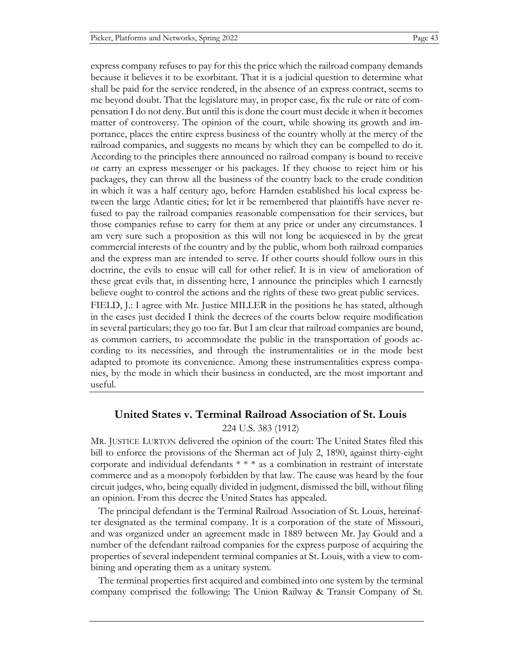express company refuses to pay for this the price which the railroad company demands because it believes it to be exorbitant. That it is a judicial question to determine what shall be paid for the service rendered, in the absence of an express contract, seems to me beyond doubt. That the legislature may, in proper case, fix the rule or rate of compensation I do not deny. But until this is done the court must decide it when it becomes matter of controversy. The opinion of the court, while showing its growth and importance, places the entire express business of the country wholly at the mercy of the railroad companies, and suggests no means by which they can be compelled to do it. According to the principles there announced no railroad company is bound to receive or carry an express messenger or his packages. If they choose to reject him or his packages, they can throw all the business of the country back to the crude condition in which it was a half century ago, before Harnden established his local express between the large Atlantic cities; for let it be remembered that plaintiffs have never refused to pay the railroad companies reasonable compensation for their services, but those companies refuse to carry for them at any price or under any circumstances. I am very sure such a proposition as this will not long be acquiesced in by the great commercial interests of the country and by the public, whom both railroad companies and the express man are intended to serve. If other courts should follow ours in this doctrine, the evils to ensue will call for other relief. It is in view of amelioration of these great evils that, in dissenting here, I announce the principles which I earnestly believe ought to control the actions and the rights of these two great public services. FIELD, J.: I agree with Mr. Justice MILLER in the positions he has stated, although in the cases just decided I think the decrees of the courts below require modification in several particulars; they go too far. But I am clear that railroad companies are bound, as common carriers, to accommodate the public in the transportation of goods according to its necessities, and through the instrumentalities or in the mode best adapted to promote its convenience. Among these instrumentalities express companies, by the mode in which their business in conducted, are the most important and useful.

# **United States v. Terminal Railroad Association of St. Louis**

# 224 U.S. 383 (1912)

MR. JUSTICE LURTON delivered the opinion of the court: The United States filed this bill to enforce the provisions of the Sherman act of July 2, 1890, against thirty-eight corporate and individual defendants \* \* \* as a combination in restraint of interstate commerce and as a monopoly forbidden by that law. The cause was heard by the four circuit judges, who, being equally divided in judgment, dismissed the bill, without filing an opinion. From this decree the United States has appealed.

The principal defendant is the Terminal Railroad Association of St. Louis, hereinafter designated as the terminal company. It is a corporation of the state of Missouri, and was organized under an agreement made in 1889 between Mr. Jay Gould and a number of the defendant railroad companies for the express purpose of acquiring the properties of several independent terminal companies at St. Louis, with a view to combining and operating them as a unitary system.

The terminal properties first acquired and combined into one system by the terminal company comprised the following: The Union Railway & Transit Company of St.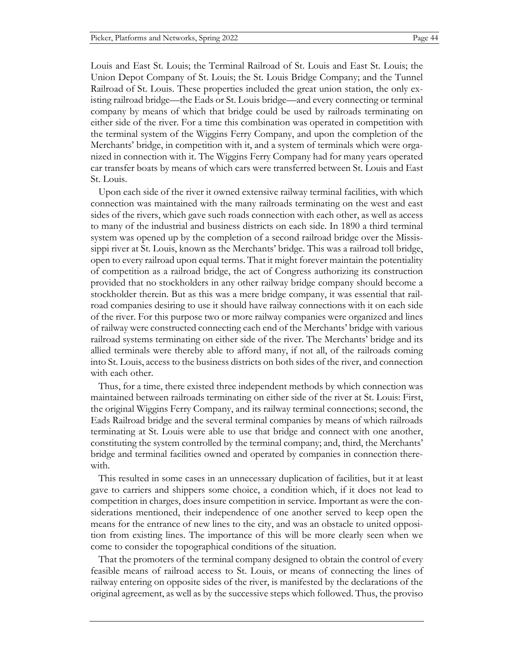Louis and East St. Louis; the Terminal Railroad of St. Louis and East St. Louis; the Union Depot Company of St. Louis; the St. Louis Bridge Company; and the Tunnel Railroad of St. Louis. These properties included the great union station, the only existing railroad bridge—the Eads or St. Louis bridge—and every connecting or terminal company by means of which that bridge could be used by railroads terminating on either side of the river. For a time this combination was operated in competition with the terminal system of the Wiggins Ferry Company, and upon the completion of the Merchants' bridge, in competition with it, and a system of terminals which were organized in connection with it. The Wiggins Ferry Company had for many years operated car transfer boats by means of which cars were transferred between St. Louis and East St. Louis.

Upon each side of the river it owned extensive railway terminal facilities, with which connection was maintained with the many railroads terminating on the west and east sides of the rivers, which gave such roads connection with each other, as well as access to many of the industrial and business districts on each side. In 1890 a third terminal system was opened up by the completion of a second railroad bridge over the Mississippi river at St. Louis, known as the Merchants' bridge. This was a railroad toll bridge, open to every railroad upon equal terms. That it might forever maintain the potentiality of competition as a railroad bridge, the act of Congress authorizing its construction provided that no stockholders in any other railway bridge company should become a stockholder therein. But as this was a mere bridge company, it was essential that railroad companies desiring to use it should have railway connections with it on each side of the river. For this purpose two or more railway companies were organized and lines of railway were constructed connecting each end of the Merchants' bridge with various railroad systems terminating on either side of the river. The Merchants' bridge and its allied terminals were thereby able to afford many, if not all, of the railroads coming into St. Louis, access to the business districts on both sides of the river, and connection with each other.

Thus, for a time, there existed three independent methods by which connection was maintained between railroads terminating on either side of the river at St. Louis: First, the original Wiggins Ferry Company, and its railway terminal connections; second, the Eads Railroad bridge and the several terminal companies by means of which railroads terminating at St. Louis were able to use that bridge and connect with one another, constituting the system controlled by the terminal company; and, third, the Merchants' bridge and terminal facilities owned and operated by companies in connection therewith.

This resulted in some cases in an unnecessary duplication of facilities, but it at least gave to carriers and shippers some choice, a condition which, if it does not lead to competition in charges, does insure competition in service. Important as were the considerations mentioned, their independence of one another served to keep open the means for the entrance of new lines to the city, and was an obstacle to united opposition from existing lines. The importance of this will be more clearly seen when we come to consider the topographical conditions of the situation.

That the promoters of the terminal company designed to obtain the control of every feasible means of railroad access to St. Louis, or means of connecting the lines of railway entering on opposite sides of the river, is manifested by the declarations of the original agreement, as well as by the successive steps which followed. Thus, the proviso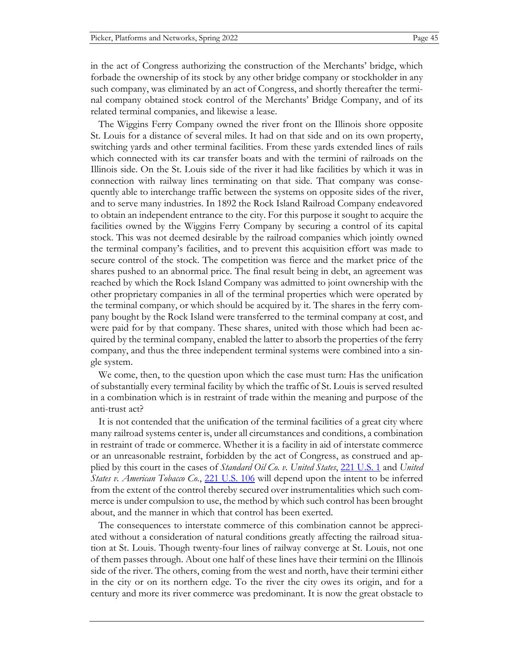in the act of Congress authorizing the construction of the Merchants' bridge, which forbade the ownership of its stock by any other bridge company or stockholder in any such company, was eliminated by an act of Congress, and shortly thereafter the terminal company obtained stock control of the Merchants' Bridge Company, and of its related terminal companies, and likewise a lease.

The Wiggins Ferry Company owned the river front on the Illinois shore opposite St. Louis for a distance of several miles. It had on that side and on its own property, switching yards and other terminal facilities. From these yards extended lines of rails which connected with its car transfer boats and with the termini of railroads on the Illinois side. On the St. Louis side of the river it had like facilities by which it was in connection with railway lines terminating on that side. That company was consequently able to interchange traffic between the systems on opposite sides of the river, and to serve many industries. In 1892 the Rock Island Railroad Company endeavored to obtain an independent entrance to the city. For this purpose it sought to acquire the facilities owned by the Wiggins Ferry Company by securing a control of its capital stock. This was not deemed desirable by the railroad companies which jointly owned the terminal company's facilities, and to prevent this acquisition effort was made to secure control of the stock. The competition was fierce and the market price of the shares pushed to an abnormal price. The final result being in debt, an agreement was reached by which the Rock Island Company was admitted to joint ownership with the other proprietary companies in all of the terminal properties which were operated by the terminal company, or which should be acquired by it. The shares in the ferry company bought by the Rock Island were transferred to the terminal company at cost, and were paid for by that company. These shares, united with those which had been acquired by the terminal company, enabled the latter to absorb the properties of the ferry company, and thus the three independent terminal systems were combined into a single system.

We come, then, to the question upon which the case must turn: Has the unification of substantially every terminal facility by which the traffic of St. Louis is served resulted in a combination which is in restraint of trade within the meaning and purpose of the anti-trust act?

It is not contended that the unification of the terminal facilities of a great city where many railroad systems center is, under all circumstances and conditions, a combination in restraint of trade or commerce. Whether it is a facility in aid of interstate commerce or an unreasonable restraint, forbidden by the act of Congress, as construed and applied by this court in the cases of *Standard Oil Co. v. United States*, 221 U.S. 1 and *United States v. American Tobacco Co.*, 221 U.S. 106 will depend upon the intent to be inferred from the extent of the control thereby secured over instrumentalities which such commerce is under compulsion to use, the method by which such control has been brought about, and the manner in which that control has been exerted.

The consequences to interstate commerce of this combination cannot be appreciated without a consideration of natural conditions greatly affecting the railroad situation at St. Louis. Though twenty-four lines of railway converge at St. Louis, not one of them passes through. About one half of these lines have their termini on the Illinois side of the river. The others, coming from the west and north, have their termini either in the city or on its northern edge. To the river the city owes its origin, and for a century and more its river commerce was predominant. It is now the great obstacle to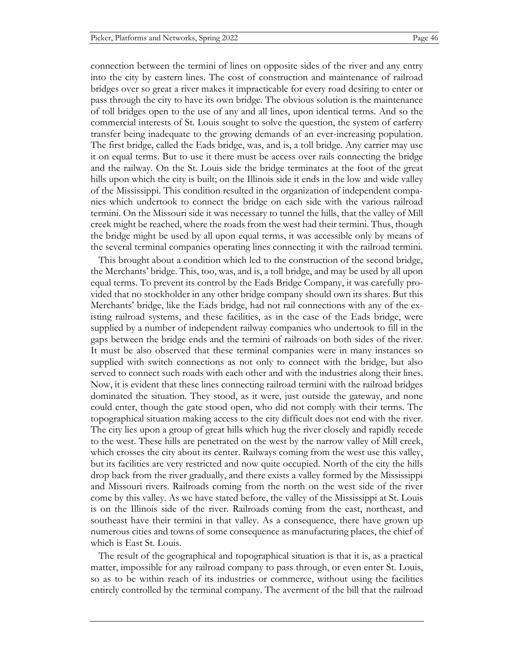connection between the termini of lines on opposite sides of the river and any entry into the city by eastern lines. The cost of construction and maintenance of railroad bridges over so great a river makes it impracticable for every road desiring to enter or pass through the city to have its own bridge. The obvious solution is the maintenance of toll bridges open to the use of any and all lines, upon identical terms. And so the commercial interests of St. Louis sought to solve the question, the system of carferry transfer being inadequate to the growing demands of an ever-increasing population. The first bridge, called the Eads bridge, was, and is, a toll bridge. Any carrier may use it on equal terms. But to use it there must be access over rails connecting the bridge and the railway. On the St. Louis side the bridge terminates at the foot of the great hills upon which the city is built; on the Illinois side it ends in the low and wide valley of the Mississippi. This condition resulted in the organization of independent companies which undertook to connect the bridge on each side with the various railroad termini. On the Missouri side it was necessary to tunnel the hills, that the valley of Mill creek might be reached, where the roads from the west had their termini. Thus, though the bridge might be used by all upon equal terms, it was accessible only by means of the several terminal companies operating lines connecting it with the railroad termini.

This brought about a condition which led to the construction of the second bridge, the Merchants' bridge. This, too, was, and is, a toll bridge, and may be used by all upon equal terms. To prevent its control by the Eads Bridge Company, it was carefully provided that no stockholder in any other bridge company should own its shares. But this Merchants' bridge, like the Eads bridge, had not rail connections with any of the existing railroad systems, and these facilities, as in the case of the Eads bridge, were supplied by a number of independent railway companies who undertook to fill in the gaps between the bridge ends and the termini of railroads on both sides of the river. It must be also observed that these terminal companies were in many instances so supplied with switch connections as not only to connect with the bridge, but also served to connect such roads with each other and with the industries along their lines. Now, it is evident that these lines connecting railroad termini with the railroad bridges dominated the situation. They stood, as it were, just outside the gateway, and none could enter, though the gate stood open, who did not comply with their terms. The topographical situation making access to the city difficult does not end with the river. The city lies upon a group of great hills which hug the river closely and rapidly recede to the west. These hills are penetrated on the west by the narrow valley of Mill creek, which crosses the city about its center. Railways coming from the west use this valley, but its facilities are very restricted and now quite occupied. North of the city the hills drop back from the river gradually, and there exists a valley formed by the Mississippi and Missouri rivers. Railroads coming from the north on the west side of the river come by this valley. As we have stated before, the valley of the Mississippi at St. Louis is on the Illinois side of the river. Railroads coming from the east, northeast, and southeast have their termini in that valley. As a consequence, there have grown up numerous cities and towns of some consequence as manufacturing places, the chief of which is East St. Louis.

The result of the geographical and topographical situation is that it is, as a practical matter, impossible for any railroad company to pass through, or even enter St. Louis, so as to be within reach of its industries or commerce, without using the facilities entirely controlled by the terminal company. The averment of the bill that the railroad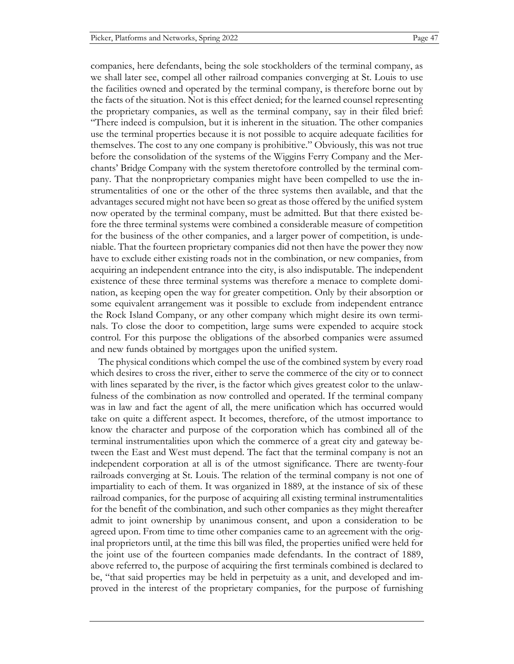companies, here defendants, being the sole stockholders of the terminal company, as we shall later see, compel all other railroad companies converging at St. Louis to use the facilities owned and operated by the terminal company, is therefore borne out by the facts of the situation. Not is this effect denied; for the learned counsel representing the proprietary companies, as well as the terminal company, say in their filed brief: "There indeed is compulsion, but it is inherent in the situation. The other companies use the terminal properties because it is not possible to acquire adequate facilities for themselves. The cost to any one company is prohibitive." Obviously, this was not true before the consolidation of the systems of the Wiggins Ferry Company and the Merchants' Bridge Company with the system theretofore controlled by the terminal company. That the nonproprietary companies might have been compelled to use the instrumentalities of one or the other of the three systems then available, and that the advantages secured might not have been so great as those offered by the unified system now operated by the terminal company, must be admitted. But that there existed before the three terminal systems were combined a considerable measure of competition for the business of the other companies, and a larger power of competition, is undeniable. That the fourteen proprietary companies did not then have the power they now have to exclude either existing roads not in the combination, or new companies, from acquiring an independent entrance into the city, is also indisputable. The independent existence of these three terminal systems was therefore a menace to complete domination, as keeping open the way for greater competition. Only by their absorption or some equivalent arrangement was it possible to exclude from independent entrance the Rock Island Company, or any other company which might desire its own terminals. To close the door to competition, large sums were expended to acquire stock control. For this purpose the obligations of the absorbed companies were assumed and new funds obtained by mortgages upon the unified system.

The physical conditions which compel the use of the combined system by every road which desires to cross the river, either to serve the commerce of the city or to connect with lines separated by the river, is the factor which gives greatest color to the unlawfulness of the combination as now controlled and operated. If the terminal company was in law and fact the agent of all, the mere unification which has occurred would take on quite a different aspect. It becomes, therefore, of the utmost importance to know the character and purpose of the corporation which has combined all of the terminal instrumentalities upon which the commerce of a great city and gateway between the East and West must depend. The fact that the terminal company is not an independent corporation at all is of the utmost significance. There are twenty-four railroads converging at St. Louis. The relation of the terminal company is not one of impartiality to each of them. It was organized in 1889, at the instance of six of these railroad companies, for the purpose of acquiring all existing terminal instrumentalities for the benefit of the combination, and such other companies as they might thereafter admit to joint ownership by unanimous consent, and upon a consideration to be agreed upon. From time to time other companies came to an agreement with the original proprietors until, at the time this bill was filed, the properties unified were held for the joint use of the fourteen companies made defendants. In the contract of 1889, above referred to, the purpose of acquiring the first terminals combined is declared to be, "that said properties may be held in perpetuity as a unit, and developed and improved in the interest of the proprietary companies, for the purpose of furnishing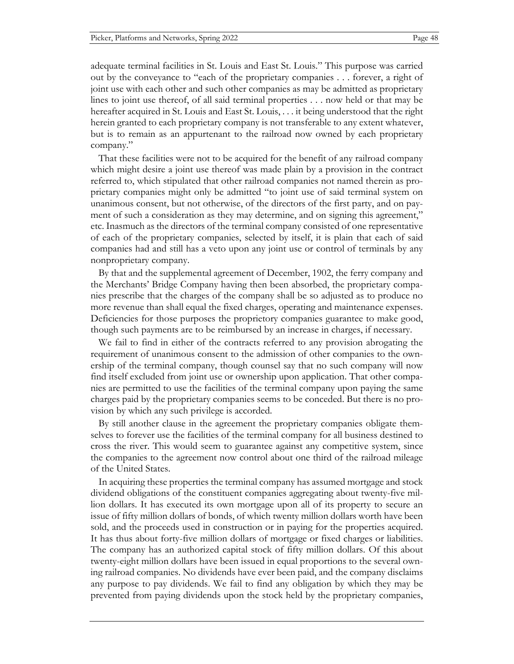adequate terminal facilities in St. Louis and East St. Louis." This purpose was carried out by the conveyance to "each of the proprietary companies . . . forever, a right of joint use with each other and such other companies as may be admitted as proprietary lines to joint use thereof, of all said terminal properties . . . now held or that may be hereafter acquired in St. Louis and East St. Louis, . . . it being understood that the right herein granted to each proprietary company is not transferable to any extent whatever, but is to remain as an appurtenant to the railroad now owned by each proprietary company."

That these facilities were not to be acquired for the benefit of any railroad company which might desire a joint use thereof was made plain by a provision in the contract referred to, which stipulated that other railroad companies not named therein as proprietary companies might only be admitted "to joint use of said terminal system on unanimous consent, but not otherwise, of the directors of the first party, and on payment of such a consideration as they may determine, and on signing this agreement," etc. Inasmuch as the directors of the terminal company consisted of one representative of each of the proprietary companies, selected by itself, it is plain that each of said companies had and still has a veto upon any joint use or control of terminals by any nonproprietary company.

By that and the supplemental agreement of December, 1902, the ferry company and the Merchants' Bridge Company having then been absorbed, the proprietary companies prescribe that the charges of the company shall be so adjusted as to produce no more revenue than shall equal the fixed charges, operating and maintenance expenses. Deficiencies for those purposes the proprietory companies guarantee to make good, though such payments are to be reimbursed by an increase in charges, if necessary.

We fail to find in either of the contracts referred to any provision abrogating the requirement of unanimous consent to the admission of other companies to the ownership of the terminal company, though counsel say that no such company will now find itself excluded from joint use or ownership upon application. That other companies are permitted to use the facilities of the terminal company upon paying the same charges paid by the proprietary companies seems to be conceded. But there is no provision by which any such privilege is accorded.

By still another clause in the agreement the proprietary companies obligate themselves to forever use the facilities of the terminal company for all business destined to cross the river. This would seem to guarantee against any competitive system, since the companies to the agreement now control about one third of the railroad mileage of the United States.

In acquiring these properties the terminal company has assumed mortgage and stock dividend obligations of the constituent companies aggregating about twenty-five million dollars. It has executed its own mortgage upon all of its property to secure an issue of fifty million dollars of bonds, of which twenty million dollars worth have been sold, and the proceeds used in construction or in paying for the properties acquired. It has thus about forty-five million dollars of mortgage or fixed charges or liabilities. The company has an authorized capital stock of fifty million dollars. Of this about twenty-eight million dollars have been issued in equal proportions to the several owning railroad companies. No dividends have ever been paid, and the company disclaims any purpose to pay dividends. We fail to find any obligation by which they may be prevented from paying dividends upon the stock held by the proprietary companies,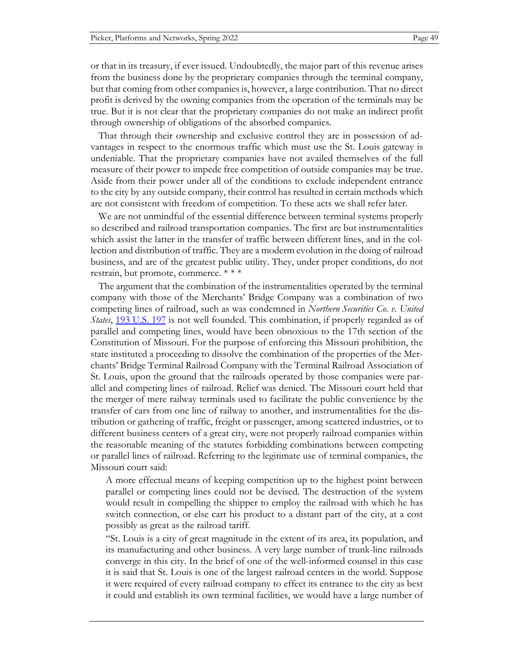or that in its treasury, if ever issued. Undoubtedly, the major part of this revenue arises from the business done by the proprietary companies through the terminal company, but that coming from other companies is, however, a large contribution. That no direct profit is derived by the owning companies from the operation of the terminals may be true. But it is not clear that the proprietary companies do not make an indirect profit through ownership of obligations of the absorbed companies.

That through their ownership and exclusive control they are in possession of advantages in respect to the enormous traffic which must use the St. Louis gateway is undeniable. That the proprietary companies have not availed themselves of the full measure of their power to impede free competition of outside companies may be true. Aside from their power under all of the conditions to exclude independent entrance to the city by any outside company, their control has resulted in certain methods which are not consistent with freedom of competition. To these acts we shall refer later.

We are not unmindful of the essential difference between terminal systems properly so described and railroad transportation companies. The first are but instrumentalities which assist the latter in the transfer of traffic between different lines, and in the collection and distribution of traffic. They are a moderm evolution in the doing of railroad business, and are of the greatest public utility. They, under proper conditions, do not restrain, but promote, commerce. \* \* \*

The argument that the combination of the instrumentalities operated by the terminal company with those of the Merchants' Bridge Company was a combination of two competing lines of railroad, such as was condemned in *Northern Securities Co. v. United States*, <u>193 U.S. 197</u> is not well founded. This combination, if properly regarded as of parallel and competing lines, would have been obnoxious to the 17th section of the Constitution of Missouri. For the purpose of enforcing this Missouri prohibition, the state instituted a proceeding to dissolve the combination of the properties of the Merchants' Bridge Terminal Railroad Company with the Terminal Railroad Association of St. Louis, upon the ground that the railroads operated by those companies were parallel and competing lines of railroad. Relief was denied. The Missouri court held that the merger of mere railway terminals used to facilitate the public convenience by the transfer of cars from one line of railway to another, and instrumentalities for the distribution or gathering of traffic, freight or passenger, among scattered industries, or to different business centers of a great city, were not properly railroad companies within the reasonable meaning of the statutes forbidding combinations between competing or parallel lines of railroad. Referring to the legitimate use of terminal companies, the Missouri court said:

A more effectual means of keeping competition up to the highest point between parallel or competing lines could not be devised. The destruction of the system would result in compelling the shipper to employ the railroad with which he has switch connection, or else cart his product to a distant part of the city, at a cost possibly as great as the railroad tariff.

"St. Louis is a city of great magnitude in the extent of its area, its population, and its manufacturing and other business. A very large number of trunk-line railroads converge in this city. In the brief of one of the well-informed counsel in this case it is said that St. Louis is one of the largest railroad centers in the world. Suppose it were required of every railroad company to effect its entrance to the city as best it could and establish its own terminal facilities, we would have a large number of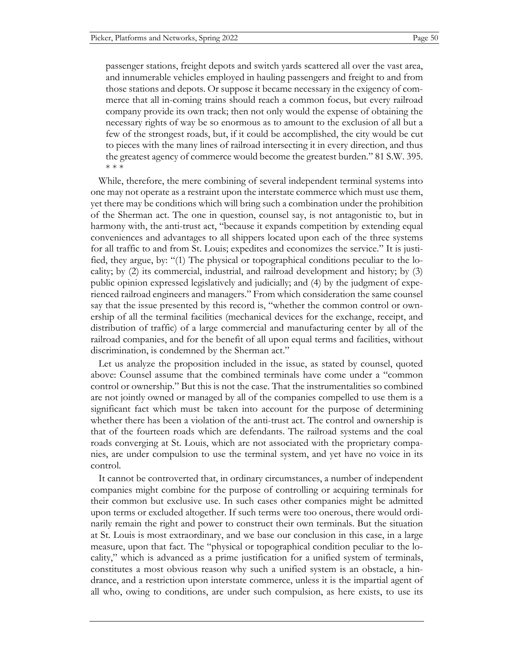passenger stations, freight depots and switch yards scattered all over the vast area, and innumerable vehicles employed in hauling passengers and freight to and from those stations and depots. Or suppose it became necessary in the exigency of commerce that all in-coming trains should reach a common focus, but every railroad company provide its own track; then not only would the expense of obtaining the necessary rights of way be so enormous as to amount to the exclusion of all but a few of the strongest roads, but, if it could be accomplished, the city would be cut to pieces with the many lines of railroad intersecting it in every direction, and thus the greatest agency of commerce would become the greatest burden." 81 S.W. 395. \* \* \*

While, therefore, the mere combining of several independent terminal systems into one may not operate as a restraint upon the interstate commerce which must use them, yet there may be conditions which will bring such a combination under the prohibition of the Sherman act. The one in question, counsel say, is not antagonistic to, but in harmony with, the anti-trust act, "because it expands competition by extending equal conveniences and advantages to all shippers located upon each of the three systems for all traffic to and from St. Louis; expedites and economizes the service." It is justified, they argue, by: "(1) The physical or topographical conditions peculiar to the locality; by (2) its commercial, industrial, and railroad development and history; by (3) public opinion expressed legislatively and judicially; and (4) by the judgment of experienced railroad engineers and managers." From which consideration the same counsel say that the issue presented by this record is, "whether the common control or ownership of all the terminal facilities (mechanical devices for the exchange, receipt, and distribution of traffic) of a large commercial and manufacturing center by all of the railroad companies, and for the benefit of all upon equal terms and facilities, without discrimination, is condemned by the Sherman act."

Let us analyze the proposition included in the issue, as stated by counsel, quoted above: Counsel assume that the combined terminals have come under a "common control or ownership." But this is not the case. That the instrumentalities so combined are not jointly owned or managed by all of the companies compelled to use them is a significant fact which must be taken into account for the purpose of determining whether there has been a violation of the anti-trust act. The control and ownership is that of the fourteen roads which are defendants. The railroad systems and the coal roads converging at St. Louis, which are not associated with the proprietary companies, are under compulsion to use the terminal system, and yet have no voice in its control.

It cannot be controverted that, in ordinary circumstances, a number of independent companies might combine for the purpose of controlling or acquiring terminals for their common but exclusive use. In such cases other companies might be admitted upon terms or excluded altogether. If such terms were too onerous, there would ordinarily remain the right and power to construct their own terminals. But the situation at St. Louis is most extraordinary, and we base our conclusion in this case, in a large measure, upon that fact. The "physical or topographical condition peculiar to the locality," which is advanced as a prime justification for a unified system of terminals, constitutes a most obvious reason why such a unified system is an obstacle, a hindrance, and a restriction upon interstate commerce, unless it is the impartial agent of all who, owing to conditions, are under such compulsion, as here exists, to use its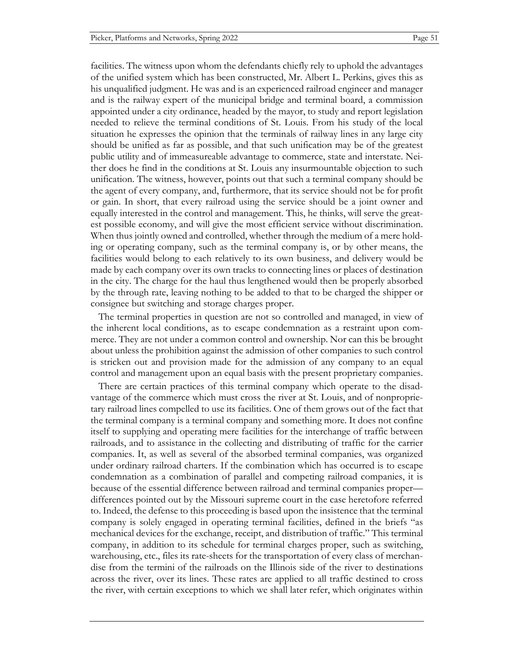facilities. The witness upon whom the defendants chiefly rely to uphold the advantages of the unified system which has been constructed, Mr. Albert L. Perkins, gives this as his unqualified judgment. He was and is an experienced railroad engineer and manager and is the railway expert of the municipal bridge and terminal board, a commission appointed under a city ordinance, headed by the mayor, to study and report legislation needed to relieve the terminal conditions of St. Louis. From his study of the local situation he expresses the opinion that the terminals of railway lines in any large city should be unified as far as possible, and that such unification may be of the greatest public utility and of immeasureable advantage to commerce, state and interstate. Neither does he find in the conditions at St. Louis any insurmountable objection to such unification. The witness, however, points out that such a terminal company should be the agent of every company, and, furthermore, that its service should not be for profit or gain. In short, that every railroad using the service should be a joint owner and equally interested in the control and management. This, he thinks, will serve the greatest possible economy, and will give the most efficient service without discrimination. When thus jointly owned and controlled, whether through the medium of a mere holding or operating company, such as the terminal company is, or by other means, the facilities would belong to each relatively to its own business, and delivery would be made by each company over its own tracks to connecting lines or places of destination in the city. The charge for the haul thus lengthened would then be properly absorbed by the through rate, leaving nothing to be added to that to be charged the shipper or consignee but switching and storage charges proper.

The terminal properties in question are not so controlled and managed, in view of the inherent local conditions, as to escape condemnation as a restraint upon commerce. They are not under a common control and ownership. Nor can this be brought about unless the prohibition against the admission of other companies to such control is stricken out and provision made for the admission of any company to an equal control and management upon an equal basis with the present proprietary companies.

There are certain practices of this terminal company which operate to the disadvantage of the commerce which must cross the river at St. Louis, and of nonproprietary railroad lines compelled to use its facilities. One of them grows out of the fact that the terminal company is a terminal company and something more. It does not confine itself to supplying and operating mere facilities for the interchange of traffic between railroads, and to assistance in the collecting and distributing of traffic for the carrier companies. It, as well as several of the absorbed terminal companies, was organized under ordinary railroad charters. If the combination which has occurred is to escape condemnation as a combination of parallel and competing railroad companies, it is because of the essential difference between railroad and terminal companies proper differences pointed out by the Missouri supreme court in the case heretofore referred to. Indeed, the defense to this proceeding is based upon the insistence that the terminal company is solely engaged in operating terminal facilities, defined in the briefs "as mechanical devices for the exchange, receipt, and distribution of traffic." This terminal company, in addition to its schedule for terminal charges proper, such as switching, warehousing, etc., files its rate-sheets for the transportation of every class of merchandise from the termini of the railroads on the Illinois side of the river to destinations across the river, over its lines. These rates are applied to all traffic destined to cross the river, with certain exceptions to which we shall later refer, which originates within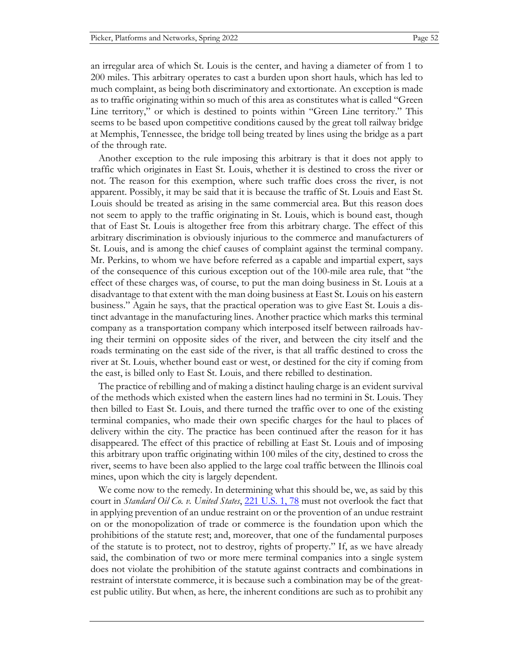an irregular area of which St. Louis is the center, and having a diameter of from 1 to 200 miles. This arbitrary operates to cast a burden upon short hauls, which has led to much complaint, as being both discriminatory and extortionate. An exception is made as to traffic originating within so much of this area as constitutes what is called "Green Line territory," or which is destined to points within "Green Line territory." This seems to be based upon competitive conditions caused by the great toll railway bridge at Memphis, Tennessee, the bridge toll being treated by lines using the bridge as a part of the through rate.

Another exception to the rule imposing this arbitrary is that it does not apply to traffic which originates in East St. Louis, whether it is destined to cross the river or not. The reason for this exemption, where such traffic does cross the river, is not apparent. Possibly, it may be said that it is because the traffic of St. Louis and East St. Louis should be treated as arising in the same commercial area. But this reason does not seem to apply to the traffic originating in St. Louis, which is bound east, though that of East St. Louis is altogether free from this arbitrary charge. The effect of this arbitrary discrimination is obviously injurious to the commerce and manufacturers of St. Louis, and is among the chief causes of complaint against the terminal company. Mr. Perkins, to whom we have before referred as a capable and impartial expert, says of the consequence of this curious exception out of the 100-mile area rule, that "the effect of these charges was, of course, to put the man doing business in St. Louis at a disadvantage to that extent with the man doing business at East St. Louis on his eastern business." Again he says, that the practical operation was to give East St. Louis a distinct advantage in the manufacturing lines. Another practice which marks this terminal company as a transportation company which interposed itself between railroads having their termini on opposite sides of the river, and between the city itself and the roads terminating on the east side of the river, is that all traffic destined to cross the river at St. Louis, whether bound east or west, or destined for the city if coming from the east, is billed only to East St. Louis, and there rebilled to destination.

The practice of rebilling and of making a distinct hauling charge is an evident survival of the methods which existed when the eastern lines had no termini in St. Louis. They then billed to East St. Louis, and there turned the traffic over to one of the existing terminal companies, who made their own specific charges for the haul to places of delivery within the city. The practice has been continued after the reason for it has disappeared. The effect of this practice of rebilling at East St. Louis and of imposing this arbitrary upon traffic originating within 100 miles of the city, destined to cross the river, seems to have been also applied to the large coal traffic between the Illinois coal mines, upon which the city is largely dependent.

We come now to the remedy. In determining what this should be, we, as said by this court in *Standard Oil Co. v. United States*, 221 U.S. 1, 78 must not overlook the fact that in applying prevention of an undue restraint on or the provention of an undue restraint on or the monopolization of trade or commerce is the foundation upon which the prohibitions of the statute rest; and, moreover, that one of the fundamental purposes of the statute is to protect, not to destroy, rights of property." If, as we have already said, the combination of two or more mere terminal companies into a single system does not violate the prohibition of the statute against contracts and combinations in restraint of interstate commerce, it is because such a combination may be of the greatest public utility. But when, as here, the inherent conditions are such as to prohibit any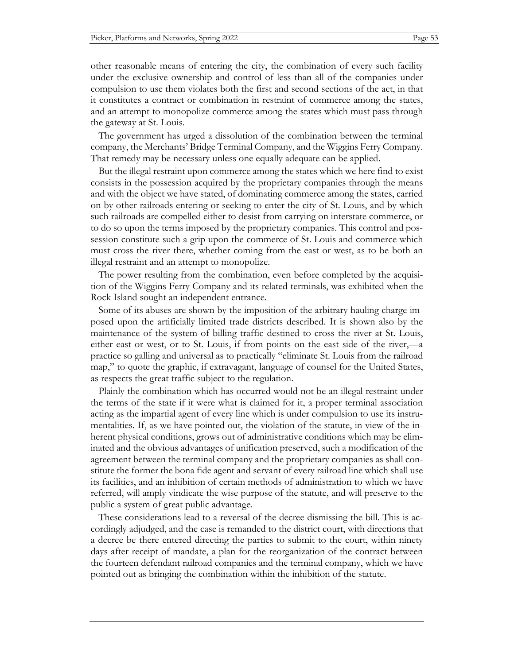other reasonable means of entering the city, the combination of every such facility under the exclusive ownership and control of less than all of the companies under compulsion to use them violates both the first and second sections of the act, in that it constitutes a contract or combination in restraint of commerce among the states, and an attempt to monopolize commerce among the states which must pass through the gateway at St. Louis.

The government has urged a dissolution of the combination between the terminal company, the Merchants' Bridge Terminal Company, and the Wiggins Ferry Company. That remedy may be necessary unless one equally adequate can be applied.

But the illegal restraint upon commerce among the states which we here find to exist consists in the possession acquired by the proprietary companies through the means and with the object we have stated, of dominating commerce among the states, carried on by other railroads entering or seeking to enter the city of St. Louis, and by which such railroads are compelled either to desist from carrying on interstate commerce, or to do so upon the terms imposed by the proprietary companies. This control and possession constitute such a grip upon the commerce of St. Louis and commerce which must cross the river there, whether coming from the east or west, as to be both an illegal restraint and an attempt to monopolize.

The power resulting from the combination, even before completed by the acquisition of the Wiggins Ferry Company and its related terminals, was exhibited when the Rock Island sought an independent entrance.

Some of its abuses are shown by the imposition of the arbitrary hauling charge imposed upon the artificially limited trade districts described. It is shown also by the maintenance of the system of billing traffic destined to cross the river at St. Louis, either east or west, or to St. Louis, if from points on the east side of the river,—a practice so galling and universal as to practically "eliminate St. Louis from the railroad map," to quote the graphic, if extravagant, language of counsel for the United States, as respects the great traffic subject to the regulation.

Plainly the combination which has occurred would not be an illegal restraint under the terms of the state if it were what is claimed for it, a proper terminal association acting as the impartial agent of every line which is under compulsion to use its instrumentalities. If, as we have pointed out, the violation of the statute, in view of the inherent physical conditions, grows out of administrative conditions which may be eliminated and the obvious advantages of unification preserved, such a modification of the agreement between the terminal company and the proprietary companies as shall constitute the former the bona fide agent and servant of every railroad line which shall use its facilities, and an inhibition of certain methods of administration to which we have referred, will amply vindicate the wise purpose of the statute, and will preserve to the public a system of great public advantage.

These considerations lead to a reversal of the decree dismissing the bill. This is accordingly adjudged, and the case is remanded to the district court, with directions that a decree be there entered directing the parties to submit to the court, within ninety days after receipt of mandate, a plan for the reorganization of the contract between the fourteen defendant railroad companies and the terminal company, which we have pointed out as bringing the combination within the inhibition of the statute.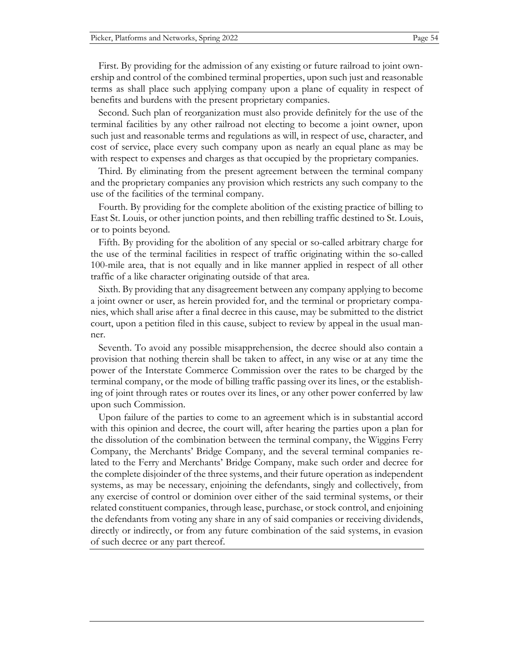Second. Such plan of reorganization must also provide definitely for the use of the terminal facilities by any other railroad not electing to become a joint owner, upon such just and reasonable terms and regulations as will, in respect of use, character, and cost of service, place every such company upon as nearly an equal plane as may be with respect to expenses and charges as that occupied by the proprietary companies.

Third. By eliminating from the present agreement between the terminal company and the proprietary companies any provision which restricts any such company to the use of the facilities of the terminal company.

Fourth. By providing for the complete abolition of the existing practice of billing to East St. Louis, or other junction points, and then rebilling traffic destined to St. Louis, or to points beyond.

Fifth. By providing for the abolition of any special or so-called arbitrary charge for the use of the terminal facilities in respect of traffic originating within the so-called 100-mile area, that is not equally and in like manner applied in respect of all other traffic of a like character originating outside of that area.

Sixth. By providing that any disagreement between any company applying to become a joint owner or user, as herein provided for, and the terminal or proprietary companies, which shall arise after a final decree in this cause, may be submitted to the district court, upon a petition filed in this cause, subject to review by appeal in the usual manner.

Seventh. To avoid any possible misapprehension, the decree should also contain a provision that nothing therein shall be taken to affect, in any wise or at any time the power of the Interstate Commerce Commission over the rates to be charged by the terminal company, or the mode of billing traffic passing over its lines, or the establishing of joint through rates or routes over its lines, or any other power conferred by law upon such Commission.

Upon failure of the parties to come to an agreement which is in substantial accord with this opinion and decree, the court will, after hearing the parties upon a plan for the dissolution of the combination between the terminal company, the Wiggins Ferry Company, the Merchants' Bridge Company, and the several terminal companies related to the Ferry and Merchants' Bridge Company, make such order and decree for the complete disjoinder of the three systems, and their future operation as independent systems, as may be necessary, enjoining the defendants, singly and collectively, from any exercise of control or dominion over either of the said terminal systems, or their related constituent companies, through lease, purchase, or stock control, and enjoining the defendants from voting any share in any of said companies or receiving dividends, directly or indirectly, or from any future combination of the said systems, in evasion of such decree or any part thereof.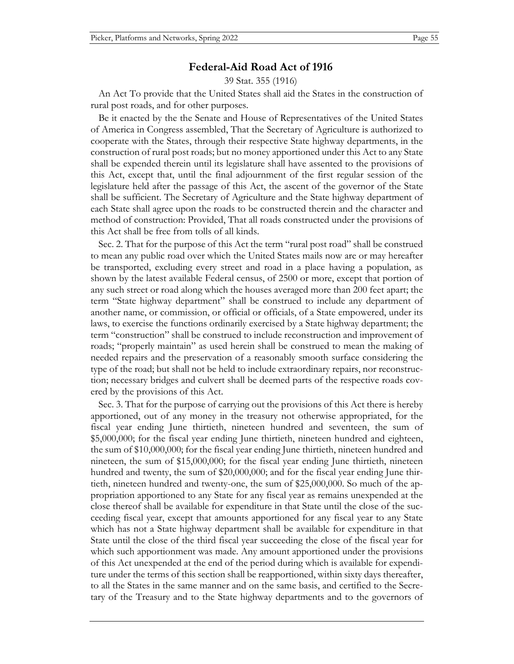# **Federal-Aid Road Act of 1916**

39 Stat. 355 (1916)

An Act To provide that the United States shall aid the States in the construction of rural post roads, and for other purposes.

Be it enacted by the the Senate and House of Representatives of the United States of America in Congress assembled, That the Secretary of Agriculture is authorized to cooperate with the States, through their respective State highway departments, in the construction of rural post roads; but no money apportioned under this Act to any State shall be expended therein until its legislature shall have assented to the provisions of this Act, except that, until the final adjournment of the first regular session of the legislature held after the passage of this Act, the ascent of the governor of the State shall be sufficient. The Secretary of Agriculture and the State highway department of each State shall agree upon the roads to be constructed therein and the character and method of construction: Provided, That all roads constructed under the provisions of this Act shall be free from tolls of all kinds.

Sec. 2. That for the purpose of this Act the term "rural post road" shall be construed to mean any public road over which the United States mails now are or may hereafter be transported, excluding every street and road in a place having a population, as shown by the latest available Federal census, of 2500 or more, except that portion of any such street or road along which the houses averaged more than 200 feet apart; the term "State highway department" shall be construed to include any department of another name, or commission, or official or officials, of a State empowered, under its laws, to exercise the functions ordinarily exercised by a State highway department; the term "construction" shall be construed to include reconstruction and improvement of roads; "properly maintain" as used herein shall be construed to mean the making of needed repairs and the preservation of a reasonably smooth surface considering the type of the road; but shall not be held to include extraordinary repairs, nor reconstruction; necessary bridges and culvert shall be deemed parts of the respective roads covered by the provisions of this Act.

Sec. 3. That for the purpose of carrying out the provisions of this Act there is hereby apportioned, out of any money in the treasury not otherwise appropriated, for the fiscal year ending June thirtieth, nineteen hundred and seventeen, the sum of \$5,000,000; for the fiscal year ending June thirtieth, nineteen hundred and eighteen, the sum of \$10,000,000; for the fiscal year ending June thirtieth, nineteen hundred and nineteen, the sum of \$15,000,000; for the fiscal year ending June thirtieth, nineteen hundred and twenty, the sum of \$20,000,000; and for the fiscal year ending June thirtieth, nineteen hundred and twenty-one, the sum of \$25,000,000. So much of the appropriation apportioned to any State for any fiscal year as remains unexpended at the close thereof shall be available for expenditure in that State until the close of the succeeding fiscal year, except that amounts apportioned for any fiscal year to any State which has not a State highway department shall be available for expenditure in that State until the close of the third fiscal year succeeding the close of the fiscal year for which such apportionment was made. Any amount apportioned under the provisions of this Act unexpended at the end of the period during which is available for expenditure under the terms of this section shall be reapportioned, within sixty days thereafter, to all the States in the same manner and on the same basis, and certified to the Secretary of the Treasury and to the State highway departments and to the governors of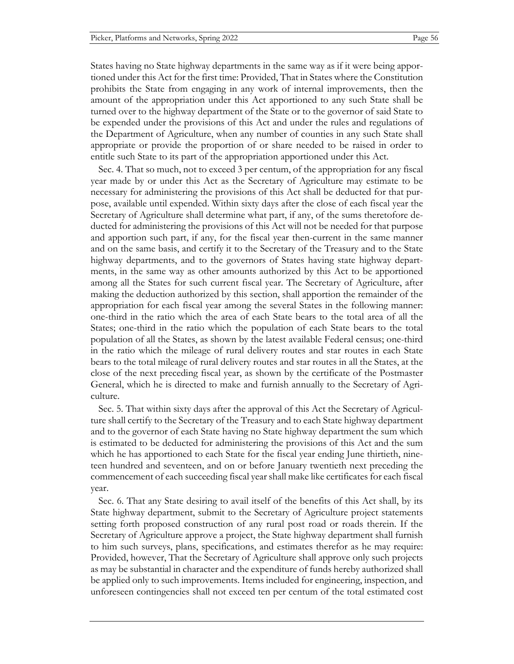States having no State highway departments in the same way as if it were being apportioned under this Act for the first time: Provided, That in States where the Constitution prohibits the State from engaging in any work of internal improvements, then the amount of the appropriation under this Act apportioned to any such State shall be turned over to the highway department of the State or to the governor of said State to be expended under the provisions of this Act and under the rules and regulations of the Department of Agriculture, when any number of counties in any such State shall appropriate or provide the proportion of or share needed to be raised in order to entitle such State to its part of the appropriation apportioned under this Act.

Sec. 4. That so much, not to exceed 3 per centum, of the appropriation for any fiscal year made by or under this Act as the Secretary of Agriculture may estimate to be necessary for administering the provisions of this Act shall be deducted for that purpose, available until expended. Within sixty days after the close of each fiscal year the Secretary of Agriculture shall determine what part, if any, of the sums theretofore deducted for administering the provisions of this Act will not be needed for that purpose and apportion such part, if any, for the fiscal year then-current in the same manner and on the same basis, and certify it to the Secretary of the Treasury and to the State highway departments, and to the governors of States having state highway departments, in the same way as other amounts authorized by this Act to be apportioned among all the States for such current fiscal year. The Secretary of Agriculture, after making the deduction authorized by this section, shall apportion the remainder of the appropriation for each fiscal year among the several States in the following manner: one-third in the ratio which the area of each State bears to the total area of all the States; one-third in the ratio which the population of each State bears to the total population of all the States, as shown by the latest available Federal census; one-third in the ratio which the mileage of rural delivery routes and star routes in each State bears to the total mileage of rural delivery routes and star routes in all the States, at the close of the next preceding fiscal year, as shown by the certificate of the Postmaster General, which he is directed to make and furnish annually to the Secretary of Agriculture.

Sec. 5. That within sixty days after the approval of this Act the Secretary of Agriculture shall certify to the Secretary of the Treasury and to each State highway department and to the governor of each State having no State highway department the sum which is estimated to be deducted for administering the provisions of this Act and the sum which he has apportioned to each State for the fiscal year ending June thirtieth, nineteen hundred and seventeen, and on or before January twentieth next preceding the commencement of each succeeding fiscal year shall make like certificates for each fiscal year.

Sec. 6. That any State desiring to avail itself of the benefits of this Act shall, by its State highway department, submit to the Secretary of Agriculture project statements setting forth proposed construction of any rural post road or roads therein. If the Secretary of Agriculture approve a project, the State highway department shall furnish to him such surveys, plans, specifications, and estimates therefor as he may require: Provided, however, That the Secretary of Agriculture shall approve only such projects as may be substantial in character and the expenditure of funds hereby authorized shall be applied only to such improvements. Items included for engineering, inspection, and unforeseen contingencies shall not exceed ten per centum of the total estimated cost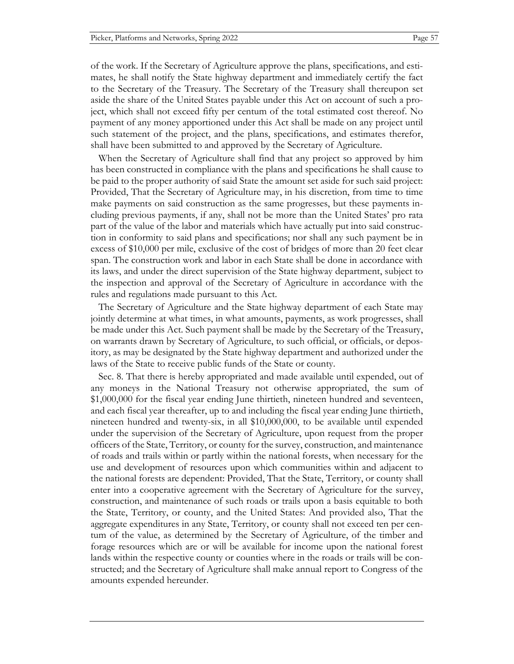of the work. If the Secretary of Agriculture approve the plans, specifications, and estimates, he shall notify the State highway department and immediately certify the fact to the Secretary of the Treasury. The Secretary of the Treasury shall thereupon set aside the share of the United States payable under this Act on account of such a project, which shall not exceed fifty per centum of the total estimated cost thereof. No payment of any money apportioned under this Act shall be made on any project until such statement of the project, and the plans, specifications, and estimates therefor, shall have been submitted to and approved by the Secretary of Agriculture.

When the Secretary of Agriculture shall find that any project so approved by him has been constructed in compliance with the plans and specifications he shall cause to be paid to the proper authority of said State the amount set aside for such said project: Provided, That the Secretary of Agriculture may, in his discretion, from time to time make payments on said construction as the same progresses, but these payments including previous payments, if any, shall not be more than the United States' pro rata part of the value of the labor and materials which have actually put into said construction in conformity to said plans and specifications; nor shall any such payment be in excess of \$10,000 per mile, exclusive of the cost of bridges of more than 20 feet clear span. The construction work and labor in each State shall be done in accordance with its laws, and under the direct supervision of the State highway department, subject to the inspection and approval of the Secretary of Agriculture in accordance with the rules and regulations made pursuant to this Act.

The Secretary of Agriculture and the State highway department of each State may jointly determine at what times, in what amounts, payments, as work progresses, shall be made under this Act. Such payment shall be made by the Secretary of the Treasury, on warrants drawn by Secretary of Agriculture, to such official, or officials, or depository, as may be designated by the State highway department and authorized under the laws of the State to receive public funds of the State or county.

Sec. 8. That there is hereby appropriated and made available until expended, out of any moneys in the National Treasury not otherwise appropriated, the sum of \$1,000,000 for the fiscal year ending June thirtieth, nineteen hundred and seventeen, and each fiscal year thereafter, up to and including the fiscal year ending June thirtieth, nineteen hundred and twenty-six, in all \$10,000,000, to be available until expended under the supervision of the Secretary of Agriculture, upon request from the proper officers of the State, Territory, or county for the survey, construction, and maintenance of roads and trails within or partly within the national forests, when necessary for the use and development of resources upon which communities within and adjacent to the national forests are dependent: Provided, That the State, Territory, or county shall enter into a cooperative agreement with the Secretary of Agriculture for the survey, construction, and maintenance of such roads or trails upon a basis equitable to both the State, Territory, or county, and the United States: And provided also, That the aggregate expenditures in any State, Territory, or county shall not exceed ten per centum of the value, as determined by the Secretary of Agriculture, of the timber and forage resources which are or will be available for income upon the national forest lands within the respective county or counties where in the roads or trails will be constructed; and the Secretary of Agriculture shall make annual report to Congress of the amounts expended hereunder.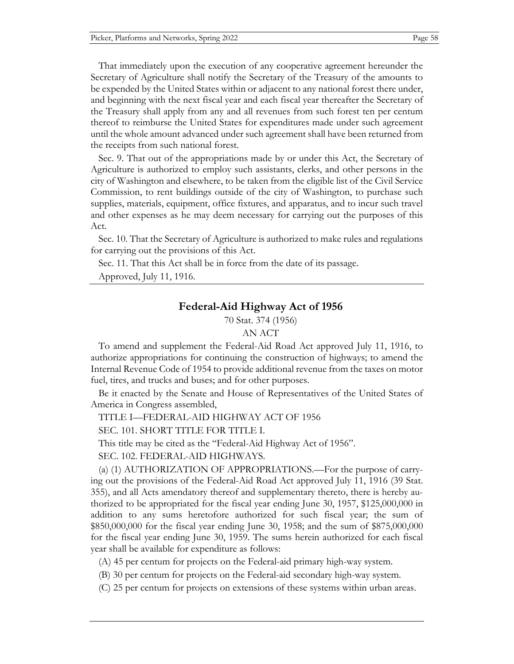That immediately upon the execution of any cooperative agreement hereunder the Secretary of Agriculture shall notify the Secretary of the Treasury of the amounts to be expended by the United States within or adjacent to any national forest there under, and beginning with the next fiscal year and each fiscal year thereafter the Secretary of the Treasury shall apply from any and all revenues from such forest ten per centum thereof to reimburse the United States for expenditures made under such agreement until the whole amount advanced under such agreement shall have been returned from the receipts from such national forest.

Sec. 9. That out of the appropriations made by or under this Act, the Secretary of Agriculture is authorized to employ such assistants, clerks, and other persons in the city of Washington and elsewhere, to be taken from the eligible list of the Civil Service Commission, to rent buildings outside of the city of Washington, to purchase such supplies, materials, equipment, office fixtures, and apparatus, and to incur such travel and other expenses as he may deem necessary for carrying out the purposes of this Act.

Sec. 10. That the Secretary of Agriculture is authorized to make rules and regulations for carrying out the provisions of this Act.

Sec. 11. That this Act shall be in force from the date of its passage.

Approved, July 11, 1916.

## **Federal-Aid Highway Act of 1956**

70 Stat. 374 (1956)

## AN ACT

To amend and supplement the Federal-Aid Road Act approved July 11, 1916, to authorize appropriations for continuing the construction of highways; to amend the Internal Revenue Code of 1954 to provide additional revenue from the taxes on motor fuel, tires, and trucks and buses; and for other purposes.

Be it enacted by the Senate and House of Representatives of the United States of America in Congress assembled,

TITLE I—FEDERAL-AID HIGHWAY ACT OF 1956

SEC. 101. SHORT TITLE FOR TITLE I.

This title may be cited as the "Federal-Aid Highway Act of 1956".

SEC. 102. FEDERAL-AID HIGHWAYS.

(a) (1) AUTHORIZATION OF APPROPRIATIONS.—For the purpose of carrying out the provisions of the Federal-Aid Road Act approved July 11, 1916 (39 Stat. 355), and all Acts amendatory thereof and supplementary thereto, there is hereby authorized to be appropriated for the fiscal year ending June 30, 1957, \$125,000,000 in addition to any sums heretofore authorized for such fiscal year; the sum of \$850,000,000 for the fiscal year ending June 30, 1958; and the sum of \$875,000,000 for the fiscal year ending June 30, 1959. The sums herein authorized for each fiscal year shall be available for expenditure as follows:

(A) 45 per centum for projects on the Federal-aid primary high-way system.

(B) 30 per centum for projects on the Federal-aid secondary high-way system.

(C) 25 per centum for projects on extensions of these systems within urban areas.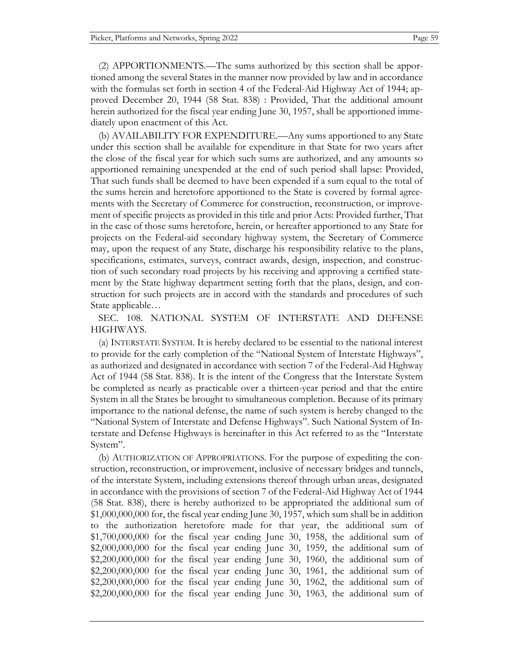(2) APPORTIONMENTS.—The sums authorized by this section shall be apportioned among the several States in the manner now provided by law and in accordance with the formulas set forth in section 4 of the Federal-Aid Highway Act of 1944; approved December 20, 1944 (58 Stat. 838) : Provided, That the additional amount herein authorized for the fiscal year ending June 30, 1957, shall be apportioned immediately upon enactment of this Act.

(b) AVAILABILITY FOR EXPENDITURE.—Any sums apportioned to any State under this section shall be available for expenditure in that State for two years after the close of the fiscal year for which such sums are authorized, and any amounts so apportioned remaining unexpended at the end of such period shall lapse: Provided, That such funds shall be deemed to have been expended if a sum equal to the total of the sums herein and heretofore apportioned to the State is covered by formal agreements with the Secretary of Commerce for construction, reconstruction, or improvement of specific projects as provided in this title and prior Acts: Provided further, That in the case of those sums heretofore, herein, or hereafter apportioned to any State for projects on the Federal-aid secondary highway system, the Secretary of Commerce may, upon the request of any State, discharge his responsibility relative to the plans, specifications, estimates, surveys, contract awards, design, inspection, and construction of such secondary road projects by his receiving and approving a certified statement by the State highway department setting forth that the plans, design, and construction for such projects are in accord with the standards and procedures of such State applicable…

SEC. 108. NATIONAL SYSTEM OF INTERSTATE AND DEFENSE HIGHWAYS.

(a) INTERSTATE SYSTEM. It is hereby declared to be essential to the national interest to provide for the early completion of the "National System of Interstate Highways", as authorized and designated in accordance with section 7 of the Federal-Aid Highway Act of 1944 (58 Stat. 838). It is the intent of the Congress that the Interstate System be completed as nearly as practicable over a thirteen-year period and that the entire System in all the States be brought to simultaneous completion. Because of its primary importance to the national defense, the name of such system is hereby changed to the "National System of Interstate and Defense Highways". Such National System of Interstate and Defense Highways is hereinafter in this Act referred to as the "Interstate System".

(b) AUTHORIZATION OF APPROPRIATIONS. For the purpose of expediting the construction, reconstruction, or improvement, inclusive of necessary bridges and tunnels, of the interstate System, including extensions thereof through urban areas, designated in accordance with the provisions of section 7 of the Federal-Aid Highway Act of 1944 (58 Stat. 838), there is hereby authorized to be appropriated the additional sum of \$1,000,000,000 for, the fiscal year ending June 30, 1957, which sum shall be in addition to the authorization heretofore made for that year, the additional sum of \$1,700,000,000 for the fiscal year ending June 30, 1958, the additional sum of \$2,000,000,000 for the fiscal year ending June 30, 1959, the additional sum of  $2,200,000,000$  for the fiscal year ending June 30, 1960, the additional sum of  $2,200,000,000$  for the fiscal year ending June 30, 1961, the additional sum of  $2,200,000,000$  for the fiscal year ending June 30, 1962, the additional sum of \$2,200,000,000 for the fiscal year ending June 30, 1963, the additional sum of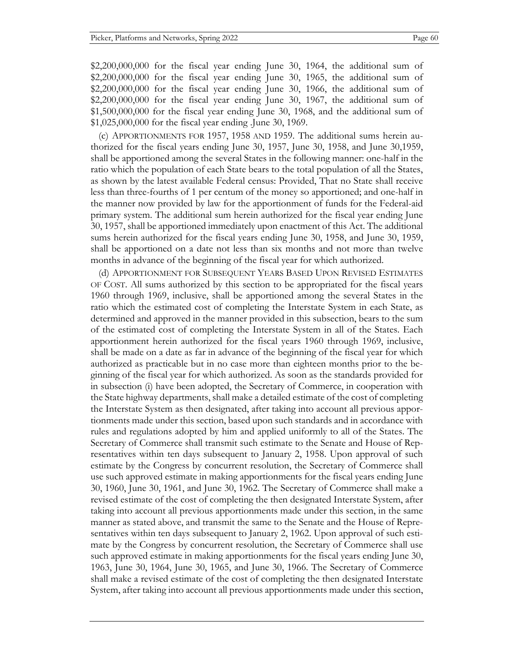\$2,200,000,000 for the fiscal year ending June 30, 1964, the additional sum of \$2,200,000,000 for the fiscal year ending June 30, 1965, the additional sum of \$2,200,000,000 for the fiscal year ending June 30, 1966, the additional sum of \$2,200,000,000 for the fiscal year ending June 30, 1967, the additional sum of \$1,500,000,000 for the fiscal year ending June 30, 1968, and the additional sum of \$1,025,000,000 for the fiscal year ending .June 30, 1969.

(c) APPORTIONMENTS FOR 1957, 1958 AND 1959. The additional sums herein authorized for the fiscal years ending June 30, 1957, June 30, 1958, and June 30,1959, shall be apportioned among the several States in the following manner: one-half in the ratio which the population of each State bears to the total population of all the States, as shown by the latest available Federal census: Provided, That no State shall receive less than three-fourths of 1 per centum of the money so apportioned; and one-half in the manner now provided by law for the apportionment of funds for the Federal-aid primary system. The additional sum herein authorized for the fiscal year ending June 30, 1957, shall be apportioned immediately upon enactment of this Act. The additional sums herein authorized for the fiscal years ending June 30, 1958, and June 30, 1959, shall be apportioned on a date not less than six months and not more than twelve months in advance of the beginning of the fiscal year for which authorized.

(d) APPORTIONMENT FOR SUBSEQUENT YEARS BASED UPON REVISED ESTIMATES OF COST. All sums authorized by this section to be appropriated for the fiscal years 1960 through 1969, inclusive, shall be apportioned among the several States in the ratio which the estimated cost of completing the Interstate System in each State, as determined and approved in the manner provided in this subsection, bears to the sum of the estimated cost of completing the Interstate System in all of the States. Each apportionment herein authorized for the fiscal years 1960 through 1969, inclusive, shall be made on a date as far in advance of the beginning of the fiscal year for which authorized as practicable but in no case more than eighteen months prior to the beginning of the fiscal year for which authorized. As soon as the standards provided for in subsection (i) have been adopted, the Secretary of Commerce, in cooperation with the State highway departments, shall make a detailed estimate of the cost of completing the Interstate System as then designated, after taking into account all previous apportionments made under this section, based upon such standards and in accordance with rules and regulations adopted by him and applied uniformly to all of the States. The Secretary of Commerce shall transmit such estimate to the Senate and House of Representatives within ten days subsequent to January 2, 1958. Upon approval of such estimate by the Congress by concurrent resolution, the Secretary of Commerce shall use such approved estimate in making apportionments for the fiscal years ending June 30, 1960, June 30, 1961, and June 30, 1962. The Secretary of Commerce shall make a revised estimate of the cost of completing the then designated Interstate System, after taking into account all previous apportionments made under this section, in the same manner as stated above, and transmit the same to the Senate and the House of Representatives within ten days subsequent to January 2, 1962. Upon approval of such estimate by the Congress by concurrent resolution, the Secretary of Commerce shall use such approved estimate in making apportionments for the fiscal years ending June 30, 1963, June 30, 1964, June 30, 1965, and June 30, 1966. The Secretary of Commerce shall make a revised estimate of the cost of completing the then designated Interstate System, after taking into account all previous apportionments made under this section,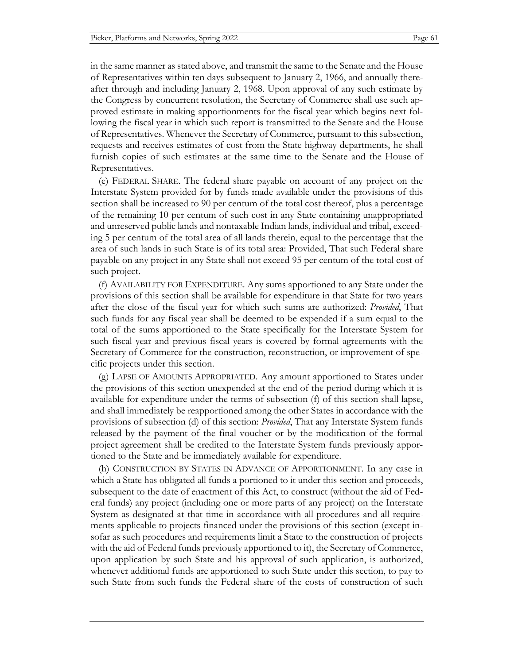Representatives.

in the same manner as stated above, and transmit the same to the Senate and the House of Representatives within ten days subsequent to January 2, 1966, and annually thereafter through and including January 2, 1968. Upon approval of any such estimate by the Congress by concurrent resolution, the Secretary of Commerce shall use such approved estimate in making apportionments for the fiscal year which begins next following the fiscal year in which such report is transmitted to the Senate and the House of Representatives. Whenever the Secretary of Commerce, pursuant to this subsection, requests and receives estimates of cost from the State highway departments, he shall furnish copies of such estimates at the same time to the Senate and the House of

(e) FEDERAL SHARE. The federal share payable on account of any project on the Interstate System provided for by funds made available under the provisions of this section shall be increased to 90 per centum of the total cost thereof, plus a percentage of the remaining 10 per centum of such cost in any State containing unappropriated and unreserved public lands and nontaxable Indian lands, individual and tribal, exceeding 5 per centum of the total area of all lands therein, equal to the percentage that the area of such lands in such State is of its total area: Provided, That such Federal share payable on any project in any State shall not exceed 95 per centum of the total cost of such project.

(f) AVAILABILITY FOR EXPENDITURE. Any sums apportioned to any State under the provisions of this section shall be available for expenditure in that State for two years after the close of the fiscal year for which such sums are authorized: *Provided*, That such funds for any fiscal year shall be deemed to be expended if a sum equal to the total of the sums apportioned to the State specifically for the Interstate System for such fiscal year and previous fiscal years is covered by formal agreements with the Secretary of Commerce for the construction, reconstruction, or improvement of specific projects under this section.

(g) LAPSE OF AMOUNTS APPROPRIATED. Any amount apportioned to States under the provisions of this section unexpended at the end of the period during which it is available for expenditure under the terms of subsection (f) of this section shall lapse, and shall immediately be reapportioned among the other States in accordance with the provisions of subsection (d) of this section: *Provided*, That any Interstate System funds released by the payment of the final voucher or by the modification of the formal project agreement shall be credited to the Interstate System funds previously apportioned to the State and be immediately available for expenditure.

(h) CONSTRUCTION BY STATES IN ADVANCE OF APPORTIONMENT. In any case in which a State has obligated all funds a portioned to it under this section and proceeds, subsequent to the date of enactment of this Act, to construct (without the aid of Federal funds) any project (including one or more parts of any project) on the Interstate System as designated at that time in accordance with all procedures and all requirements applicable to projects financed under the provisions of this section (except insofar as such procedures and requirements limit a State to the construction of projects with the aid of Federal funds previously apportioned to it), the Secretary of Commerce, upon application by such State and his approval of such application, is authorized, whenever additional funds are apportioned to such State under this section, to pay to such State from such funds the Federal share of the costs of construction of such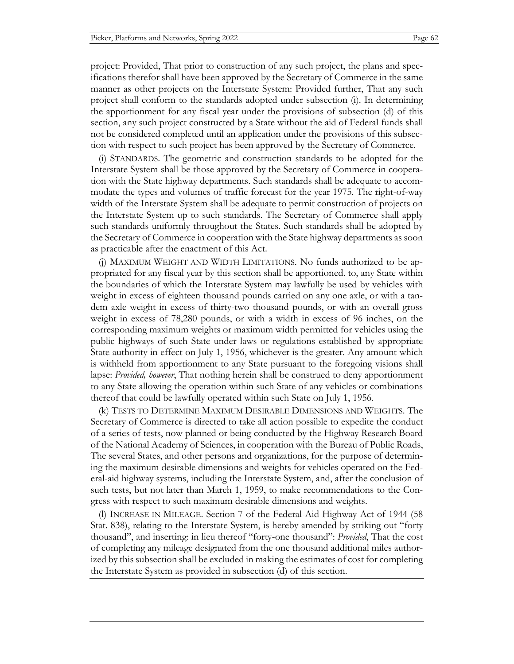project: Provided, That prior to construction of any such project, the plans and specifications therefor shall have been approved by the Secretary of Commerce in the same manner as other projects on the Interstate System: Provided further, That any such project shall conform to the standards adopted under subsection (i). In determining the apportionment for any fiscal year under the provisions of subsection (d) of this section, any such project constructed by a State without the aid of Federal funds shall not be considered completed until an application under the provisions of this subsection with respect to such project has been approved by the Secretary of Commerce.

(i) STANDARDS. The geometric and construction standards to be adopted for the Interstate System shall be those approved by the Secretary of Commerce in cooperation with the State highway departments. Such standards shall be adequate to accommodate the types and volumes of traffic forecast for the year 1975. The right-of-way width of the Interstate System shall be adequate to permit construction of projects on the Interstate System up to such standards. The Secretary of Commerce shall apply such standards uniformly throughout the States. Such standards shall be adopted by the Secretary of Commerce in cooperation with the State highway departments as soon as practicable after the enactment of this Act.

(j) MAXIMUM WEIGHT AND WIDTH LIMITATIONS. No funds authorized to be appropriated for any fiscal year by this section shall be apportioned. to, any State within the boundaries of which the Interstate System may lawfully be used by vehicles with weight in excess of eighteen thousand pounds carried on any one axle, or with a tandem axle weight in excess of thirty-two thousand pounds, or with an overall gross weight in excess of 78,280 pounds, or with a width in excess of 96 inches, on the corresponding maximum weights or maximum width permitted for vehicles using the public highways of such State under laws or regulations established by appropriate State authority in effect on July 1, 1956, whichever is the greater. Any amount which is withheld from apportionment to any State pursuant to the foregoing visions shall lapse: *Provided, however*, That nothing herein shall be construed to deny apportionment to any State allowing the operation within such State of any vehicles or combinations thereof that could be lawfully operated within such State on July 1, 1956.

(k) TESTS TO DETERMINE MAXIMUM DESIRABLE DIMENSIONS AND WEIGHTS. The Secretary of Commerce is directed to take all action possible to expedite the conduct of a series of tests, now planned or being conducted by the Highway Research Board of the National Academy of Sciences, in cooperation with the Bureau of Public Roads, The several States, and other persons and organizations, for the purpose of determining the maximum desirable dimensions and weights for vehicles operated on the Federal-aid highway systems, including the Interstate System, and, after the conclusion of such tests, but not later than March 1, 1959, to make recommendations to the Congress with respect to such maximum desirable dimensions and weights.

(l) INCREASE IN MILEAGE. Section 7 of the Federal-Aid Highway Act of 1944 (58 Stat. 838), relating to the Interstate System, is hereby amended by striking out "forty thousand", and inserting: in lieu thereof "forty-one thousand": *Provided*, That the cost of completing any mileage designated from the one thousand additional miles authorized by this subsection shall be excluded in making the estimates of cost for completing the Interstate System as provided in subsection (d) of this section.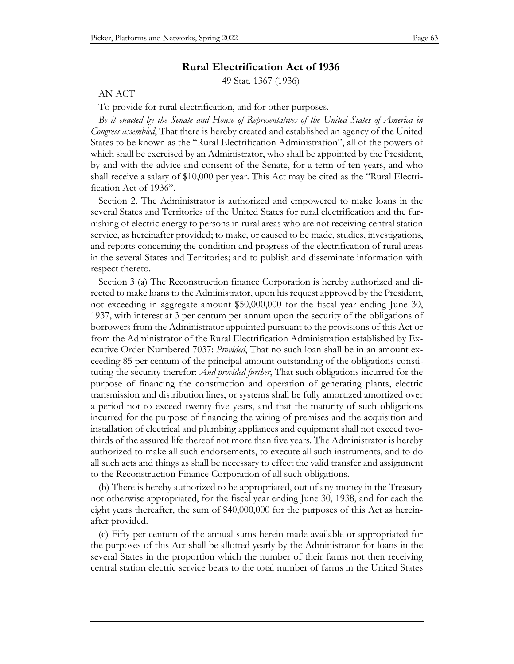## **Rural Electrification Act of 1936**

49 Stat. 1367 (1936)

#### AN ACT

#### To provide for rural electrification, and for other purposes.

*Be it enacted by the Senate and House of Representatives of the United States of America in Congress assembled*, That there is hereby created and established an agency of the United States to be known as the "Rural Electrification Administration", all of the powers of which shall be exercised by an Administrator, who shall be appointed by the President, by and with the advice and consent of the Senate, for a term of ten years, and who shall receive a salary of \$10,000 per year. This Act may be cited as the "Rural Electrification Act of 1936".

Section 2. The Administrator is authorized and empowered to make loans in the several States and Territories of the United States for rural electrification and the furnishing of electric energy to persons in rural areas who are not receiving central station service, as hereinafter provided; to make, or caused to be made, studies, investigations, and reports concerning the condition and progress of the electrification of rural areas in the several States and Territories; and to publish and disseminate information with respect thereto.

Section 3 (a) The Reconstruction finance Corporation is hereby authorized and directed to make loans to the Administrator, upon his request approved by the President, not exceeding in aggregate amount \$50,000,000 for the fiscal year ending June 30, 1937, with interest at 3 per centum per annum upon the security of the obligations of borrowers from the Administrator appointed pursuant to the provisions of this Act or from the Administrator of the Rural Electrification Administration established by Executive Order Numbered 7037: *Provided*, That no such loan shall be in an amount exceeding 85 per centum of the principal amount outstanding of the obligations constituting the security therefor: *And provided further*, That such obligations incurred for the purpose of financing the construction and operation of generating plants, electric transmission and distribution lines, or systems shall be fully amortized amortized over a period not to exceed twenty-five years, and that the maturity of such obligations incurred for the purpose of financing the wiring of premises and the acquisition and installation of electrical and plumbing appliances and equipment shall not exceed twothirds of the assured life thereof not more than five years. The Administrator is hereby authorized to make all such endorsements, to execute all such instruments, and to do all such acts and things as shall be necessary to effect the valid transfer and assignment to the Reconstruction Finance Corporation of all such obligations.

(b) There is hereby authorized to be appropriated, out of any money in the Treasury not otherwise appropriated, for the fiscal year ending June 30, 1938, and for each the eight years thereafter, the sum of \$40,000,000 for the purposes of this Act as hereinafter provided.

(c) Fifty per centum of the annual sums herein made available or appropriated for the purposes of this Act shall be allotted yearly by the Administrator for loans in the several States in the proportion which the number of their farms not then receiving central station electric service bears to the total number of farms in the United States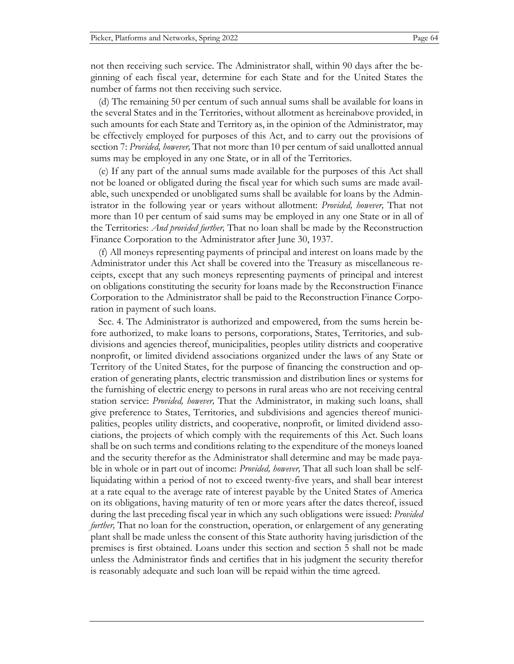not then receiving such service. The Administrator shall, within 90 days after the beginning of each fiscal year, determine for each State and for the United States the number of farms not then receiving such service.

(d) The remaining 50 per centum of such annual sums shall be available for loans in the several States and in the Territories, without allotment as hereinabove provided, in such amounts for each State and Territory as, in the opinion of the Administrator, may be effectively employed for purposes of this Act, and to carry out the provisions of section 7: *Provided, however,* That not more than 10 per centum of said unallotted annual sums may be employed in any one State, or in all of the Territories.

(e) If any part of the annual sums made available for the purposes of this Act shall not be loaned or obligated during the fiscal year for which such sums are made available, such unexpended or unobligated sums shall be available for loans by the Administrator in the following year or years without allotment: *Provided, however,* That not more than 10 per centum of said sums may be employed in any one State or in all of the Territories: *And provided further,* That no loan shall be made by the Reconstruction Finance Corporation to the Administrator after June 30, 1937.

(f) All moneys representing payments of principal and interest on loans made by the Administrator under this Act shall be covered into the Treasury as miscellaneous receipts, except that any such moneys representing payments of principal and interest on obligations constituting the security for loans made by the Reconstruction Finance Corporation to the Administrator shall be paid to the Reconstruction Finance Corporation in payment of such loans.

Sec. 4. The Administrator is authorized and empowered, from the sums herein before authorized, to make loans to persons, corporations, States, Territories, and subdivisions and agencies thereof, municipalities, peoples utility districts and cooperative nonprofit, or limited dividend associations organized under the laws of any State or Territory of the United States, for the purpose of financing the construction and operation of generating plants, electric transmission and distribution lines or systems for the furnishing of electric energy to persons in rural areas who are not receiving central station service: *Provided, however,* That the Administrator, in making such loans, shall give preference to States, Territories, and subdivisions and agencies thereof municipalities, peoples utility districts, and cooperative, nonprofit, or limited dividend associations, the projects of which comply with the requirements of this Act. Such loans shall be on such terms and conditions relating to the expenditure of the moneys loaned and the security therefor as the Administrator shall determine and may be made payable in whole or in part out of income: *Provided, however,* That all such loan shall be selfliquidating within a period of not to exceed twenty-five years, and shall bear interest at a rate equal to the average rate of interest payable by the United States of America on its obligations, having maturity of ten or more years after the dates thereof, issued during the last preceding fiscal year in which any such obligations were issued: *Provided further*, That no loan for the construction, operation, or enlargement of any generating plant shall be made unless the consent of this State authority having jurisdiction of the premises is first obtained. Loans under this section and section 5 shall not be made unless the Administrator finds and certifies that in his judgment the security therefor is reasonably adequate and such loan will be repaid within the time agreed.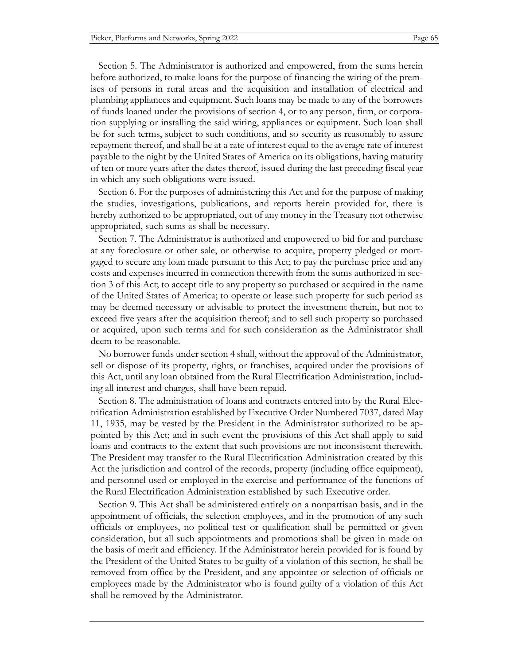Section 5. The Administrator is authorized and empowered, from the sums herein before authorized, to make loans for the purpose of financing the wiring of the premises of persons in rural areas and the acquisition and installation of electrical and plumbing appliances and equipment. Such loans may be made to any of the borrowers of funds loaned under the provisions of section 4, or to any person, firm, or corporation supplying or installing the said wiring, appliances or equipment. Such loan shall be for such terms, subject to such conditions, and so security as reasonably to assure repayment thereof, and shall be at a rate of interest equal to the average rate of interest payable to the night by the United States of America on its obligations, having maturity of ten or more years after the dates thereof, issued during the last preceding fiscal year in which any such obligations were issued.

Section 6. For the purposes of administering this Act and for the purpose of making the studies, investigations, publications, and reports herein provided for, there is hereby authorized to be appropriated, out of any money in the Treasury not otherwise appropriated, such sums as shall be necessary.

Section 7. The Administrator is authorized and empowered to bid for and purchase at any foreclosure or other sale, or otherwise to acquire, property pledged or mortgaged to secure any loan made pursuant to this Act; to pay the purchase price and any costs and expenses incurred in connection therewith from the sums authorized in section 3 of this Act; to accept title to any property so purchased or acquired in the name of the United States of America; to operate or lease such property for such period as may be deemed necessary or advisable to protect the investment therein, but not to exceed five years after the acquisition thereof; and to sell such property so purchased or acquired, upon such terms and for such consideration as the Administrator shall deem to be reasonable.

No borrower funds under section 4 shall, without the approval of the Administrator, sell or dispose of its property, rights, or franchises, acquired under the provisions of this Act, until any loan obtained from the Rural Electrification Administration, including all interest and charges, shall have been repaid.

Section 8. The administration of loans and contracts entered into by the Rural Electrification Administration established by Executive Order Numbered 7037, dated May 11, 1935, may be vested by the President in the Administrator authorized to be appointed by this Act; and in such event the provisions of this Act shall apply to said loans and contracts to the extent that such provisions are not inconsistent therewith. The President may transfer to the Rural Electrification Administration created by this Act the jurisdiction and control of the records, property (including office equipment), and personnel used or employed in the exercise and performance of the functions of the Rural Electrification Administration established by such Executive order.

Section 9. This Act shall be administered entirely on a nonpartisan basis, and in the appointment of officials, the selection employees, and in the promotion of any such officials or employees, no political test or qualification shall be permitted or given consideration, but all such appointments and promotions shall be given in made on the basis of merit and efficiency. If the Administrator herein provided for is found by the President of the United States to be guilty of a violation of this section, he shall be removed from office by the President, and any appointee or selection of officials or employees made by the Administrator who is found guilty of a violation of this Act shall be removed by the Administrator.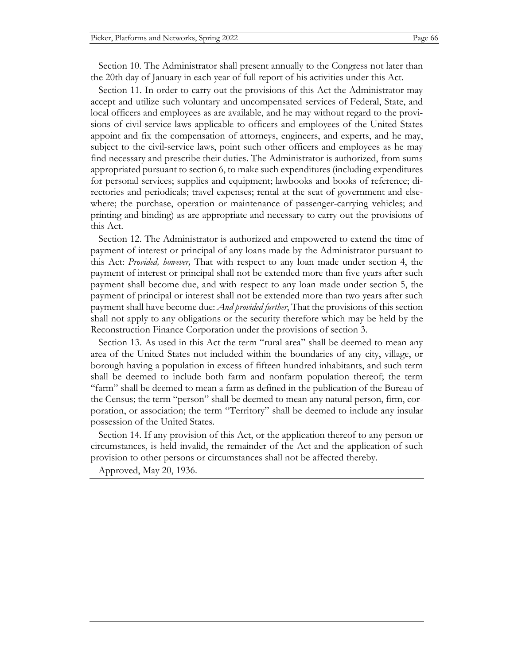Section 10. The Administrator shall present annually to the Congress not later than the 20th day of January in each year of full report of his activities under this Act.

Section 11. In order to carry out the provisions of this Act the Administrator may accept and utilize such voluntary and uncompensated services of Federal, State, and local officers and employees as are available, and he may without regard to the provisions of civil-service laws applicable to officers and employees of the United States appoint and fix the compensation of attorneys, engineers, and experts, and he may, subject to the civil-service laws, point such other officers and employees as he may find necessary and prescribe their duties. The Administrator is authorized, from sums appropriated pursuant to section 6, to make such expenditures (including expenditures for personal services; supplies and equipment; lawbooks and books of reference; directories and periodicals; travel expenses; rental at the seat of government and elsewhere; the purchase, operation or maintenance of passenger-carrying vehicles; and printing and binding) as are appropriate and necessary to carry out the provisions of this Act.

Section 12. The Administrator is authorized and empowered to extend the time of payment of interest or principal of any loans made by the Administrator pursuant to this Act: *Provided, however,* That with respect to any loan made under section 4, the payment of interest or principal shall not be extended more than five years after such payment shall become due, and with respect to any loan made under section 5, the payment of principal or interest shall not be extended more than two years after such payment shall have become due: *And provided further*, That the provisions of this section shall not apply to any obligations or the security therefore which may be held by the Reconstruction Finance Corporation under the provisions of section 3.

Section 13. As used in this Act the term "rural area" shall be deemed to mean any area of the United States not included within the boundaries of any city, village, or borough having a population in excess of fifteen hundred inhabitants, and such term shall be deemed to include both farm and nonfarm population thereof; the term "farm" shall be deemed to mean a farm as defined in the publication of the Bureau of the Census; the term "person" shall be deemed to mean any natural person, firm, corporation, or association; the term "Territory" shall be deemed to include any insular possession of the United States.

Section 14. If any provision of this Act, or the application thereof to any person or circumstances, is held invalid, the remainder of the Act and the application of such provision to other persons or circumstances shall not be affected thereby.

Approved, May 20, 1936.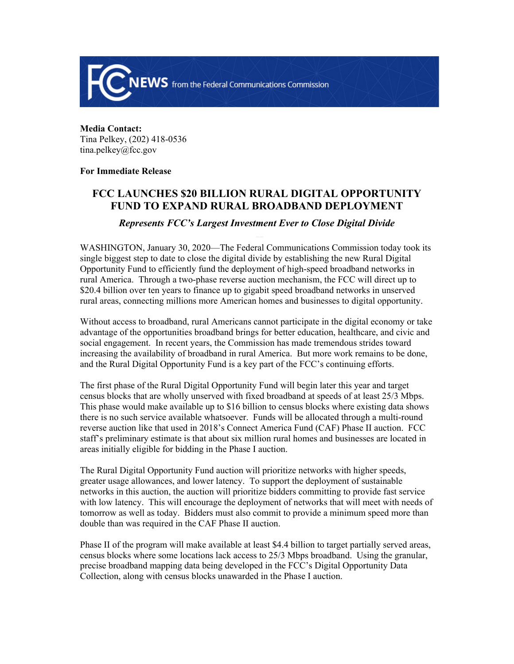

**Media Contact:**  Tina Pelkey, (202) 418-0536 tina.pelkey@fcc.gov

**For Immediate Release**

# **FCC LAUNCHES \$20 BILLION RURAL DIGITAL OPPORTUNITY FUND TO EXPAND RURAL BROADBAND DEPLOYMENT**

## *Represents FCC's Largest Investment Ever to Close Digital Divide*

WASHINGTON, January 30, 2020—The Federal Communications Commission today took its single biggest step to date to close the digital divide by establishing the new Rural Digital Opportunity Fund to efficiently fund the deployment of high-speed broadband networks in rural America. Through a two-phase reverse auction mechanism, the FCC will direct up to \$20.4 billion over ten years to finance up to gigabit speed broadband networks in unserved rural areas, connecting millions more American homes and businesses to digital opportunity.

Without access to broadband, rural Americans cannot participate in the digital economy or take advantage of the opportunities broadband brings for better education, healthcare, and civic and social engagement. In recent years, the Commission has made tremendous strides toward increasing the availability of broadband in rural America. But more work remains to be done, and the Rural Digital Opportunity Fund is a key part of the FCC's continuing efforts.

The first phase of the Rural Digital Opportunity Fund will begin later this year and target census blocks that are wholly unserved with fixed broadband at speeds of at least 25/3 Mbps. This phase would make available up to \$16 billion to census blocks where existing data shows there is no such service available whatsoever. Funds will be allocated through a multi-round reverse auction like that used in 2018's Connect America Fund (CAF) Phase II auction. FCC staff's preliminary estimate is that about six million rural homes and businesses are located in areas initially eligible for bidding in the Phase I auction.

The Rural Digital Opportunity Fund auction will prioritize networks with higher speeds, greater usage allowances, and lower latency. To support the deployment of sustainable networks in this auction, the auction will prioritize bidders committing to provide fast service with low latency. This will encourage the deployment of networks that will meet with needs of tomorrow as well as today. Bidders must also commit to provide a minimum speed more than double than was required in the CAF Phase II auction.

Phase II of the program will make available at least \$4.4 billion to target partially served areas, census blocks where some locations lack access to 25/3 Mbps broadband. Using the granular, precise broadband mapping data being developed in the FCC's Digital Opportunity Data Collection, along with census blocks unawarded in the Phase I auction.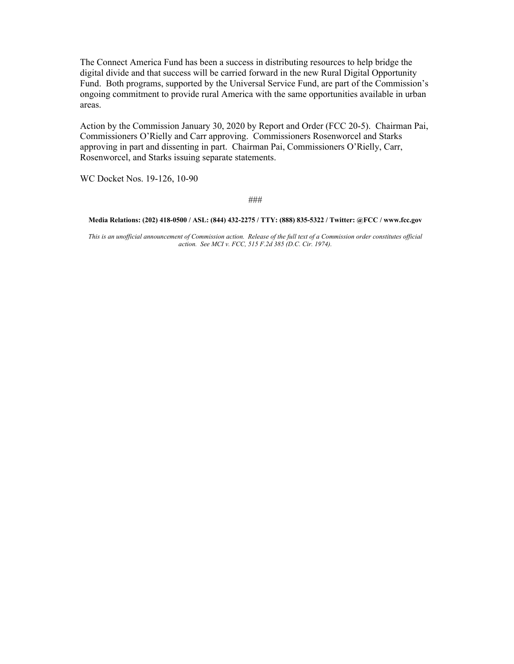The Connect America Fund has been a success in distributing resources to help bridge the digital divide and that success will be carried forward in the new Rural Digital Opportunity Fund. Both programs, supported by the Universal Service Fund, are part of the Commission's ongoing commitment to provide rural America with the same opportunities available in urban areas.

Action by the Commission January 30, 2020 by Report and Order (FCC 20-5). Chairman Pai, Commissioners O'Rielly and Carr approving. Commissioners Rosenworcel and Starks approving in part and dissenting in part. Chairman Pai, Commissioners O'Rielly, Carr, Rosenworcel, and Starks issuing separate statements.

WC Docket Nos. 19-126, 10-90

###

**Media Relations: (202) 418-0500 / ASL: (844) 432-2275 / TTY: (888) 835-5322 / Twitter: @FCC / www.fcc.gov** 

*This is an unofficial announcement of Commission action. Release of the full text of a Commission order constitutes official action. See MCI v. FCC, 515 F.2d 385 (D.C. Cir. 1974).*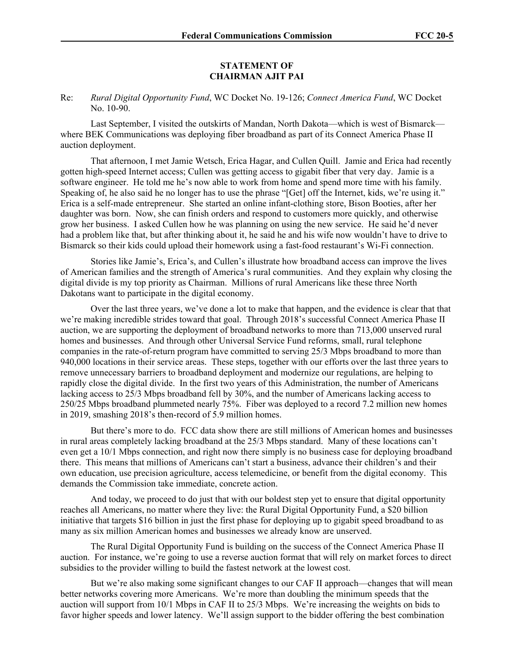### **STATEMENT OF CHAIRMAN AJIT PAI**

#### Re: *Rural Digital Opportunity Fund*, WC Docket No. 19-126; *Connect America Fund*, WC Docket No. 10-90.

Last September, I visited the outskirts of Mandan, North Dakota—which is west of Bismarck where BEK Communications was deploying fiber broadband as part of its Connect America Phase II auction deployment.

That afternoon, I met Jamie Wetsch, Erica Hagar, and Cullen Quill. Jamie and Erica had recently gotten high-speed Internet access; Cullen was getting access to gigabit fiber that very day. Jamie is a software engineer. He told me he's now able to work from home and spend more time with his family. Speaking of, he also said he no longer has to use the phrase "[Get] off the Internet, kids, we're using it." Erica is a self-made entrepreneur. She started an online infant-clothing store, Bison Booties, after her daughter was born. Now, she can finish orders and respond to customers more quickly, and otherwise grow her business. I asked Cullen how he was planning on using the new service. He said he'd never had a problem like that, but after thinking about it, he said he and his wife now wouldn't have to drive to Bismarck so their kids could upload their homework using a fast-food restaurant's Wi-Fi connection.

Stories like Jamie's, Erica's, and Cullen's illustrate how broadband access can improve the lives of American families and the strength of America's rural communities. And they explain why closing the digital divide is my top priority as Chairman. Millions of rural Americans like these three North Dakotans want to participate in the digital economy.

Over the last three years, we've done a lot to make that happen, and the evidence is clear that that we're making incredible strides toward that goal. Through 2018's successful Connect America Phase II auction, we are supporting the deployment of broadband networks to more than 713,000 unserved rural homes and businesses. And through other Universal Service Fund reforms, small, rural telephone companies in the rate-of-return program have committed to serving 25/3 Mbps broadband to more than 940,000 locations in their service areas. These steps, together with our efforts over the last three years to remove unnecessary barriers to broadband deployment and modernize our regulations, are helping to rapidly close the digital divide. In the first two years of this Administration, the number of Americans lacking access to 25/3 Mbps broadband fell by 30%, and the number of Americans lacking access to 250/25 Mbps broadband plummeted nearly 75%. Fiber was deployed to a record 7.2 million new homes in 2019, smashing 2018's then-record of 5.9 million homes.

But there's more to do. FCC data show there are still millions of American homes and businesses in rural areas completely lacking broadband at the 25/3 Mbps standard. Many of these locations can't even get a 10/1 Mbps connection, and right now there simply is no business case for deploying broadband there. This means that millions of Americans can't start a business, advance their children's and their own education, use precision agriculture, access telemedicine, or benefit from the digital economy. This demands the Commission take immediate, concrete action.

And today, we proceed to do just that with our boldest step yet to ensure that digital opportunity reaches all Americans, no matter where they live: the Rural Digital Opportunity Fund, a \$20 billion initiative that targets \$16 billion in just the first phase for deploying up to gigabit speed broadband to as many as six million American homes and businesses we already know are unserved.

The Rural Digital Opportunity Fund is building on the success of the Connect America Phase II auction. For instance, we're going to use a reverse auction format that will rely on market forces to direct subsidies to the provider willing to build the fastest network at the lowest cost.

But we're also making some significant changes to our CAF II approach—changes that will mean better networks covering more Americans. We're more than doubling the minimum speeds that the auction will support from 10/1 Mbps in CAF II to 25/3 Mbps. We're increasing the weights on bids to favor higher speeds and lower latency. We'll assign support to the bidder offering the best combination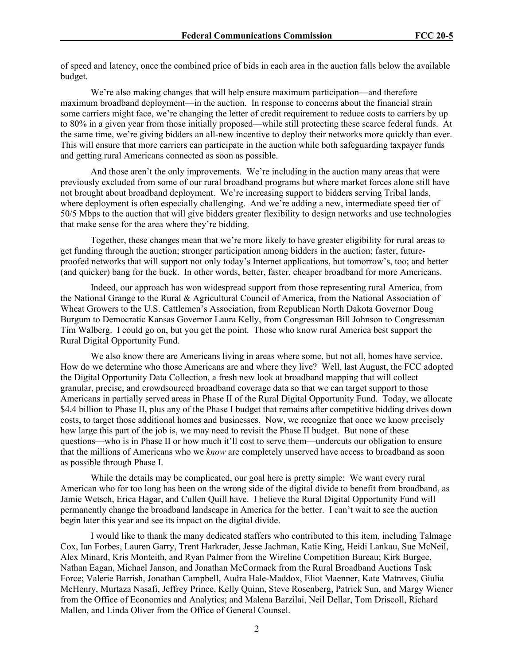of speed and latency, once the combined price of bids in each area in the auction falls below the available budget.

We're also making changes that will help ensure maximum participation—and therefore maximum broadband deployment—in the auction. In response to concerns about the financial strain some carriers might face, we're changing the letter of credit requirement to reduce costs to carriers by up to 80% in a given year from those initially proposed—while still protecting these scarce federal funds. At the same time, we're giving bidders an all-new incentive to deploy their networks more quickly than ever. This will ensure that more carriers can participate in the auction while both safeguarding taxpayer funds and getting rural Americans connected as soon as possible.

And those aren't the only improvements. We're including in the auction many areas that were previously excluded from some of our rural broadband programs but where market forces alone still have not brought about broadband deployment. We're increasing support to bidders serving Tribal lands, where deployment is often especially challenging. And we're adding a new, intermediate speed tier of 50/5 Mbps to the auction that will give bidders greater flexibility to design networks and use technologies that make sense for the area where they're bidding.

Together, these changes mean that we're more likely to have greater eligibility for rural areas to get funding through the auction; stronger participation among bidders in the auction; faster, futureproofed networks that will support not only today's Internet applications, but tomorrow's, too; and better (and quicker) bang for the buck. In other words, better, faster, cheaper broadband for more Americans.

Indeed, our approach has won widespread support from those representing rural America, from the National Grange to the Rural & Agricultural Council of America, from the National Association of Wheat Growers to the U.S. Cattlemen's Association, from Republican North Dakota Governor Doug Burgum to Democratic Kansas Governor Laura Kelly, from Congressman Bill Johnson to Congressman Tim Walberg. I could go on, but you get the point. Those who know rural America best support the Rural Digital Opportunity Fund.

We also know there are Americans living in areas where some, but not all, homes have service. How do we determine who those Americans are and where they live? Well, last August, the FCC adopted the Digital Opportunity Data Collection, a fresh new look at broadband mapping that will collect granular, precise, and crowdsourced broadband coverage data so that we can target support to those Americans in partially served areas in Phase II of the Rural Digital Opportunity Fund. Today, we allocate \$4.4 billion to Phase II, plus any of the Phase I budget that remains after competitive bidding drives down costs, to target those additional homes and businesses. Now, we recognize that once we know precisely how large this part of the job is, we may need to revisit the Phase II budget. But none of these questions—who is in Phase II or how much it'll cost to serve them—undercuts our obligation to ensure that the millions of Americans who we *know* are completely unserved have access to broadband as soon as possible through Phase I.

While the details may be complicated, our goal here is pretty simple: We want every rural American who for too long has been on the wrong side of the digital divide to benefit from broadband, as Jamie Wetsch, Erica Hagar, and Cullen Quill have. I believe the Rural Digital Opportunity Fund will permanently change the broadband landscape in America for the better. I can't wait to see the auction begin later this year and see its impact on the digital divide.

I would like to thank the many dedicated staffers who contributed to this item, including Talmage Cox, Ian Forbes, Lauren Garry, Trent Harkrader, Jesse Jachman, Katie King, Heidi Lankau, Sue McNeil, Alex Minard, Kris Monteith, and Ryan Palmer from the Wireline Competition Bureau; Kirk Burgee, Nathan Eagan, Michael Janson, and Jonathan McCormack from the Rural Broadband Auctions Task Force; Valerie Barrish, Jonathan Campbell, Audra Hale-Maddox, Eliot Maenner, Kate Matraves, Giulia McHenry, Murtaza Nasafi, Jeffrey Prince, Kelly Quinn, Steve Rosenberg, Patrick Sun, and Margy Wiener from the Office of Economics and Analytics; and Malena Barzilai, Neil Dellar, Tom Driscoll, Richard Mallen, and Linda Oliver from the Office of General Counsel.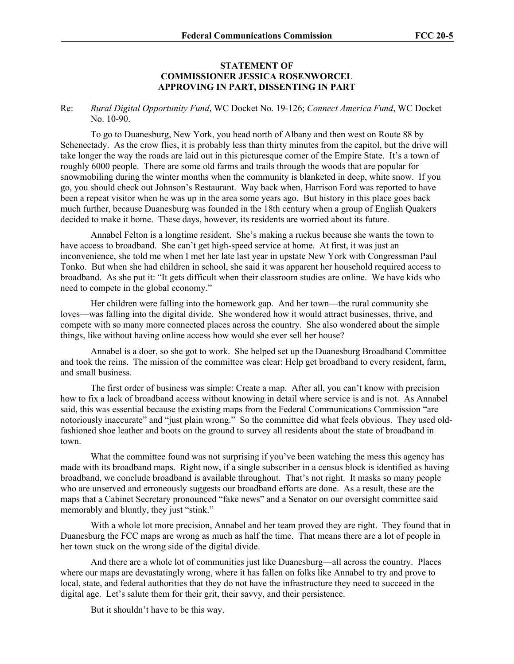### **STATEMENT OF COMMISSIONER JESSICA ROSENWORCEL APPROVING IN PART, DISSENTING IN PART**

Re: *Rural Digital Opportunity Fund*, WC Docket No. 19-126; *Connect America Fund*, WC Docket No. 10-90.

To go to Duanesburg, New York, you head north of Albany and then west on Route 88 by Schenectady. As the crow flies, it is probably less than thirty minutes from the capitol, but the drive will take longer the way the roads are laid out in this picturesque corner of the Empire State. It's a town of roughly 6000 people. There are some old farms and trails through the woods that are popular for snowmobiling during the winter months when the community is blanketed in deep, white snow. If you go, you should check out Johnson's Restaurant. Way back when, Harrison Ford was reported to have been a repeat visitor when he was up in the area some years ago. But history in this place goes back much further, because Duanesburg was founded in the 18th century when a group of English Quakers decided to make it home. These days, however, its residents are worried about its future.

Annabel Felton is a longtime resident. She's making a ruckus because she wants the town to have access to broadband. She can't get high-speed service at home. At first, it was just an inconvenience, she told me when I met her late last year in upstate New York with Congressman Paul Tonko. But when she had children in school, she said it was apparent her household required access to broadband. As she put it: "It gets difficult when their classroom studies are online. We have kids who need to compete in the global economy."

Her children were falling into the homework gap. And her town—the rural community she loves—was falling into the digital divide. She wondered how it would attract businesses, thrive, and compete with so many more connected places across the country. She also wondered about the simple things, like without having online access how would she ever sell her house?

Annabel is a doer, so she got to work. She helped set up the Duanesburg Broadband Committee and took the reins. The mission of the committee was clear: Help get broadband to every resident, farm, and small business.

The first order of business was simple: Create a map. After all, you can't know with precision how to fix a lack of broadband access without knowing in detail where service is and is not. As Annabel said, this was essential because the existing maps from the Federal Communications Commission "are notoriously inaccurate" and "just plain wrong." So the committee did what feels obvious. They used oldfashioned shoe leather and boots on the ground to survey all residents about the state of broadband in town.

What the committee found was not surprising if you've been watching the mess this agency has made with its broadband maps. Right now, if a single subscriber in a census block is identified as having broadband, we conclude broadband is available throughout. That's not right. It masks so many people who are unserved and erroneously suggests our broadband efforts are done. As a result, these are the maps that a Cabinet Secretary pronounced "fake news" and a Senator on our oversight committee said memorably and bluntly, they just "stink."

With a whole lot more precision, Annabel and her team proved they are right. They found that in Duanesburg the FCC maps are wrong as much as half the time. That means there are a lot of people in her town stuck on the wrong side of the digital divide.

And there are a whole lot of communities just like Duanesburg—all across the country. Places where our maps are devastatingly wrong, where it has fallen on folks like Annabel to try and prove to local, state, and federal authorities that they do not have the infrastructure they need to succeed in the digital age. Let's salute them for their grit, their savvy, and their persistence.

But it shouldn't have to be this way.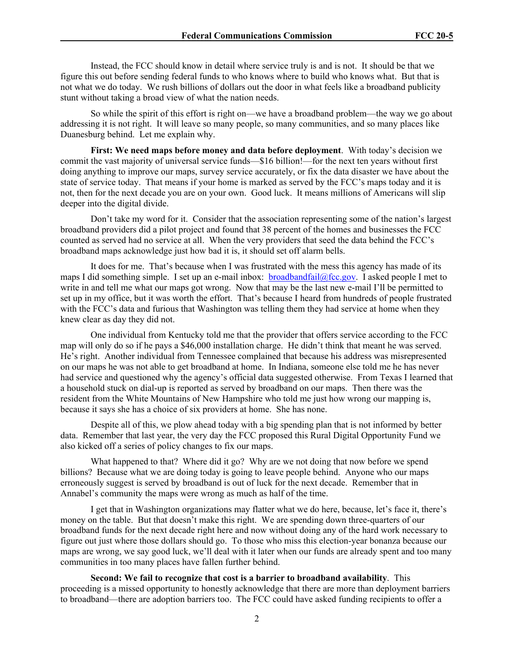Instead, the FCC should know in detail where service truly is and is not. It should be that we figure this out before sending federal funds to who knows where to build who knows what. But that is not what we do today. We rush billions of dollars out the door in what feels like a broadband publicity stunt without taking a broad view of what the nation needs.

So while the spirit of this effort is right on—we have a broadband problem—the way we go about addressing it is not right. It will leave so many people, so many communities, and so many places like Duanesburg behind. Let me explain why.

**First: We need maps before money and data before deployment**. With today's decision we commit the vast majority of universal service funds—\$16 billion!—for the next ten years without first doing anything to improve our maps, survey service accurately, or fix the data disaster we have about the state of service today. That means if your home is marked as served by the FCC's maps today and it is not, then for the next decade you are on your own. Good luck. It means millions of Americans will slip deeper into the digital divide.

Don't take my word for it. Consider that the association representing some of the nation's largest broadband providers did a pilot project and found that 38 percent of the homes and businesses the FCC counted as served had no service at all. When the very providers that seed the data behind the FCC's broadband maps acknowledge just how bad it is, it should set off alarm bells.

It does for me. That's because when I was frustrated with the mess this agency has made of its maps I did something simple. I set up an e-mail inbox: [broadbandfail@fcc.gov.](mailto:broadbandfail@fcc.gov) I asked people I met to write in and tell me what our maps got wrong. Now that may be the last new e-mail I'll be permitted to set up in my office, but it was worth the effort. That's because I heard from hundreds of people frustrated with the FCC's data and furious that Washington was telling them they had service at home when they knew clear as day they did not.

One individual from Kentucky told me that the provider that offers service according to the FCC map will only do so if he pays a \$46,000 installation charge. He didn't think that meant he was served. He's right. Another individual from Tennessee complained that because his address was misrepresented on our maps he was not able to get broadband at home. In Indiana, someone else told me he has never had service and questioned why the agency's official data suggested otherwise. From Texas I learned that a household stuck on dial-up is reported as served by broadband on our maps. Then there was the resident from the White Mountains of New Hampshire who told me just how wrong our mapping is, because it says she has a choice of six providers at home. She has none.

Despite all of this, we plow ahead today with a big spending plan that is not informed by better data. Remember that last year, the very day the FCC proposed this Rural Digital Opportunity Fund we also kicked off a series of policy changes to fix our maps.

What happened to that? Where did it go? Why are we not doing that now before we spend billions? Because what we are doing today is going to leave people behind. Anyone who our maps erroneously suggest is served by broadband is out of luck for the next decade. Remember that in Annabel's community the maps were wrong as much as half of the time.

I get that in Washington organizations may flatter what we do here, because, let's face it, there's money on the table. But that doesn't make this right. We are spending down three-quarters of our broadband funds for the next decade right here and now without doing any of the hard work necessary to figure out just where those dollars should go. To those who miss this election-year bonanza because our maps are wrong, we say good luck, we'll deal with it later when our funds are already spent and too many communities in too many places have fallen further behind.

**Second: We fail to recognize that cost is a barrier to broadband availability**. This proceeding is a missed opportunity to honestly acknowledge that there are more than deployment barriers to broadband—there are adoption barriers too. The FCC could have asked funding recipients to offer a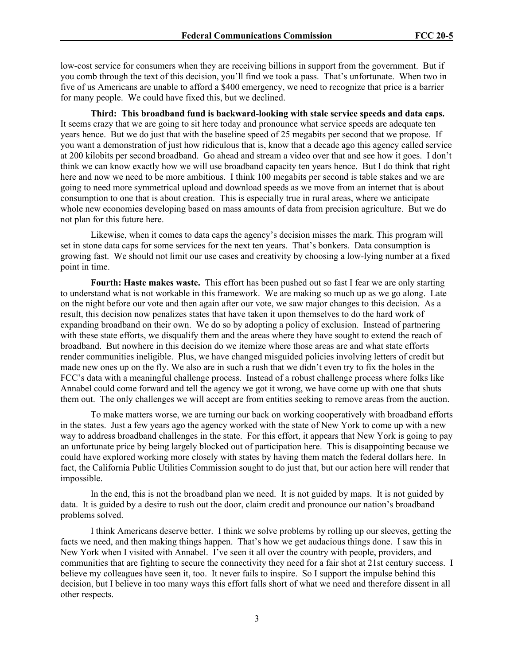low-cost service for consumers when they are receiving billions in support from the government. But if you comb through the text of this decision, you'll find we took a pass. That's unfortunate. When two in five of us Americans are unable to afford a \$400 emergency, we need to recognize that price is a barrier for many people. We could have fixed this, but we declined.

**Third: This broadband fund is backward-looking with stale service speeds and data caps.** It seems crazy that we are going to sit here today and pronounce what service speeds are adequate ten years hence. But we do just that with the baseline speed of 25 megabits per second that we propose. If you want a demonstration of just how ridiculous that is, know that a decade ago this agency called service at 200 kilobits per second broadband. Go ahead and stream a video over that and see how it goes. I don't think we can know exactly how we will use broadband capacity ten years hence. But I do think that right here and now we need to be more ambitious. I think 100 megabits per second is table stakes and we are going to need more symmetrical upload and download speeds as we move from an internet that is about consumption to one that is about creation. This is especially true in rural areas, where we anticipate whole new economies developing based on mass amounts of data from precision agriculture. But we do not plan for this future here.

Likewise, when it comes to data caps the agency's decision misses the mark. This program will set in stone data caps for some services for the next ten years. That's bonkers. Data consumption is growing fast. We should not limit our use cases and creativity by choosing a low-lying number at a fixed point in time.

**Fourth: Haste makes waste.** This effort has been pushed out so fast I fear we are only starting to understand what is not workable in this framework. We are making so much up as we go along. Late on the night before our vote and then again after our vote, we saw major changes to this decision. As a result, this decision now penalizes states that have taken it upon themselves to do the hard work of expanding broadband on their own. We do so by adopting a policy of exclusion. Instead of partnering with these state efforts, we disqualify them and the areas where they have sought to extend the reach of broadband. But nowhere in this decision do we itemize where those areas are and what state efforts render communities ineligible. Plus, we have changed misguided policies involving letters of credit but made new ones up on the fly. We also are in such a rush that we didn't even try to fix the holes in the FCC's data with a meaningful challenge process. Instead of a robust challenge process where folks like Annabel could come forward and tell the agency we got it wrong, we have come up with one that shuts them out. The only challenges we will accept are from entities seeking to remove areas from the auction.

To make matters worse, we are turning our back on working cooperatively with broadband efforts in the states. Just a few years ago the agency worked with the state of New York to come up with a new way to address broadband challenges in the state. For this effort, it appears that New York is going to pay an unfortunate price by being largely blocked out of participation here. This is disappointing because we could have explored working more closely with states by having them match the federal dollars here. In fact, the California Public Utilities Commission sought to do just that, but our action here will render that impossible.

In the end, this is not the broadband plan we need. It is not guided by maps. It is not guided by data. It is guided by a desire to rush out the door, claim credit and pronounce our nation's broadband problems solved.

I think Americans deserve better. I think we solve problems by rolling up our sleeves, getting the facts we need, and then making things happen. That's how we get audacious things done. I saw this in New York when I visited with Annabel. I've seen it all over the country with people, providers, and communities that are fighting to secure the connectivity they need for a fair shot at 21st century success. I believe my colleagues have seen it, too. It never fails to inspire. So I support the impulse behind this decision, but I believe in too many ways this effort falls short of what we need and therefore dissent in all other respects.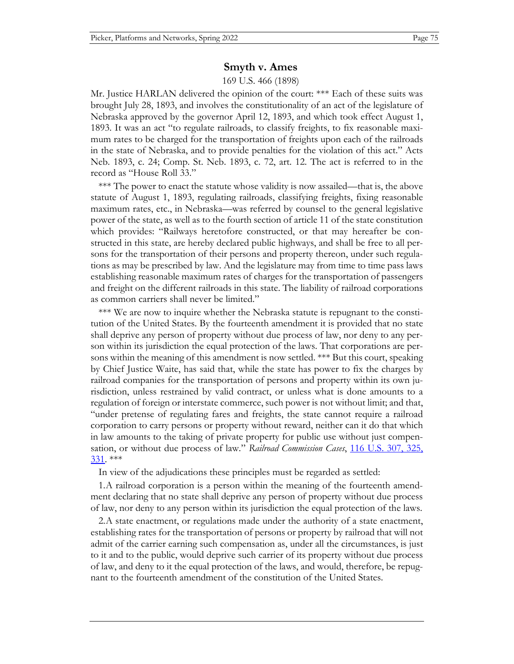## **Smyth v. Ames**

### 169 U.S. 466 (1898)

Mr. Justice HARLAN delivered the opinion of the court: \*\*\* Each of these suits was brought July 28, 1893, and involves the constitutionality of an act of the legislature of Nebraska approved by the governor April 12, 1893, and which took effect August 1, 1893. It was an act "to regulate railroads, to classify freights, to fix reasonable maximum rates to be charged for the transportation of freights upon each of the railroads in the state of Nebraska, and to provide penalties for the violation of this act." Acts Neb. 1893, c. 24; Comp. St. Neb. 1893, c. 72, art. 12. The act is referred to in the record as "House Roll 33."

\*\*\* The power to enact the statute whose validity is now assailed—that is, the above statute of August 1, 1893, regulating railroads, classifying freights, fixing reasonable maximum rates, etc., in Nebraska—was referred by counsel to the general legislative power of the state, as well as to the fourth section of article 11 of the state constitution which provides: "Railways heretofore constructed, or that may hereafter be constructed in this state, are hereby declared public highways, and shall be free to all persons for the transportation of their persons and property thereon, under such regulations as may be prescribed by law. And the legislature may from time to time pass laws establishing reasonable maximum rates of charges for the transportation of passengers and freight on the different railroads in this state. The liability of railroad corporations as common carriers shall never be limited."

\*\*\* We are now to inquire whether the Nebraska statute is repugnant to the constitution of the United States. By the fourteenth amendment it is provided that no state shall deprive any person of property without due process of law, nor deny to any person within its jurisdiction the equal protection of the laws. That corporations are persons within the meaning of this amendment is now settled. \*\*\* But this court, speaking by Chief Justice Waite, has said that, while the state has power to fix the charges by railroad companies for the transportation of persons and property within its own jurisdiction, unless restrained by valid contract, or unless what is done amounts to a regulation of foreign or interstate commerce, such power is not without limit; and that, "under pretense of regulating fares and freights, the state cannot require a railroad corporation to carry persons or property without reward, neither can it do that which in law amounts to the taking of private property for public use without just compensation, or without due process of law." *Railroad Commission Cases*, 116 U.S. 307, 325, 331. \*\*\*

In view of the adjudications these principles must be regarded as settled:

1.A railroad corporation is a person within the meaning of the fourteenth amendment declaring that no state shall deprive any person of property without due process of law, nor deny to any person within its jurisdiction the equal protection of the laws.

2.A state enactment, or regulations made under the authority of a state enactment, establishing rates for the transportation of persons or property by railroad that will not admit of the carrier earning such compensation as, under all the circumstances, is just to it and to the public, would deprive such carrier of its property without due process of law, and deny to it the equal protection of the laws, and would, therefore, be repugnant to the fourteenth amendment of the constitution of the United States.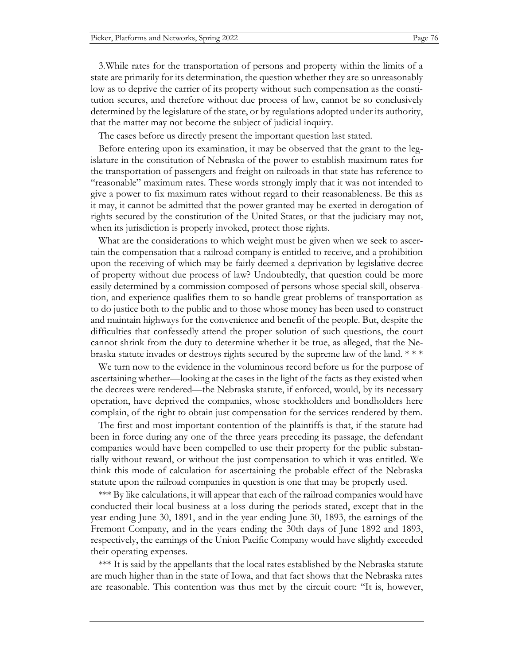3.While rates for the transportation of persons and property within the limits of a state are primarily for its determination, the question whether they are so unreasonably low as to deprive the carrier of its property without such compensation as the constitution secures, and therefore without due process of law, cannot be so conclusively

that the matter may not become the subject of judicial inquiry. The cases before us directly present the important question last stated.

Before entering upon its examination, it may be observed that the grant to the legislature in the constitution of Nebraska of the power to establish maximum rates for the transportation of passengers and freight on railroads in that state has reference to "reasonable" maximum rates. These words strongly imply that it was not intended to give a power to fix maximum rates without regard to their reasonableness. Be this as it may, it cannot be admitted that the power granted may be exerted in derogation of rights secured by the constitution of the United States, or that the judiciary may not, when its jurisdiction is properly invoked, protect those rights.

determined by the legislature of the state, or by regulations adopted under its authority,

What are the considerations to which weight must be given when we seek to ascertain the compensation that a railroad company is entitled to receive, and a prohibition upon the receiving of which may be fairly deemed a deprivation by legislative decree of property without due process of law? Undoubtedly, that question could be more easily determined by a commission composed of persons whose special skill, observation, and experience qualifies them to so handle great problems of transportation as to do justice both to the public and to those whose money has been used to construct and maintain highways for the convenience and benefit of the people. But, despite the difficulties that confessedly attend the proper solution of such questions, the court cannot shrink from the duty to determine whether it be true, as alleged, that the Nebraska statute invades or destroys rights secured by the supreme law of the land. \* \* \*

We turn now to the evidence in the voluminous record before us for the purpose of ascertaining whether—looking at the cases in the light of the facts as they existed when the decrees were rendered—the Nebraska statute, if enforced, would, by its necessary operation, have deprived the companies, whose stockholders and bondholders here complain, of the right to obtain just compensation for the services rendered by them.

The first and most important contention of the plaintiffs is that, if the statute had been in force during any one of the three years preceding its passage, the defendant companies would have been compelled to use their property for the public substantially without reward, or without the just compensation to which it was entitled. We think this mode of calculation for ascertaining the probable effect of the Nebraska statute upon the railroad companies in question is one that may be properly used.

\*\*\* By like calculations, it will appear that each of the railroad companies would have conducted their local business at a loss during the periods stated, except that in the year ending June 30, 1891, and in the year ending June 30, 1893, the earnings of the Fremont Company, and in the years ending the 30th days of June 1892 and 1893, respectively, the earnings of the Union Pacific Company would have slightly exceeded their operating expenses.

\*\*\* It is said by the appellants that the local rates established by the Nebraska statute are much higher than in the state of Iowa, and that fact shows that the Nebraska rates are reasonable. This contention was thus met by the circuit court: "It is, however,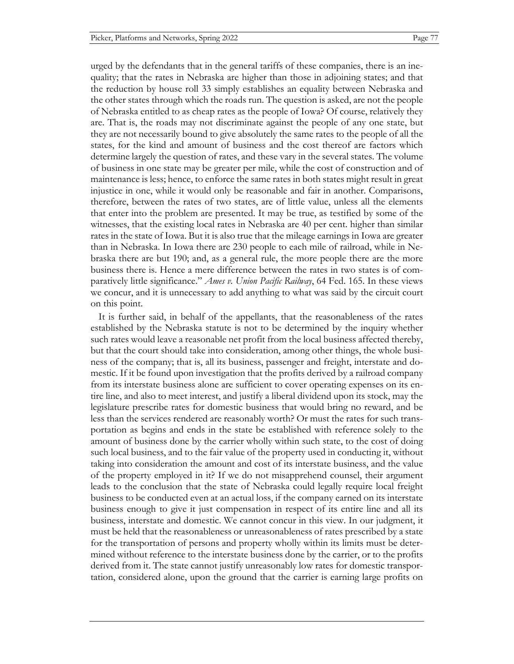urged by the defendants that in the general tariffs of these companies, there is an inequality; that the rates in Nebraska are higher than those in adjoining states; and that the reduction by house roll 33 simply establishes an equality between Nebraska and the other states through which the roads run. The question is asked, are not the people of Nebraska entitled to as cheap rates as the people of Iowa? Of course, relatively they are. That is, the roads may not discriminate against the people of any one state, but they are not necessarily bound to give absolutely the same rates to the people of all the states, for the kind and amount of business and the cost thereof are factors which determine largely the question of rates, and these vary in the several states. The volume of business in one state may be greater per mile, while the cost of construction and of maintenance is less; hence, to enforce the same rates in both states might result in great injustice in one, while it would only be reasonable and fair in another. Comparisons, therefore, between the rates of two states, are of little value, unless all the elements that enter into the problem are presented. It may be true, as testified by some of the witnesses, that the existing local rates in Nebraska are 40 per cent. higher than similar rates in the state of Iowa. But it is also true that the mileage earnings in Iowa are greater than in Nebraska. In Iowa there are 230 people to each mile of railroad, while in Nebraska there are but 190; and, as a general rule, the more people there are the more business there is. Hence a mere difference between the rates in two states is of comparatively little significance." *Ames v. Union Pacific Railway*, 64 Fed. 165. In these views we concur, and it is unnecessary to add anything to what was said by the circuit court on this point.

It is further said, in behalf of the appellants, that the reasonableness of the rates established by the Nebraska statute is not to be determined by the inquiry whether such rates would leave a reasonable net profit from the local business affected thereby, but that the court should take into consideration, among other things, the whole business of the company; that is, all its business, passenger and freight, interstate and domestic. If it be found upon investigation that the profits derived by a railroad company from its interstate business alone are sufficient to cover operating expenses on its entire line, and also to meet interest, and justify a liberal dividend upon its stock, may the legislature prescribe rates for domestic business that would bring no reward, and be less than the services rendered are reasonably worth? Or must the rates for such transportation as begins and ends in the state be established with reference solely to the amount of business done by the carrier wholly within such state, to the cost of doing such local business, and to the fair value of the property used in conducting it, without taking into consideration the amount and cost of its interstate business, and the value of the property employed in it? If we do not misapprehend counsel, their argument leads to the conclusion that the state of Nebraska could legally require local freight business to be conducted even at an actual loss, if the company earned on its interstate business enough to give it just compensation in respect of its entire line and all its business, interstate and domestic. We cannot concur in this view. In our judgment, it must be held that the reasonableness or unreasonableness of rates prescribed by a state for the transportation of persons and property wholly within its limits must be determined without reference to the interstate business done by the carrier, or to the profits derived from it. The state cannot justify unreasonably low rates for domestic transportation, considered alone, upon the ground that the carrier is earning large profits on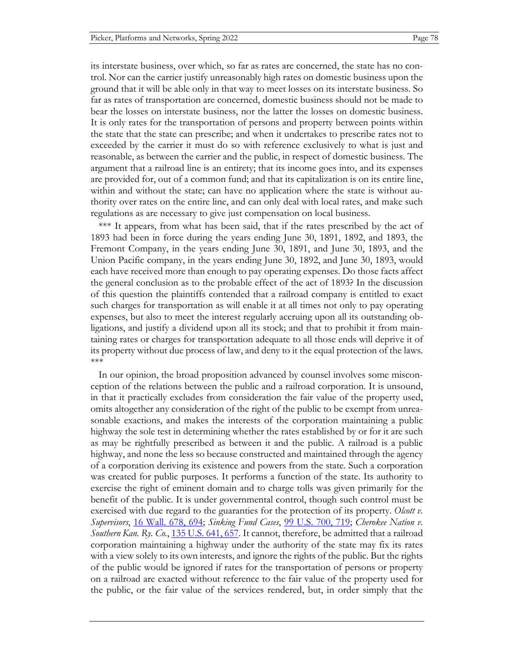its interstate business, over which, so far as rates are concerned, the state has no control. Nor can the carrier justify unreasonably high rates on domestic business upon the ground that it will be able only in that way to meet losses on its interstate business. So far as rates of transportation are concerned, domestic business should not be made to bear the losses on interstate business, nor the latter the losses on domestic business. It is only rates for the transportation of persons and property between points within the state that the state can prescribe; and when it undertakes to prescribe rates not to exceeded by the carrier it must do so with reference exclusively to what is just and reasonable, as between the carrier and the public, in respect of domestic business. The argument that a railroad line is an entirety; that its income goes into, and its expenses are provided for, out of a common fund; and that its capitalization is on its entire line, within and without the state; can have no application where the state is without authority over rates on the entire line, and can only deal with local rates, and make such regulations as are necessary to give just compensation on local business.

\*\*\* It appears, from what has been said, that if the rates prescribed by the act of 1893 had been in force during the years ending June 30, 1891, 1892, and 1893, the Fremont Company, in the years ending June 30, 1891, and June 30, 1893, and the Union Pacific company, in the years ending June 30, 1892, and June 30, 1893, would each have received more than enough to pay operating expenses. Do those facts affect the general conclusion as to the probable effect of the act of 1893? In the discussion of this question the plaintiffs contended that a railroad company is entitled to exact such charges for transportation as will enable it at all times not only to pay operating expenses, but also to meet the interest regularly accruing upon all its outstanding obligations, and justify a dividend upon all its stock; and that to prohibit it from maintaining rates or charges for transportation adequate to all those ends will deprive it of its property without due process of law, and deny to it the equal protection of the laws. \*\*\*

In our opinion, the broad proposition advanced by counsel involves some misconception of the relations between the public and a railroad corporation. It is unsound, in that it practically excludes from consideration the fair value of the property used, omits altogether any consideration of the right of the public to be exempt from unreasonable exactions, and makes the interests of the corporation maintaining a public highway the sole test in determining whether the rates established by or for it are such as may be rightfully prescribed as between it and the public. A railroad is a public highway, and none the less so because constructed and maintained through the agency of a corporation deriving its existence and powers from the state. Such a corporation was created for public purposes. It performs a function of the state. Its authority to exercise the right of eminent domain and to charge tolls was given primarily for the benefit of the public. It is under governmental control, though such control must be exercised with due regard to the guaranties for the protection of its property. *Olcott v. Supervisors*, 16 Wall. 678, 694; *Sinking Fund Cases*, 99 U.S. 700, 719; *Cherokee Nation v. Southern Kan. Ry. Co.*, 135 U.S. 641, 657. It cannot, therefore, be admitted that a railroad corporation maintaining a highway under the authority of the state may fix its rates with a view solely to its own interests, and ignore the rights of the public. But the rights of the public would be ignored if rates for the transportation of persons or property on a railroad are exacted without reference to the fair value of the property used for the public, or the fair value of the services rendered, but, in order simply that the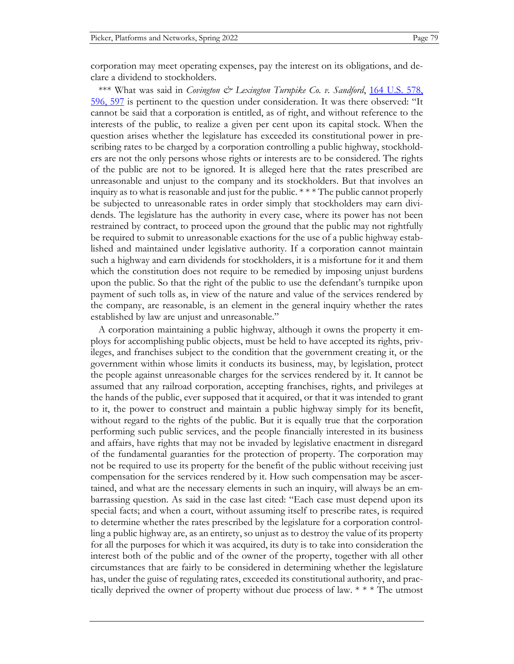corporation may meet operating expenses, pay the interest on its obligations, and declare a dividend to stockholders.

\*\*\* What was said in *Covington & Lexington Turnpike Co. v. Sandford*, 164 U.S. 578, 596, 597 is pertinent to the question under consideration. It was there observed: "It cannot be said that a corporation is entitled, as of right, and without reference to the interests of the public, to realize a given per cent upon its capital stock. When the question arises whether the legislature has exceeded its constitutional power in prescribing rates to be charged by a corporation controlling a public highway, stockholders are not the only persons whose rights or interests are to be considered. The rights of the public are not to be ignored. It is alleged here that the rates prescribed are unreasonable and unjust to the company and its stockholders. But that involves an inquiry as to what is reasonable and just for the public. \* \* \* The public cannot properly be subjected to unreasonable rates in order simply that stockholders may earn dividends. The legislature has the authority in every case, where its power has not been restrained by contract, to proceed upon the ground that the public may not rightfully be required to submit to unreasonable exactions for the use of a public highway established and maintained under legislative authority. If a corporation cannot maintain such a highway and earn dividends for stockholders, it is a misfortune for it and them which the constitution does not require to be remedied by imposing unjust burdens upon the public. So that the right of the public to use the defendant's turnpike upon payment of such tolls as, in view of the nature and value of the services rendered by the company, are reasonable, is an element in the general inquiry whether the rates established by law are unjust and unreasonable."

A corporation maintaining a public highway, although it owns the property it employs for accomplishing public objects, must be held to have accepted its rights, privileges, and franchises subject to the condition that the government creating it, or the government within whose limits it conducts its business, may, by legislation, protect the people against unreasonable charges for the services rendered by it. It cannot be assumed that any railroad corporation, accepting franchises, rights, and privileges at the hands of the public, ever supposed that it acquired, or that it was intended to grant to it, the power to construct and maintain a public highway simply for its benefit, without regard to the rights of the public. But it is equally true that the corporation performing such public services, and the people financially interested in its business and affairs, have rights that may not be invaded by legislative enactment in disregard of the fundamental guaranties for the protection of property. The corporation may not be required to use its property for the benefit of the public without receiving just compensation for the services rendered by it. How such compensation may be ascertained, and what are the necessary elements in such an inquiry, will always be an embarrassing question. As said in the case last cited: "Each case must depend upon its special facts; and when a court, without assuming itself to prescribe rates, is required to determine whether the rates prescribed by the legislature for a corporation controlling a public highway are, as an entirety, so unjust as to destroy the value of its property for all the purposes for which it was acquired, its duty is to take into consideration the interest both of the public and of the owner of the property, together with all other circumstances that are fairly to be considered in determining whether the legislature has, under the guise of regulating rates, exceeded its constitutional authority, and practically deprived the owner of property without due process of law. \* \* \* The utmost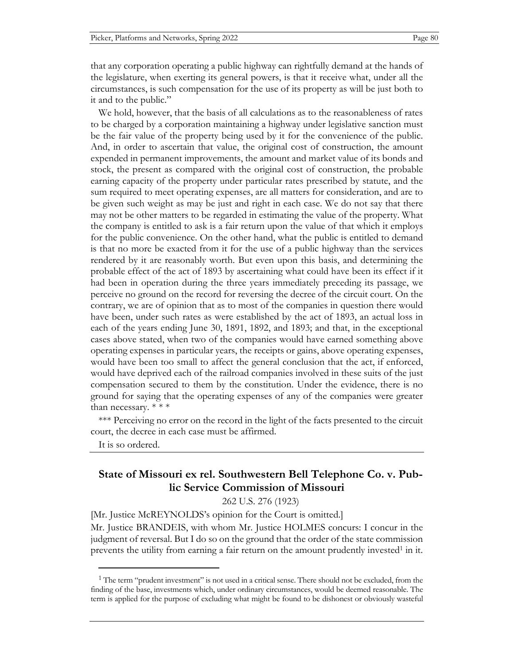that any corporation operating a public highway can rightfully demand at the hands of the legislature, when exerting its general powers, is that it receive what, under all the circumstances, is such compensation for the use of its property as will be just both to it and to the public."

We hold, however, that the basis of all calculations as to the reasonableness of rates to be charged by a corporation maintaining a highway under legislative sanction must be the fair value of the property being used by it for the convenience of the public. And, in order to ascertain that value, the original cost of construction, the amount expended in permanent improvements, the amount and market value of its bonds and stock, the present as compared with the original cost of construction, the probable earning capacity of the property under particular rates prescribed by statute, and the sum required to meet operating expenses, are all matters for consideration, and are to be given such weight as may be just and right in each case. We do not say that there may not be other matters to be regarded in estimating the value of the property. What the company is entitled to ask is a fair return upon the value of that which it employs for the public convenience. On the other hand, what the public is entitled to demand is that no more be exacted from it for the use of a public highway than the services rendered by it are reasonably worth. But even upon this basis, and determining the probable effect of the act of 1893 by ascertaining what could have been its effect if it had been in operation during the three years immediately preceding its passage, we perceive no ground on the record for reversing the decree of the circuit court. On the contrary, we are of opinion that as to most of the companies in question there would have been, under such rates as were established by the act of 1893, an actual loss in each of the years ending June 30, 1891, 1892, and 1893; and that, in the exceptional cases above stated, when two of the companies would have earned something above operating expenses in particular years, the receipts or gains, above operating expenses, would have been too small to affect the general conclusion that the act, if enforced, would have deprived each of the railroad companies involved in these suits of the just compensation secured to them by the constitution. Under the evidence, there is no ground for saying that the operating expenses of any of the companies were greater than necessary.  $***$ 

\*\*\* Perceiving no error on the record in the light of the facts presented to the circuit court, the decree in each case must be affirmed.

It is so ordered.

1

# **State of Missouri ex rel. Southwestern Bell Telephone Co. v. Public Service Commission of Missouri**

262 U.S. 276 (1923)

[Mr. Justice McREYNOLDS's opinion for the Court is omitted.] Mr. Justice BRANDEIS, with whom Mr. Justice HOLMES concurs: I concur in the judgment of reversal. But I do so on the ground that the order of the state commission prevents the utility from earning a fair return on the amount prudently invested<sup>1</sup> in it.

<sup>&</sup>lt;sup>1</sup> The term "prudent investment" is not used in a critical sense. There should not be excluded, from the finding of the base, investments which, under ordinary circumstances, would be deemed reasonable. The term is applied for the purpose of excluding what might be found to be dishonest or obviously wasteful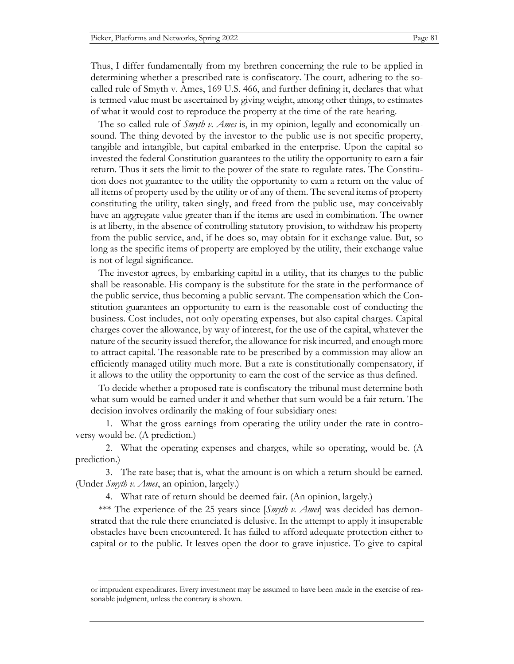Thus, I differ fundamentally from my brethren concerning the rule to be applied in determining whether a prescribed rate is confiscatory. The court, adhering to the socalled rule of Smyth v. Ames, 169 U.S. 466, and further defining it, declares that what is termed value must be ascertained by giving weight, among other things, to estimates of what it would cost to reproduce the property at the time of the rate hearing.

The so-called rule of *Smyth v. Ames* is, in my opinion, legally and economically unsound. The thing devoted by the investor to the public use is not specific property, tangible and intangible, but capital embarked in the enterprise. Upon the capital so invested the federal Constitution guarantees to the utility the opportunity to earn a fair return. Thus it sets the limit to the power of the state to regulate rates. The Constitution does not guarantee to the utility the opportunity to earn a return on the value of all items of property used by the utility or of any of them. The several items of property constituting the utility, taken singly, and freed from the public use, may conceivably have an aggregate value greater than if the items are used in combination. The owner is at liberty, in the absence of controlling statutory provision, to withdraw his property from the public service, and, if he does so, may obtain for it exchange value. But, so long as the specific items of property are employed by the utility, their exchange value is not of legal significance.

The investor agrees, by embarking capital in a utility, that its charges to the public shall be reasonable. His company is the substitute for the state in the performance of the public service, thus becoming a public servant. The compensation which the Constitution guarantees an opportunity to earn is the reasonable cost of conducting the business. Cost includes, not only operating expenses, but also capital charges. Capital charges cover the allowance, by way of interest, for the use of the capital, whatever the nature of the security issued therefor, the allowance for risk incurred, and enough more to attract capital. The reasonable rate to be prescribed by a commission may allow an efficiently managed utility much more. But a rate is constitutionally compensatory, if it allows to the utility the opportunity to earn the cost of the service as thus defined.

To decide whether a proposed rate is confiscatory the tribunal must determine both what sum would be earned under it and whether that sum would be a fair return. The decision involves ordinarily the making of four subsidiary ones:

1. What the gross earnings from operating the utility under the rate in controversy would be. (A prediction.)

2. What the operating expenses and charges, while so operating, would be. (A prediction.)

3. The rate base; that is, what the amount is on which a return should be earned. (Under *Smyth v. Ames*, an opinion, largely.)

4. What rate of return should be deemed fair. (An opinion, largely.)

<u>.</u>

\*\*\* The experience of the 25 years since [*Smyth v. Ames*] was decided has demonstrated that the rule there enunciated is delusive. In the attempt to apply it insuperable obstacles have been encountered. It has failed to afford adequate protection either to capital or to the public. It leaves open the door to grave injustice. To give to capital

or imprudent expenditures. Every investment may be assumed to have been made in the exercise of reasonable judgment, unless the contrary is shown.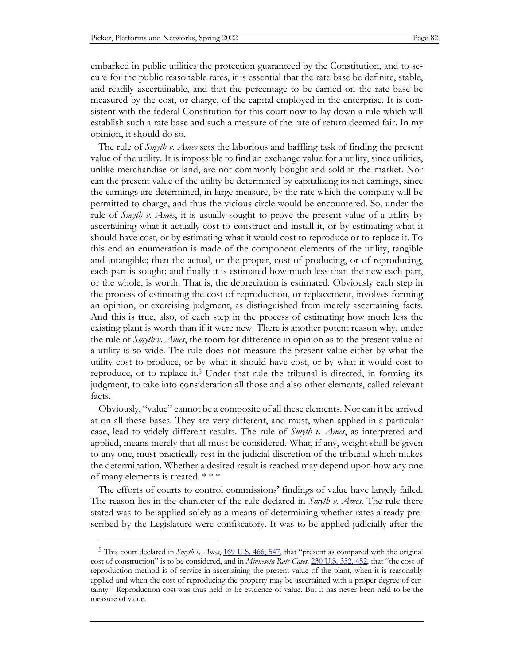embarked in public utilities the protection guaranteed by the Constitution, and to secure for the public reasonable rates, it is essential that the rate base be definite, stable, and readily ascertainable, and that the percentage to be earned on the rate base be measured by the cost, or charge, of the capital employed in the enterprise. It is consistent with the federal Constitution for this court now to lay down a rule which will establish such a rate base and such a measure of the rate of return deemed fair. In my opinion, it should do so.

The rule of *Smyth v. Ames* sets the laborious and baffling task of finding the present value of the utility. It is impossible to find an exchange value for a utility, since utilities, unlike merchandise or land, are not commonly bought and sold in the market. Nor can the present value of the utility be determined by capitalizing its net earnings, since the earnings are determined, in large measure, by the rate which the company will be permitted to charge, and thus the vicious circle would be encountered. So, under the rule of *Smyth v. Ames*, it is usually sought to prove the present value of a utility by ascertaining what it actually cost to construct and install it, or by estimating what it should have cost, or by estimating what it would cost to reproduce or to replace it. To this end an enumeration is made of the component elements of the utility, tangible and intangible; then the actual, or the proper, cost of producing, or of reproducing, each part is sought; and finally it is estimated how much less than the new each part, or the whole, is worth. That is, the depreciation is estimated. Obviously each step in the process of estimating the cost of reproduction, or replacement, involves forming an opinion, or exercising judgment, as distinguished from merely ascertaining facts. And this is true, also, of each step in the process of estimating how much less the existing plant is worth than if it were new. There is another potent reason why, under the rule of *Smyth v. Ames*, the room for difference in opinion as to the present value of a utility is so wide. The rule does not measure the present value either by what the utility cost to produce, or by what it should have cost, or by what it would cost to reproduce, or to replace it.<sup>5</sup> Under that rule the tribunal is directed, in forming its judgment, to take into consideration all those and also other elements, called relevant facts.

Obviously, "value" cannot be a composite of all these elements. Nor can it be arrived at on all these bases. They are very different, and must, when applied in a particular case, lead to widely different results. The rule of *Smyth v. Ames*, as interpreted and applied, means merely that all must be considered. What, if any, weight shall be given to any one, must practically rest in the judicial discretion of the tribunal which makes the determination. Whether a desired result is reached may depend upon how any one of many elements is treated. \* \* \*

The efforts of courts to control commissions' findings of value have largely failed. The reason lies in the character of the rule declared in *Smyth v. Ames*. The rule there stated was to be applied solely as a means of determining whether rates already prescribed by the Legislature were confiscatory. It was to be applied judicially after the

<u>.</u>

<sup>5</sup> This court declared in *Smyth v. Ames*, 169 U.S. 466, 547, that "present as compared with the original cost of construction" is to be considered, and in *Minnesota Rate Cases*, 230 U.S. 352, 452, that "the cost of reproduction method is of service in ascertaining the present value of the plant, when it is reasonably applied and when the cost of reproducing the property may be ascertained with a proper degree of certainty." Reproduction cost was thus held to be evidence of value. But it has never been held to be the measure of value.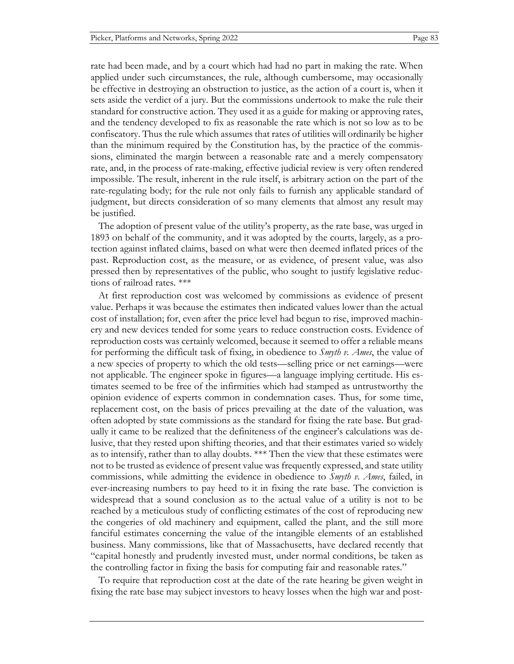rate had been made, and by a court which had had no part in making the rate. When applied under such circumstances, the rule, although cumbersome, may occasionally be effective in destroying an obstruction to justice, as the action of a court is, when it sets aside the verdict of a jury. But the commissions undertook to make the rule their standard for constructive action. They used it as a guide for making or approving rates, and the tendency developed to fix as reasonable the rate which is not so low as to be confiscatory. Thus the rule which assumes that rates of utilities will ordinarily be higher than the minimum required by the Constitution has, by the practice of the commissions, eliminated the margin between a reasonable rate and a merely compensatory rate, and, in the process of rate-making, effective judicial review is very often rendered impossible. The result, inherent in the rule itself, is arbitrary action on the part of the rate-regulating body; for the rule not only fails to furnish any applicable standard of judgment, but directs consideration of so many elements that almost any result may be justified.

The adoption of present value of the utility's property, as the rate base, was urged in 1893 on behalf of the community, and it was adopted by the courts, largely, as a protection against inflated claims, based on what were then deemed inflated prices of the past. Reproduction cost, as the measure, or as evidence, of present value, was also pressed then by representatives of the public, who sought to justify legislative reductions of railroad rates. \*\*\*

At first reproduction cost was welcomed by commissions as evidence of present value. Perhaps it was because the estimates then indicated values lower than the actual cost of installation; for, even after the price level had begun to rise, improved machinery and new devices tended for some years to reduce construction costs. Evidence of reproduction costs was certainly welcomed, because it seemed to offer a reliable means for performing the difficult task of fixing, in obedience to *Smyth v. Ames*, the value of a new species of property to which the old tests—selling price or net earnings—were not applicable. The engineer spoke in figures—a language implying certitude. His estimates seemed to be free of the infirmities which had stamped as untrustworthy the opinion evidence of experts common in condemnation cases. Thus, for some time, replacement cost, on the basis of prices prevailing at the date of the valuation, was often adopted by state commissions as the standard for fixing the rate base. But gradually it came to be realized that the definiteness of the engineer's calculations was delusive, that they rested upon shifting theories, and that their estimates varied so widely as to intensify, rather than to allay doubts. \*\*\* Then the view that these estimates were not to be trusted as evidence of present value was frequently expressed, and state utility commissions, while admitting the evidence in obedience to *Smyth v. Ames*, failed, in ever-increasing numbers to pay heed to it in fixing the rate base. The conviction is widespread that a sound conclusion as to the actual value of a utility is not to be reached by a meticulous study of conflicting estimates of the cost of reproducing new the congeries of old machinery and equipment, called the plant, and the still more fanciful estimates concerning the value of the intangible elements of an established business. Many commissions, like that of Massachusetts, have declared recently that "capital honestly and prudently invested must, under normal conditions, be taken as the controlling factor in fixing the basis for computing fair and reasonable rates."

To require that reproduction cost at the date of the rate hearing be given weight in fixing the rate base may subject investors to heavy losses when the high war and post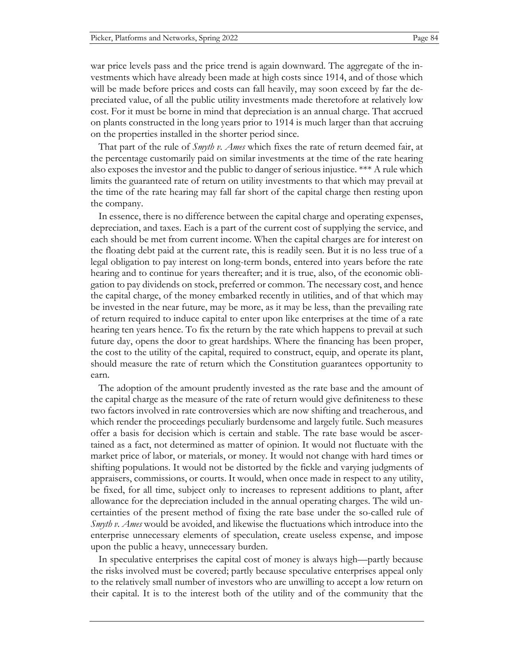war price levels pass and the price trend is again downward. The aggregate of the investments which have already been made at high costs since 1914, and of those which will be made before prices and costs can fall heavily, may soon exceed by far the depreciated value, of all the public utility investments made theretofore at relatively low cost. For it must be borne in mind that depreciation is an annual charge. That accrued on plants constructed in the long years prior to 1914 is much larger than that accruing on the properties installed in the shorter period since.

That part of the rule of *Smyth v. Ames* which fixes the rate of return deemed fair, at the percentage customarily paid on similar investments at the time of the rate hearing also exposes the investor and the public to danger of serious injustice. \*\*\* A rule which limits the guaranteed rate of return on utility investments to that which may prevail at the time of the rate hearing may fall far short of the capital charge then resting upon the company.

In essence, there is no difference between the capital charge and operating expenses, depreciation, and taxes. Each is a part of the current cost of supplying the service, and each should be met from current income. When the capital charges are for interest on the floating debt paid at the current rate, this is readily seen. But it is no less true of a legal obligation to pay interest on long-term bonds, entered into years before the rate hearing and to continue for years thereafter; and it is true, also, of the economic obligation to pay dividends on stock, preferred or common. The necessary cost, and hence the capital charge, of the money embarked recently in utilities, and of that which may be invested in the near future, may be more, as it may be less, than the prevailing rate of return required to induce capital to enter upon like enterprises at the time of a rate hearing ten years hence. To fix the return by the rate which happens to prevail at such future day, opens the door to great hardships. Where the financing has been proper, the cost to the utility of the capital, required to construct, equip, and operate its plant, should measure the rate of return which the Constitution guarantees opportunity to earn.

The adoption of the amount prudently invested as the rate base and the amount of the capital charge as the measure of the rate of return would give definiteness to these two factors involved in rate controversies which are now shifting and treacherous, and which render the proceedings peculiarly burdensome and largely futile. Such measures offer a basis for decision which is certain and stable. The rate base would be ascertained as a fact, not determined as matter of opinion. It would not fluctuate with the market price of labor, or materials, or money. It would not change with hard times or shifting populations. It would not be distorted by the fickle and varying judgments of appraisers, commissions, or courts. It would, when once made in respect to any utility, be fixed, for all time, subject only to increases to represent additions to plant, after allowance for the depreciation included in the annual operating charges. The wild uncertainties of the present method of fixing the rate base under the so-called rule of *Smyth v. Ames* would be avoided, and likewise the fluctuations which introduce into the enterprise unnecessary elements of speculation, create useless expense, and impose upon the public a heavy, unnecessary burden.

In speculative enterprises the capital cost of money is always high—partly because the risks involved must be covered; partly because speculative enterprises appeal only to the relatively small number of investors who are unwilling to accept a low return on their capital. It is to the interest both of the utility and of the community that the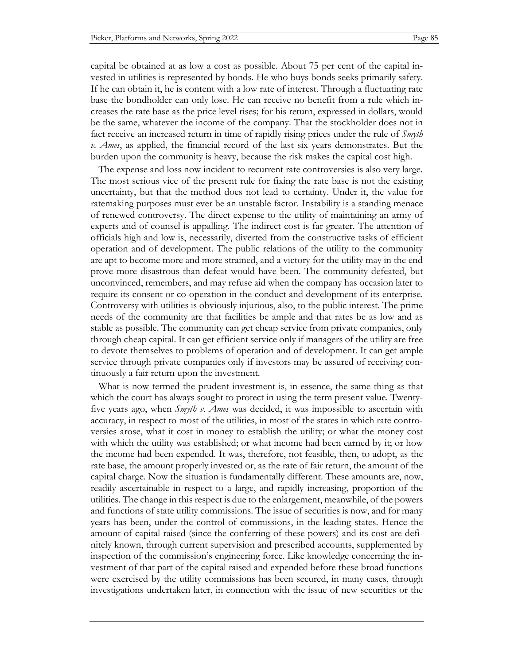capital be obtained at as low a cost as possible. About 75 per cent of the capital invested in utilities is represented by bonds. He who buys bonds seeks primarily safety. If he can obtain it, he is content with a low rate of interest. Through a fluctuating rate base the bondholder can only lose. He can receive no benefit from a rule which increases the rate base as the price level rises; for his return, expressed in dollars, would be the same, whatever the income of the company. That the stockholder does not in fact receive an increased return in time of rapidly rising prices under the rule of *Smyth v. Ames*, as applied, the financial record of the last six years demonstrates. But the burden upon the community is heavy, because the risk makes the capital cost high.

The expense and loss now incident to recurrent rate controversies is also very large. The most serious vice of the present rule for fixing the rate base is not the existing uncertainty, but that the method does not lead to certainty. Under it, the value for ratemaking purposes must ever be an unstable factor. Instability is a standing menace of renewed controversy. The direct expense to the utility of maintaining an army of experts and of counsel is appalling. The indirect cost is far greater. The attention of officials high and low is, necessarily, diverted from the constructive tasks of efficient operation and of development. The public relations of the utility to the community are apt to become more and more strained, and a victory for the utility may in the end prove more disastrous than defeat would have been. The community defeated, but unconvinced, remembers, and may refuse aid when the company has occasion later to require its consent or co-operation in the conduct and development of its enterprise. Controversy with utilities is obviously injurious, also, to the public interest. The prime needs of the community are that facilities be ample and that rates be as low and as stable as possible. The community can get cheap service from private companies, only through cheap capital. It can get efficient service only if managers of the utility are free to devote themselves to problems of operation and of development. It can get ample service through private companies only if investors may be assured of receiving continuously a fair return upon the investment.

What is now termed the prudent investment is, in essence, the same thing as that which the court has always sought to protect in using the term present value. Twentyfive years ago, when *Smyth v. Ames* was decided, it was impossible to ascertain with accuracy, in respect to most of the utilities, in most of the states in which rate controversies arose, what it cost in money to establish the utility; or what the money cost with which the utility was established; or what income had been earned by it; or how the income had been expended. It was, therefore, not feasible, then, to adopt, as the rate base, the amount properly invested or, as the rate of fair return, the amount of the capital charge. Now the situation is fundamentally different. These amounts are, now, readily ascertainable in respect to a large, and rapidly increasing, proportion of the utilities. The change in this respect is due to the enlargement, meanwhile, of the powers and functions of state utility commissions. The issue of securities is now, and for many years has been, under the control of commissions, in the leading states. Hence the amount of capital raised (since the conferring of these powers) and its cost are definitely known, through current supervision and prescribed accounts, supplemented by inspection of the commission's engineering force. Like knowledge concerning the investment of that part of the capital raised and expended before these broad functions were exercised by the utility commissions has been secured, in many cases, through investigations undertaken later, in connection with the issue of new securities or the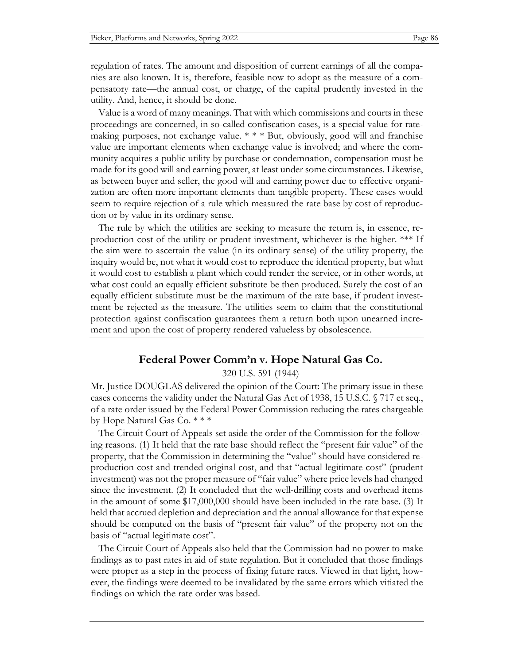regulation of rates. The amount and disposition of current earnings of all the companies are also known. It is, therefore, feasible now to adopt as the measure of a compensatory rate—the annual cost, or charge, of the capital prudently invested in the utility. And, hence, it should be done.

Value is a word of many meanings. That with which commissions and courts in these proceedings are concerned, in so-called confiscation cases, is a special value for ratemaking purposes, not exchange value.  $***$  But, obviously, good will and franchise value are important elements when exchange value is involved; and where the community acquires a public utility by purchase or condemnation, compensation must be made for its good will and earning power, at least under some circumstances. Likewise, as between buyer and seller, the good will and earning power due to effective organization are often more important elements than tangible property. These cases would seem to require rejection of a rule which measured the rate base by cost of reproduction or by value in its ordinary sense.

The rule by which the utilities are seeking to measure the return is, in essence, reproduction cost of the utility or prudent investment, whichever is the higher. \*\*\* If the aim were to ascertain the value (in its ordinary sense) of the utility property, the inquiry would be, not what it would cost to reproduce the identical property, but what it would cost to establish a plant which could render the service, or in other words, at what cost could an equally efficient substitute be then produced. Surely the cost of an equally efficient substitute must be the maximum of the rate base, if prudent investment be rejected as the measure. The utilities seem to claim that the constitutional protection against confiscation guarantees them a return both upon unearned increment and upon the cost of property rendered valueless by obsolescence.

### **Federal Power Comm'n v. Hope Natural Gas Co.**

### 320 U.S. 591 (1944)

Mr. Justice DOUGLAS delivered the opinion of the Court: The primary issue in these cases concerns the validity under the Natural Gas Act of 1938, 15 U.S.C. § 717 et seq., of a rate order issued by the Federal Power Commission reducing the rates chargeable by Hope Natural Gas Co. \* \* \*

The Circuit Court of Appeals set aside the order of the Commission for the following reasons. (1) It held that the rate base should reflect the "present fair value" of the property, that the Commission in determining the "value" should have considered reproduction cost and trended original cost, and that "actual legitimate cost" (prudent investment) was not the proper measure of "fair value" where price levels had changed since the investment. (2) It concluded that the well-drilling costs and overhead items in the amount of some \$17,000,000 should have been included in the rate base. (3) It held that accrued depletion and depreciation and the annual allowance for that expense should be computed on the basis of "present fair value" of the property not on the basis of "actual legitimate cost".

The Circuit Court of Appeals also held that the Commission had no power to make findings as to past rates in aid of state regulation. But it concluded that those findings were proper as a step in the process of fixing future rates. Viewed in that light, however, the findings were deemed to be invalidated by the same errors which vitiated the findings on which the rate order was based.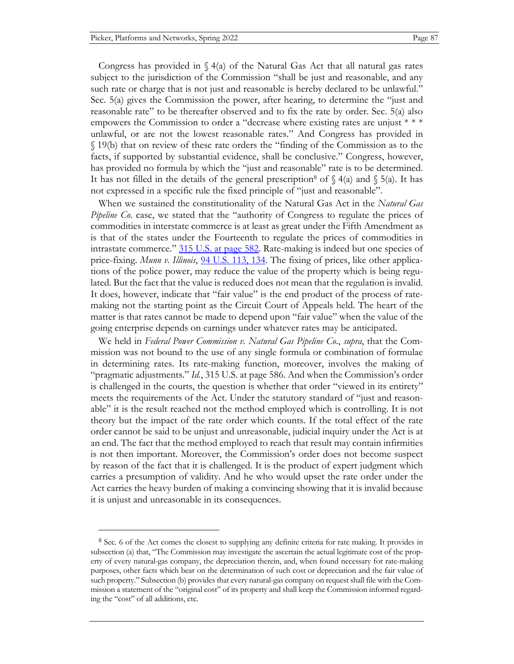1

Congress has provided in § 4(a) of the Natural Gas Act that all natural gas rates subject to the jurisdiction of the Commission "shall be just and reasonable, and any such rate or charge that is not just and reasonable is hereby declared to be unlawful." Sec. 5(a) gives the Commission the power, after hearing, to determine the "just and reasonable rate" to be thereafter observed and to fix the rate by order. Sec. 5(a) also empowers the Commission to order a "decrease where existing rates are unjust \* \* \* unlawful, or are not the lowest reasonable rates." And Congress has provided in § 19(b) that on review of these rate orders the "finding of the Commission as to the facts, if supported by substantial evidence, shall be conclusive." Congress, however, has provided no formula by which the "just and reasonable" rate is to be determined. It has not filled in the details of the general prescription<sup>8</sup> of  $\oint$  4(a) and  $\oint$  5(a). It has not expressed in a specific rule the fixed principle of "just and reasonable".

When we sustained the constitutionality of the Natural Gas Act in the *Natural Gas Pipeline Co.* case, we stated that the "authority of Congress to regulate the prices of commodities in interstate commerce is at least as great under the Fifth Amendment as is that of the states under the Fourteenth to regulate the prices of commodities in intrastate commerce." 315 U.S. at page 582. Rate-making is indeed but one species of price-fixing. *Munn v. Illinois*, 94 U.S. 113, 134. The fixing of prices, like other applications of the police power, may reduce the value of the property which is being regulated. But the fact that the value is reduced does not mean that the regulation is invalid. It does, however, indicate that "fair value" is the end product of the process of ratemaking not the starting point as the Circuit Court of Appeals held. The heart of the matter is that rates cannot be made to depend upon "fair value" when the value of the going enterprise depends on earnings under whatever rates may be anticipated.

We held in *Federal Power Commission v. Natural Gas Pipeline Co*., *supra*, that the Commission was not bound to the use of any single formula or combination of formulae in determining rates. Its rate-making function, moreover, involves the making of "pragmatic adjustments." *Id.*, 315 U.S. at page 586. And when the Commission's order is challenged in the courts, the question is whether that order "viewed in its entirety" meets the requirements of the Act. Under the statutory standard of "just and reasonable" it is the result reached not the method employed which is controlling. It is not theory but the impact of the rate order which counts. If the total effect of the rate order cannot be said to be unjust and unreasonable, judicial inquiry under the Act is at an end. The fact that the method employed to reach that result may contain infirmities is not then important. Moreover, the Commission's order does not become suspect by reason of the fact that it is challenged. It is the product of expert judgment which carries a presumption of validity. And he who would upset the rate order under the Act carries the heavy burden of making a convincing showing that it is invalid because it is unjust and unreasonable in its consequences.

<sup>8</sup> Sec. 6 of the Act comes the closest to supplying any definite criteria for rate making. It provides in subsection (a) that, "The Commission may investigate the ascertain the actual legitimate cost of the property of every natural-gas company, the depreciation therein, and, when found necessary for rate-making purposes, other facts which bear on the determination of such cost or depreciation and the fair value of such property." Subsection (b) provides that every natural-gas company on request shall file with the Commission a statement of the "original cost" of its property and shall keep the Commission informed regarding the "cost" of all additions, etc.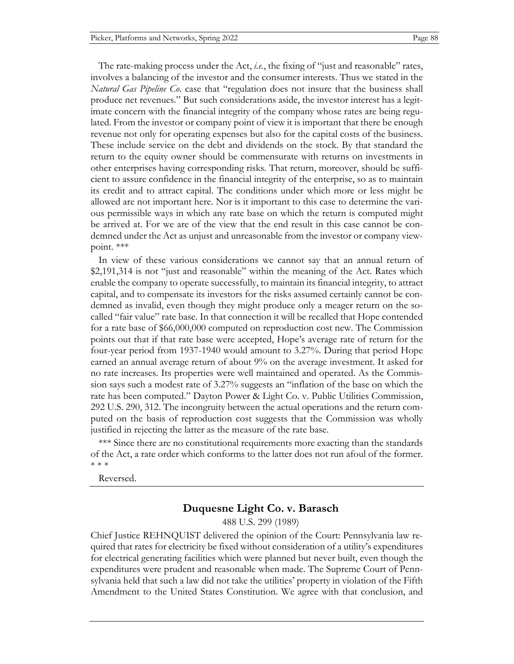The rate-making process under the Act, *i.e.*, the fixing of "just and reasonable" rates, involves a balancing of the investor and the consumer interests. Thus we stated in the *Natural Gas Pipeline Co*. case that "regulation does not insure that the business shall produce net revenues." But such considerations aside, the investor interest has a legitimate concern with the financial integrity of the company whose rates are being regulated. From the investor or company point of view it is important that there be enough revenue not only for operating expenses but also for the capital costs of the business. These include service on the debt and dividends on the stock. By that standard the return to the equity owner should be commensurate with returns on investments in other enterprises having corresponding risks. That return, moreover, should be sufficient to assure confidence in the financial integrity of the enterprise, so as to maintain its credit and to attract capital. The conditions under which more or less might be allowed are not important here. Nor is it important to this case to determine the various permissible ways in which any rate base on which the return is computed might be arrived at. For we are of the view that the end result in this case cannot be condemned under the Act as unjust and unreasonable from the investor or company viewpoint. \*\*\*

In view of these various considerations we cannot say that an annual return of \$2,191,314 is not "just and reasonable" within the meaning of the Act. Rates which enable the company to operate successfully, to maintain its financial integrity, to attract capital, and to compensate its investors for the risks assumed certainly cannot be condemned as invalid, even though they might produce only a meager return on the socalled "fair value" rate base. In that connection it will be recalled that Hope contended for a rate base of \$66,000,000 computed on reproduction cost new. The Commission points out that if that rate base were accepted, Hope's average rate of return for the four-year period from 1937-1940 would amount to 3.27%. During that period Hope earned an annual average return of about 9% on the average investment. It asked for no rate increases. Its properties were well maintained and operated. As the Commission says such a modest rate of 3.27% suggests an "inflation of the base on which the rate has been computed." Dayton Power & Light Co. v. Public Utilities Commission, 292 U.S. 290, 312. The incongruity between the actual operations and the return computed on the basis of reproduction cost suggests that the Commission was wholly justified in rejecting the latter as the measure of the rate base.

\*\*\* Since there are no constitutional requirements more exacting than the standards of the Act, a rate order which conforms to the latter does not run afoul of the former. \* \* \*

Reversed.

# **Duquesne Light Co. v. Barasch**

488 U.S. 299 (1989)

Chief Justice REHNQUIST delivered the opinion of the Court: Pennsylvania law required that rates for electricity be fixed without consideration of a utility's expenditures for electrical generating facilities which were planned but never built, even though the expenditures were prudent and reasonable when made. The Supreme Court of Pennsylvania held that such a law did not take the utilities' property in violation of the Fifth Amendment to the United States Constitution. We agree with that conclusion, and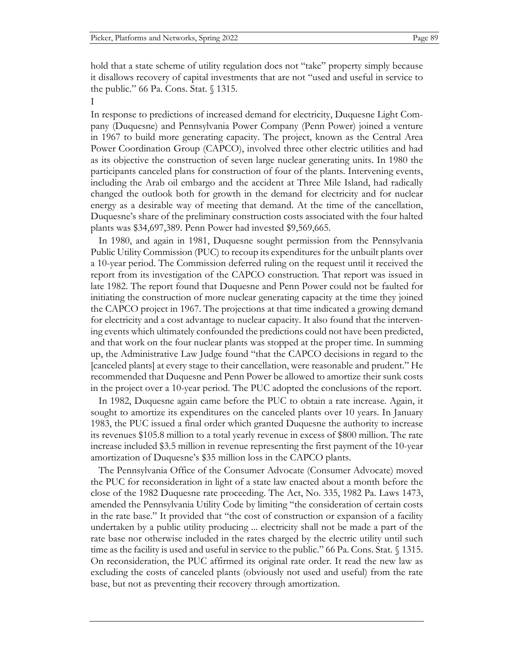hold that a state scheme of utility regulation does not "take" property simply because it disallows recovery of capital investments that are not "used and useful in service to the public." 66 Pa. Cons. Stat. § 1315.

I

In response to predictions of increased demand for electricity, Duquesne Light Company (Duquesne) and Pennsylvania Power Company (Penn Power) joined a venture in 1967 to build more generating capacity. The project, known as the Central Area Power Coordination Group (CAPCO), involved three other electric utilities and had as its objective the construction of seven large nuclear generating units. In 1980 the participants canceled plans for construction of four of the plants. Intervening events, including the Arab oil embargo and the accident at Three Mile Island, had radically changed the outlook both for growth in the demand for electricity and for nuclear energy as a desirable way of meeting that demand. At the time of the cancellation, Duquesne's share of the preliminary construction costs associated with the four halted plants was \$34,697,389. Penn Power had invested \$9,569,665.

In 1980, and again in 1981, Duquesne sought permission from the Pennsylvania Public Utility Commission (PUC) to recoup its expenditures for the unbuilt plants over a 10-year period. The Commission deferred ruling on the request until it received the report from its investigation of the CAPCO construction. That report was issued in late 1982. The report found that Duquesne and Penn Power could not be faulted for initiating the construction of more nuclear generating capacity at the time they joined the CAPCO project in 1967. The projections at that time indicated a growing demand for electricity and a cost advantage to nuclear capacity. It also found that the intervening events which ultimately confounded the predictions could not have been predicted, and that work on the four nuclear plants was stopped at the proper time. In summing up, the Administrative Law Judge found "that the CAPCO decisions in regard to the [canceled plants] at every stage to their cancellation, were reasonable and prudent." He recommended that Duquesne and Penn Power be allowed to amortize their sunk costs in the project over a 10-year period. The PUC adopted the conclusions of the report.

In 1982, Duquesne again came before the PUC to obtain a rate increase. Again, it sought to amortize its expenditures on the canceled plants over 10 years. In January 1983, the PUC issued a final order which granted Duquesne the authority to increase its revenues \$105.8 million to a total yearly revenue in excess of \$800 million. The rate increase included \$3.5 million in revenue representing the first payment of the 10-year amortization of Duquesne's \$35 million loss in the CAPCO plants.

The Pennsylvania Office of the Consumer Advocate (Consumer Advocate) moved the PUC for reconsideration in light of a state law enacted about a month before the close of the 1982 Duquesne rate proceeding. The Act, No. 335, 1982 Pa. Laws 1473, amended the Pennsylvania Utility Code by limiting "the consideration of certain costs in the rate base." It provided that "the cost of construction or expansion of a facility undertaken by a public utility producing ... electricity shall not be made a part of the rate base nor otherwise included in the rates charged by the electric utility until such time as the facility is used and useful in service to the public." 66 Pa. Cons. Stat. § 1315. On reconsideration, the PUC affirmed its original rate order. It read the new law as excluding the costs of canceled plants (obviously not used and useful) from the rate base, but not as preventing their recovery through amortization.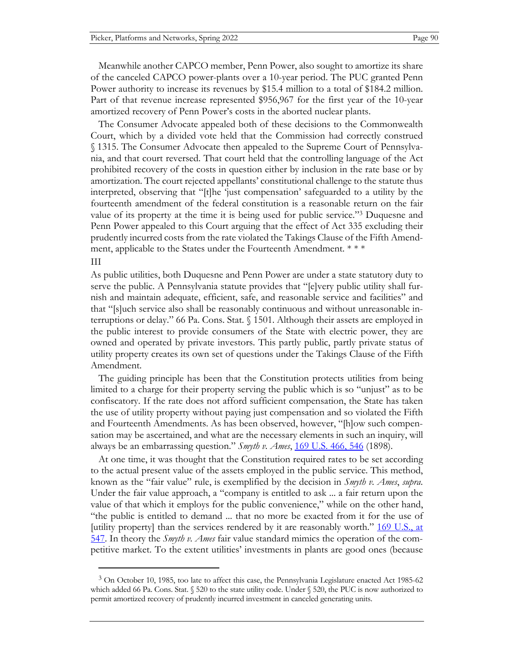Meanwhile another CAPCO member, Penn Power, also sought to amortize its share of the canceled CAPCO power-plants over a 10-year period. The PUC granted Penn Power authority to increase its revenues by \$15.4 million to a total of \$184.2 million. Part of that revenue increase represented \$956,967 for the first year of the 10-year amortized recovery of Penn Power's costs in the aborted nuclear plants.

The Consumer Advocate appealed both of these decisions to the Commonwealth Court, which by a divided vote held that the Commission had correctly construed § 1315. The Consumer Advocate then appealed to the Supreme Court of Pennsylvania, and that court reversed. That court held that the controlling language of the Act prohibited recovery of the costs in question either by inclusion in the rate base or by amortization. The court rejected appellants' constitutional challenge to the statute thus interpreted, observing that "[t]he 'just compensation' safeguarded to a utility by the fourteenth amendment of the federal constitution is a reasonable return on the fair value of its property at the time it is being used for public service."3 Duquesne and Penn Power appealed to this Court arguing that the effect of Act 335 excluding their prudently incurred costs from the rate violated the Takings Clause of the Fifth Amendment, applicable to the States under the Fourteenth Amendment. \* \* \* III

As public utilities, both Duquesne and Penn Power are under a state statutory duty to serve the public. A Pennsylvania statute provides that "[e]very public utility shall furnish and maintain adequate, efficient, safe, and reasonable service and facilities" and that "[s]uch service also shall be reasonably continuous and without unreasonable interruptions or delay." 66 Pa. Cons. Stat. § 1501. Although their assets are employed in the public interest to provide consumers of the State with electric power, they are owned and operated by private investors. This partly public, partly private status of utility property creates its own set of questions under the Takings Clause of the Fifth Amendment.

The guiding principle has been that the Constitution protects utilities from being limited to a charge for their property serving the public which is so "unjust" as to be confiscatory. If the rate does not afford sufficient compensation, the State has taken the use of utility property without paying just compensation and so violated the Fifth and Fourteenth Amendments. As has been observed, however, "[h]ow such compensation may be ascertained, and what are the necessary elements in such an inquiry, will always be an embarrassing question." *Smyth v. Ames*, 169 U.S. 466, 546 (1898).

At one time, it was thought that the Constitution required rates to be set according to the actual present value of the assets employed in the public service. This method, known as the "fair value" rule, is exemplified by the decision in *Smyth v. Ames*, *supra*. Under the fair value approach, a "company is entitled to ask ... a fair return upon the value of that which it employs for the public convenience," while on the other hand, "the public is entitled to demand ... that no more be exacted from it for the use of [utility property] than the services rendered by it are reasonably worth." 169 U.S., at 547. In theory the *Smyth v. Ames* fair value standard mimics the operation of the competitive market. To the extent utilities' investments in plants are good ones (because

1

<sup>3</sup> On October 10, 1985, too late to affect this case, the Pennsylvania Legislature enacted Act 1985-62 which added 66 Pa. Cons. Stat. § 520 to the state utility code. Under § 520, the PUC is now authorized to permit amortized recovery of prudently incurred investment in canceled generating units.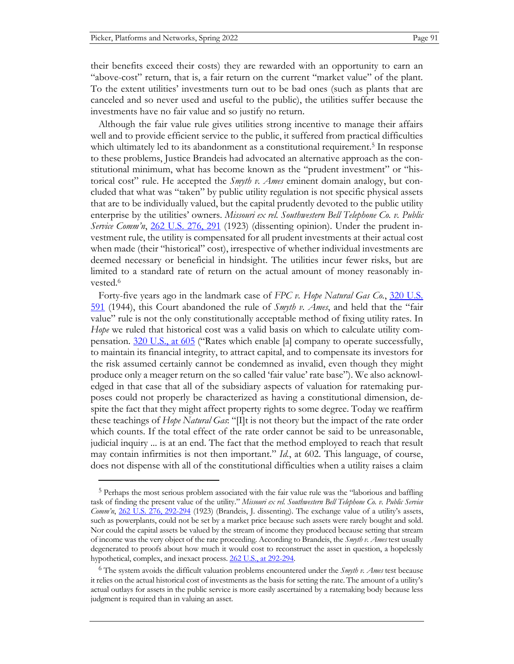1

their benefits exceed their costs) they are rewarded with an opportunity to earn an "above-cost" return, that is, a fair return on the current "market value" of the plant. To the extent utilities' investments turn out to be bad ones (such as plants that are canceled and so never used and useful to the public), the utilities suffer because the investments have no fair value and so justify no return.

Although the fair value rule gives utilities strong incentive to manage their affairs well and to provide efficient service to the public, it suffered from practical difficulties which ultimately led to its abandonment as a constitutional requirement.<sup>5</sup> In response to these problems, Justice Brandeis had advocated an alternative approach as the constitutional minimum, what has become known as the "prudent investment" or "historical cost" rule. He accepted the *Smyth v. Ames* eminent domain analogy, but concluded that what was "taken" by public utility regulation is not specific physical assets that are to be individually valued, but the capital prudently devoted to the public utility enterprise by the utilities' owners. *Missouri ex rel. Southwestern Bell Telephone Co. v. Public Service Comm'n*, 262 U.S. 276, 291 (1923) (dissenting opinion). Under the prudent investment rule, the utility is compensated for all prudent investments at their actual cost when made (their "historical" cost), irrespective of whether individual investments are deemed necessary or beneficial in hindsight. The utilities incur fewer risks, but are limited to a standard rate of return on the actual amount of money reasonably invested.6

Forty-five years ago in the landmark case of *FPC v. Hope Natural Gas Co.*, 320 U.S. 591 (1944), this Court abandoned the rule of *Smyth v. Ames*, and held that the "fair value" rule is not the only constitutionally acceptable method of fixing utility rates. In *Hope* we ruled that historical cost was a valid basis on which to calculate utility compensation. 320 U.S., at 605 ("Rates which enable [a] company to operate successfully, to maintain its financial integrity, to attract capital, and to compensate its investors for the risk assumed certainly cannot be condemned as invalid, even though they might produce only a meager return on the so called 'fair value' rate base"). We also acknowledged in that case that all of the subsidiary aspects of valuation for ratemaking purposes could not properly be characterized as having a constitutional dimension, despite the fact that they might affect property rights to some degree. Today we reaffirm these teachings of *Hope Natural Gas*: "[I]t is not theory but the impact of the rate order which counts. If the total effect of the rate order cannot be said to be unreasonable, judicial inquiry ... is at an end. The fact that the method employed to reach that result may contain infirmities is not then important." *Id.*, at 602. This language, of course, does not dispense with all of the constitutional difficulties when a utility raises a claim

<sup>5</sup> Perhaps the most serious problem associated with the fair value rule was the "laborious and baffling task of finding the present value of the utility." *Missouri ex rel. Southwestern Bell Telephone Co. v. Public Service Comm'n*, 262 U.S. 276, 292-294 (1923) (Brandeis, J. dissenting). The exchange value of a utility's assets, such as powerplants, could not be set by a market price because such assets were rarely bought and sold. Nor could the capital assets be valued by the stream of income they produced because setting that stream of income was the very object of the rate proceeding. According to Brandeis, the *Smyth v. Ames* test usually degenerated to proofs about how much it would cost to reconstruct the asset in question, a hopelessly hypothetical, complex, and inexact process. 262 U.S., at 292-294.

<sup>6</sup> The system avoids the difficult valuation problems encountered under the *Smyth v. Ames* test because it relies on the actual historical cost of investments as the basis for setting the rate. The amount of a utility's actual outlays for assets in the public service is more easily ascertained by a ratemaking body because less judgment is required than in valuing an asset.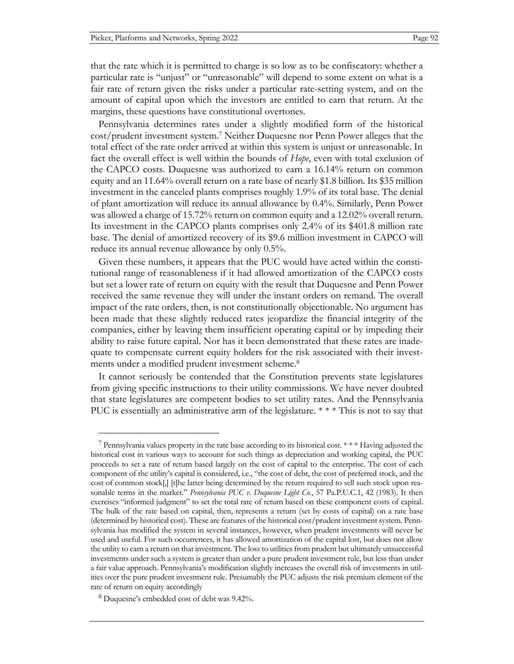that the rate which it is permitted to charge is so low as to be confiscatory: whether a particular rate is "unjust" or "unreasonable" will depend to some extent on what is a fair rate of return given the risks under a particular rate-setting system, and on the amount of capital upon which the investors are entitled to earn that return. At the margins, these questions have constitutional overtones.

Pennsylvania determines rates under a slightly modified form of the historical cost/prudent investment system.7 Neither Duquesne nor Penn Power alleges that the total effect of the rate order arrived at within this system is unjust or unreasonable. In fact the overall effect is well within the bounds of *Hope*, even with total exclusion of the CAPCO costs. Duquesne was authorized to earn a 16.14% return on common equity and an 11.64% overall return on a rate base of nearly \$1.8 billion. Its \$35 million investment in the canceled plants comprises roughly 1.9% of its total base. The denial of plant amortization will reduce its annual allowance by 0.4%. Similarly, Penn Power was allowed a charge of 15.72% return on common equity and a 12.02% overall return. Its investment in the CAPCO plants comprises only 2.4% of its \$401.8 million rate base. The denial of amortized recovery of its \$9.6 million investment in CAPCO will reduce its annual revenue allowance by only 0.5%.

Given these numbers, it appears that the PUC would have acted within the constitutional range of reasonableness if it had allowed amortization of the CAPCO costs but set a lower rate of return on equity with the result that Duquesne and Penn Power received the same revenue they will under the instant orders on remand. The overall impact of the rate orders, then, is not constitutionally objectionable. No argument has been made that these slightly reduced rates jeopardize the financial integrity of the companies, either by leaving them insufficient operating capital or by impeding their ability to raise future capital. Nor has it been demonstrated that these rates are inadequate to compensate current equity holders for the risk associated with their investments under a modified prudent investment scheme.8

It cannot seriously be contended that the Constitution prevents state legislatures from giving specific instructions to their utility commissions. We have never doubted that state legislatures are competent bodies to set utility rates. And the Pennsylvania PUC is essentially an administrative arm of the legislature. \* \* \* This is not to say that

1

<sup>7</sup> Pennsylvania values property in the rate base according to its historical cost. \* \* \* Having adjusted the historical cost in various ways to account for such things as depreciation and working capital, the PUC proceeds to set a rate of return based largely on the cost of capital to the enterprise. The cost of each component of the utility's capital is considered, i.e., "the cost of debt, the cost of preferred stock, and the cost of common stock[,] [t]he latter being determined by the return required to sell such stock upon reasonable terms in the market." *Pennsylvania PUC v. Duquesne Light Co.*, 57 Pa.P.U.C.1, 42 (1983). It then exercises "informed judgment" to set the total rate of return based on these component costs of capital. The bulk of the rate based on capital, then, represents a return (set by costs of capital) on a rate base (determined by historical cost). These are features of the historical cost/prudent investment system. Pennsylvania has modified the system in several instances, however, when prudent investments will never be used and useful. For such occurrences, it has allowed amortization of the capital lost, but does not allow the utility to earn a return on that investment. The loss to utilities from prudent but ultimately unsuccessful investments under such a system is greater than under a pure prudent investment rule, but less than under a fair value approach. Pennsylvania's modification slightly increases the overall risk of investments in utilities over the pure prudent investment rule. Presumably the PUC adjusts the risk premium element of the rate of return on equity accordingly

<sup>8</sup> Duquesne's embedded cost of debt was 9.42%.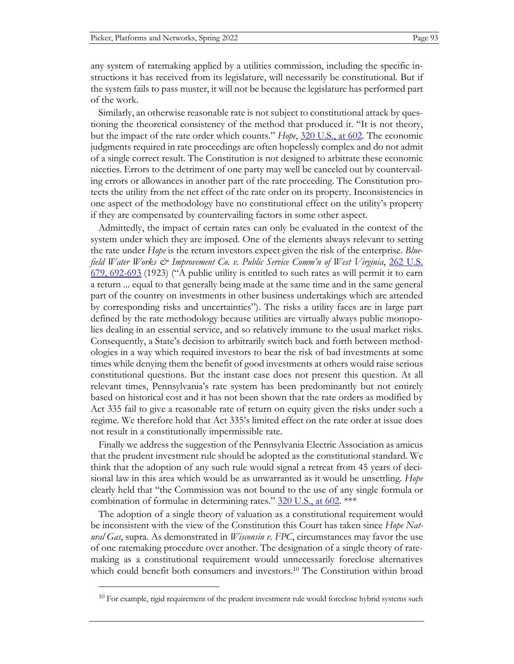any system of ratemaking applied by a utilities commission, including the specific instructions it has received from its legislature, will necessarily be constitutional. But if the system fails to pass muster, it will not be because the legislature has performed part of the work.

Similarly, an otherwise reasonable rate is not subject to constitutional attack by questioning the theoretical consistency of the method that produced it. "It is not theory, but the impact of the rate order which counts." *Hope*, 320 U.S., at 602. The economic judgments required in rate proceedings are often hopelessly complex and do not admit of a single correct result. The Constitution is not designed to arbitrate these economic niceties. Errors to the detriment of one party may well be canceled out by countervailing errors or allowances in another part of the rate proceeding. The Constitution protects the utility from the net effect of the rate order on its property. Inconsistencies in one aspect of the methodology have no constitutional effect on the utility's property if they are compensated by countervailing factors in some other aspect.

Admittedly, the impact of certain rates can only be evaluated in the context of the system under which they are imposed. One of the elements always relevant to setting the rate under *Hope* is the return investors expect given the risk of the enterprise. *Bluefield Water Works & Improvement Co. v. Public Service Comm'n of West Virginia*, 262 U.S. 679, 692-693 (1923) ("A public utility is entitled to such rates as will permit it to earn a return ... equal to that generally being made at the same time and in the same general part of the country on investments in other business undertakings which are attended by corresponding risks and uncertainties"). The risks a utility faces are in large part defined by the rate methodology because utilities are virtually always public monopolies dealing in an essential service, and so relatively immune to the usual market risks. Consequently, a State's decision to arbitrarily switch back and forth between methodologies in a way which required investors to bear the risk of bad investments at some times while denying them the benefit of good investments at others would raise serious constitutional questions. But the instant case does not present this question. At all relevant times, Pennsylvania's rate system has been predominantly but not entirely based on historical cost and it has not been shown that the rate orders as modified by Act 335 fail to give a reasonable rate of return on equity given the risks under such a regime. We therefore hold that Act 335's limited effect on the rate order at issue does not result in a constitutionally impermissible rate.

Finally we address the suggestion of the Pennsylvania Electric Association as amicus that the prudent investment rule should be adopted as the constitutional standard. We think that the adoption of any such rule would signal a retreat from 45 years of decisional law in this area which would be as unwarranted as it would be unsettling. *Hope* clearly held that "the Commission was not bound to the use of any single formula or combination of formulae in determining rates." 320 U.S., at 602. \*\*\*

The adoption of a single theory of valuation as a constitutional requirement would be inconsistent with the view of the Constitution this Court has taken since *Hope Natural Gas*, supra. As demonstrated in *Wisconsin v. FPC*, circumstances may favor the use of one ratemaking procedure over another. The designation of a single theory of ratemaking as a constitutional requirement would unnecessarily foreclose alternatives which could benefit both consumers and investors.<sup>10</sup> The Constitution within broad

1

 $10$  For example, rigid requirement of the prudent investment rule would foreclose hybrid systems such